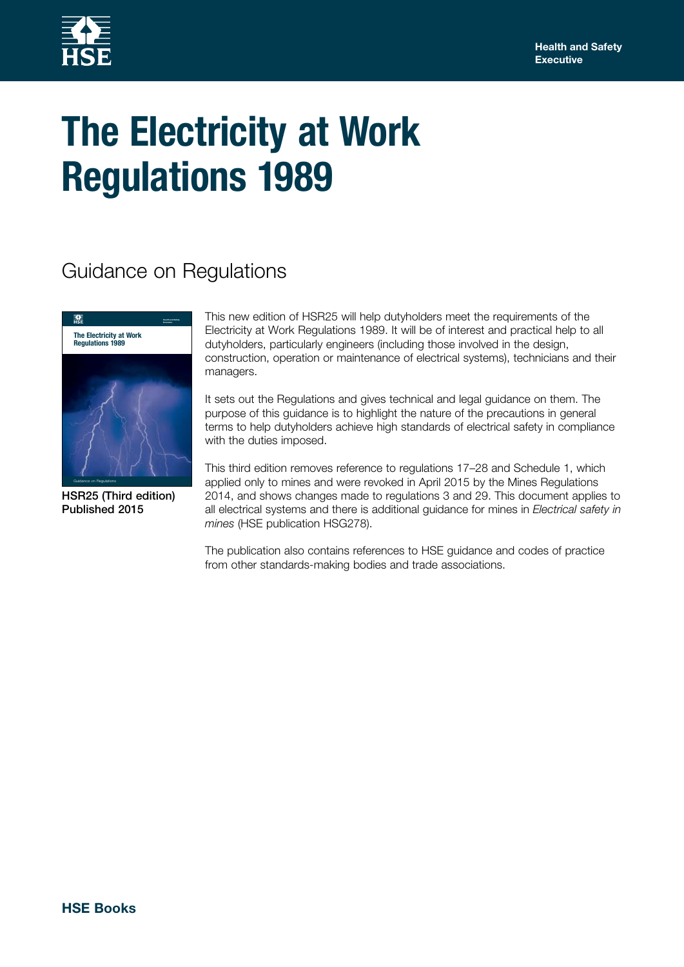

# **The Electricity at Work Regulations 1989**

# Guidance on Regulations



HSR25 (Third edition) Published 2015

This new edition of HSR25 will help dutyholders meet the requirements of the Electricity at Work Regulations 1989. It will be of interest and practical help to all dutyholders, particularly engineers (including those involved in the design, construction, operation or maintenance of electrical systems), technicians and their managers.

It sets out the Regulations and gives technical and legal guidance on them. The purpose of this guidance is to highlight the nature of the precautions in general terms to help dutyholders achieve high standards of electrical safety in compliance with the duties imposed.

This third edition removes reference to regulations 17–28 and Schedule 1, which applied only to mines and were revoked in April 2015 by the Mines Regulations 2014, and shows changes made to regulations 3 and 29. This document applies to all electrical systems and there is additional guidance for mines in *Electrical safety in mines* (HSE publication HSG278).

The publication also contains references to HSE guidance and codes of practice from other standards-making bodies and trade associations.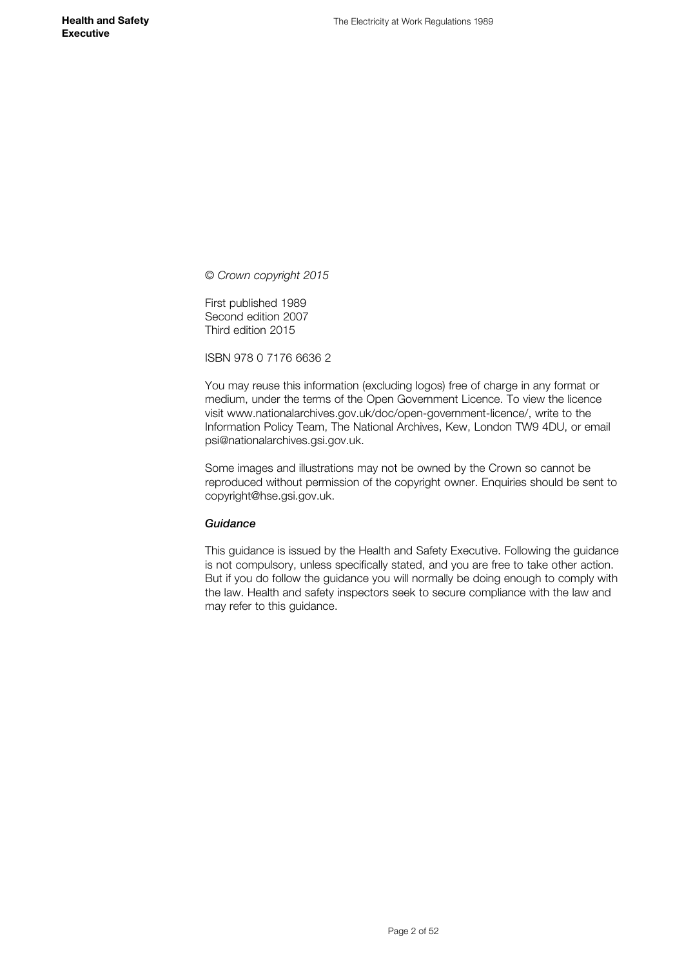*© Crown copyright 2015*

First published 1989 Second edition 2007 Third edition 2015

ISBN 978 0 7176 6636 2

You may reuse this information (excluding logos) free of charge in any format or medium, under the terms of the Open Government Licence. To view the licence visit [www.nationalarchives.gov.uk/doc/open-government-licence/](http://www.nationalarchives.gov.uk/doc/open-government-licence/), write to the Information Policy Team, The National Archives, Kew, London TW9 4DU, or email [psi@nationalarchives.gsi.gov.uk](mailto:psi@nationalarchives.gsi.gov.uk).

Some images and illustrations may not be owned by the Crown so cannot be reproduced without permission of the copyright owner. Enquiries should be sent to [copyright@hse.gsi.gov.uk.](mailto:copyright@hse.gsi.gov.uk)

#### *Guidance*

This guidance is issued by the Health and Safety Executive. Following the guidance is not compulsory, unless specifically stated, and you are free to take other action. But if you do follow the guidance you will normally be doing enough to comply with the law. Health and safety inspectors seek to secure compliance with the law and may refer to this guidance.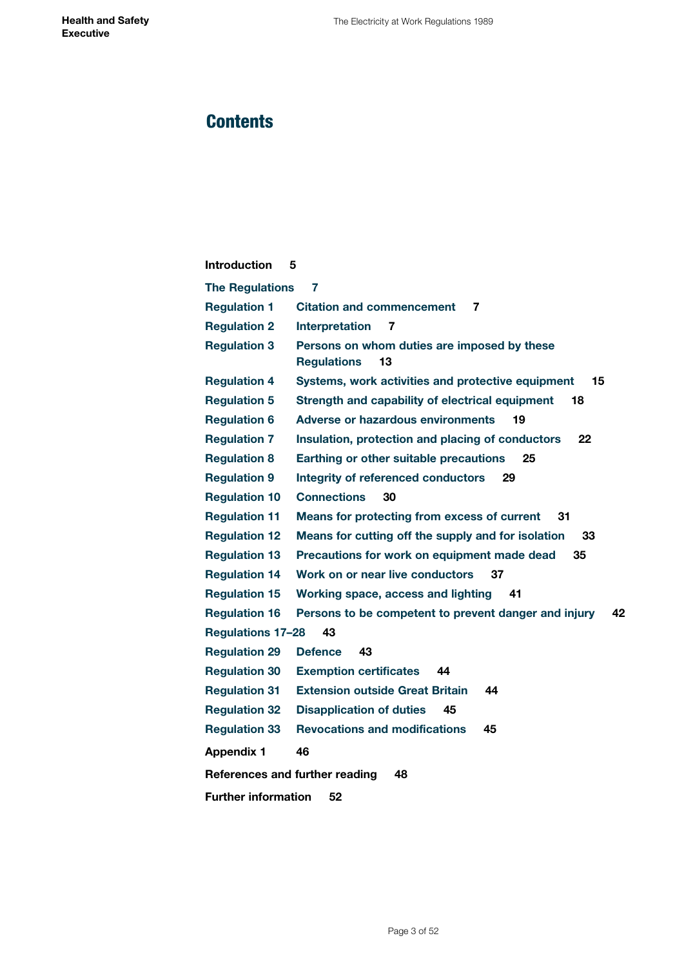# **Contents**

| <b>Introduction</b><br>5             |                                                                         |  |
|--------------------------------------|-------------------------------------------------------------------------|--|
|                                      |                                                                         |  |
| <b>The Regulations</b>               | 7                                                                       |  |
| <b>Regulation 1</b>                  | <b>Citation and commencement</b><br>7                                   |  |
| <b>Regulation 2</b>                  | Interpretation<br>7                                                     |  |
| <b>Regulation 3</b>                  | Persons on whom duties are imposed by these<br><b>Regulations</b><br>13 |  |
| <b>Regulation 4</b>                  | Systems, work activities and protective equipment<br>15                 |  |
| <b>Regulation 5</b>                  | Strength and capability of electrical equipment<br>18                   |  |
| <b>Regulation 6</b>                  | Adverse or hazardous environments<br>19                                 |  |
| <b>Regulation 7</b>                  | Insulation, protection and placing of conductors<br>22                  |  |
| <b>Regulation 8</b>                  | Earthing or other suitable precautions<br>25                            |  |
| <b>Regulation 9</b>                  | <b>Integrity of referenced conductors</b><br>29                         |  |
| <b>Regulation 10</b>                 | <b>Connections</b><br>30                                                |  |
| <b>Regulation 11</b>                 | Means for protecting from excess of current<br>31                       |  |
| <b>Regulation 12</b>                 | Means for cutting off the supply and for isolation<br>33                |  |
| <b>Regulation 13</b>                 | Precautions for work on equipment made dead<br>35                       |  |
| <b>Regulation 14</b>                 | Work on or near live conductors<br>37                                   |  |
| <b>Regulation 15</b>                 | 41<br>Working space, access and lighting                                |  |
| <b>Regulation 16</b>                 | Persons to be competent to prevent danger and injury<br>42              |  |
| <b>Regulations 17-28</b>             | 43                                                                      |  |
| <b>Regulation 29</b>                 | <b>Defence</b><br>43                                                    |  |
| <b>Regulation 30</b>                 | <b>Exemption certificates</b><br>44                                     |  |
| <b>Regulation 31</b>                 | <b>Extension outside Great Britain</b><br>44                            |  |
| <b>Regulation 32</b>                 | <b>Disapplication of duties</b><br>45                                   |  |
| <b>Regulation 33</b>                 | <b>Revocations and modifications</b><br>45                              |  |
| <b>Appendix 1</b>                    | 46                                                                      |  |
| References and further reading<br>48 |                                                                         |  |
| <b>Further information</b>           | 52                                                                      |  |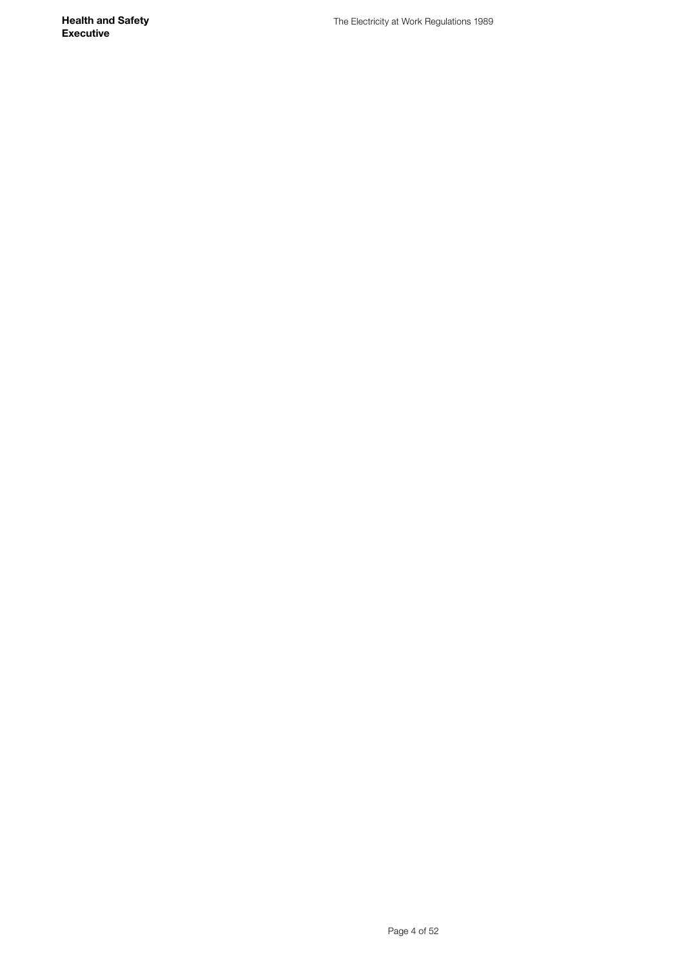**Health and Safety Executive**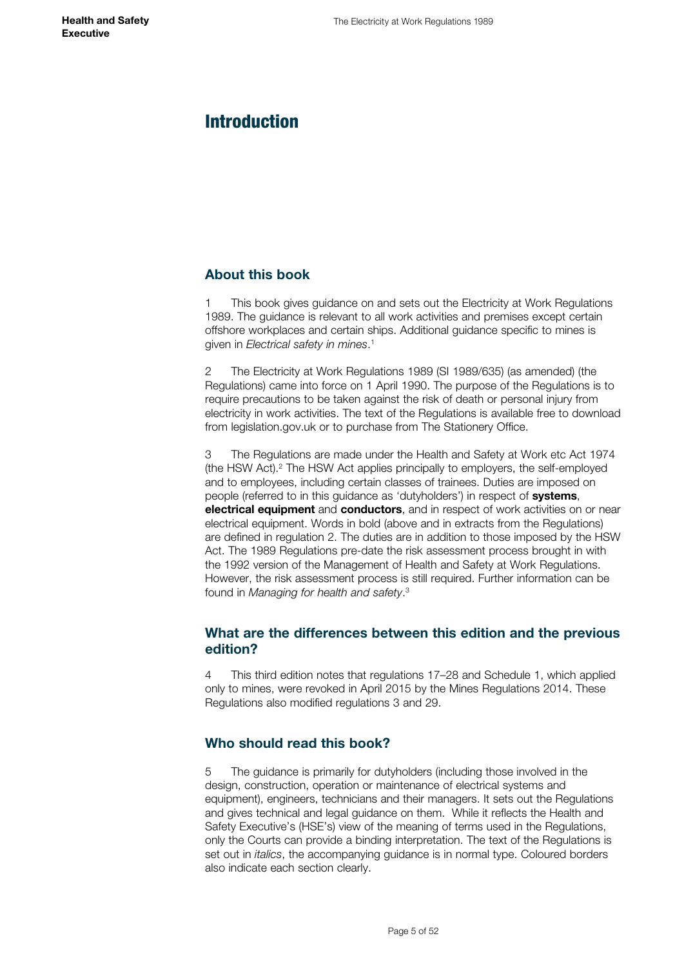## <span id="page-4-0"></span>**Introduction**

#### **About this book**

1 This book gives guidance on and sets out the Electricity at Work Regulations 1989. The guidance is relevant to all work activities and premises except certain offshore workplaces and certain ships. Additional guidance specific to mines is given in *Electrical safety in mines*. 1

2 The Electricity at Work Regulations 1989 (SI 1989/635) (as amended) (the Regulations) came into force on 1 April 1990. The purpose of the Regulations is to require precautions to be taken against the risk of death or personal injury from electricity in work activities. The text of the Regulations is available free to download from legislation.gov.uk or to purchase from The Stationery Office.

The Regulations are made under the Health and Safety at Work etc Act 1974 (the HSW Act).2 The HSW Act applies principally to employers, the self-employed and to employees, including certain classes of trainees. Duties are imposed on people (referred to in this guidance as 'dutyholders') in respect of **systems**, **electrical equipment** and **conductors**, and in respect of work activities on or near electrical equipment. Words in bold (above and in extracts from the Regulations) are defined in regulation 2. The duties are in addition to those imposed by the HSW Act. The 1989 Regulations pre-date the risk assessment process brought in with the 1992 version of the Management of Health and Safety at Work Regulations. However, the risk assessment process is still required. Further information can be found in *Managing for health and safety*. 3

#### **What are the differences between this edition and the previous edition?**

4 This third edition notes that regulations 17–28 and Schedule 1, which applied only to mines, were revoked in April 2015 by the Mines Regulations 2014. These Regulations also modified regulations 3 and 29.

#### **Who should read this book?**

5 The guidance is primarily for dutyholders (including those involved in the design, construction, operation or maintenance of electrical systems and equipment), engineers, technicians and their managers. It sets out the Regulations and gives technical and legal guidance on them. While it reflects the Health and Safety Executive's (HSE's) view of the meaning of terms used in the Regulations, only the Courts can provide a binding interpretation. The text of the Regulations is set out in *italics*, the accompanying guidance is in normal type. Coloured borders also indicate each section clearly.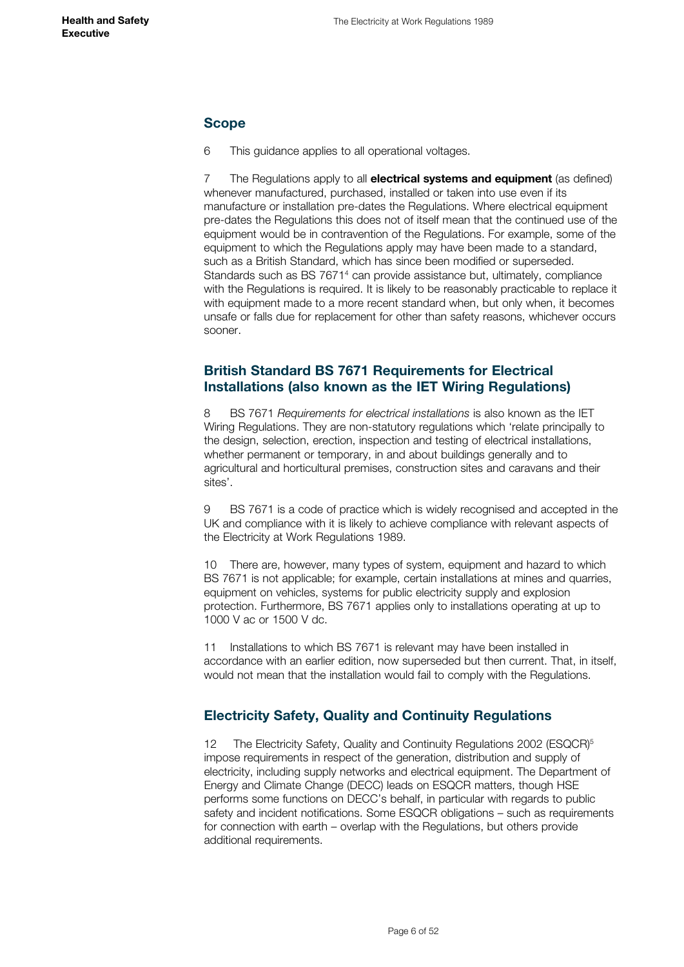#### **Scope**

6 This guidance applies to all operational voltages.

7 The Regulations apply to all **electrical systems and equipment** (as defined) whenever manufactured, purchased, installed or taken into use even if its manufacture or installation pre-dates the Regulations. Where electrical equipment pre-dates the Regulations this does not of itself mean that the continued use of the equipment would be in contravention of the Regulations. For example, some of the equipment to which the Regulations apply may have been made to a standard, such as a British Standard, which has since been modified or superseded. Standards such as BS 76714 can provide assistance but, ultimately, compliance with the Regulations is required. It is likely to be reasonably practicable to replace it with equipment made to a more recent standard when, but only when, it becomes unsafe or falls due for replacement for other than safety reasons, whichever occurs sooner.

#### **British Standard BS 7671 Requirements for Electrical Installations (also known as the IET Wiring Regulations)**

8 BS 7671 *Requirements for electrical installations* is also known as the IET Wiring Regulations. They are non-statutory regulations which 'relate principally to the design, selection, erection, inspection and testing of electrical installations, whether permanent or temporary, in and about buildings generally and to agricultural and horticultural premises, construction sites and caravans and their sites'.

9 BS 7671 is a code of practice which is widely recognised and accepted in the UK and compliance with it is likely to achieve compliance with relevant aspects of the Electricity at Work Regulations 1989.

10 There are, however, many types of system, equipment and hazard to which BS 7671 is not applicable; for example, certain installations at mines and quarries, equipment on vehicles, systems for public electricity supply and explosion protection. Furthermore, BS 7671 applies only to installations operating at up to 1000 V ac or 1500 V dc.

11 Installations to which BS 7671 is relevant may have been installed in accordance with an earlier edition, now superseded but then current. That, in itself, would not mean that the installation would fail to comply with the Regulations.

#### **Electricity Safety, Quality and Continuity Regulations**

12 The Electricity Safety, Quality and Continuity Regulations 2002 (ESQCR)5 impose requirements in respect of the generation, distribution and supply of electricity, including supply networks and electrical equipment. The Department of Energy and Climate Change (DECC) leads on ESQCR matters, though HSE performs some functions on DECC's behalf, in particular with regards to public safety and incident notifications. Some ESQCR obligations – such as requirements for connection with earth – overlap with the Regulations, but others provide additional requirements.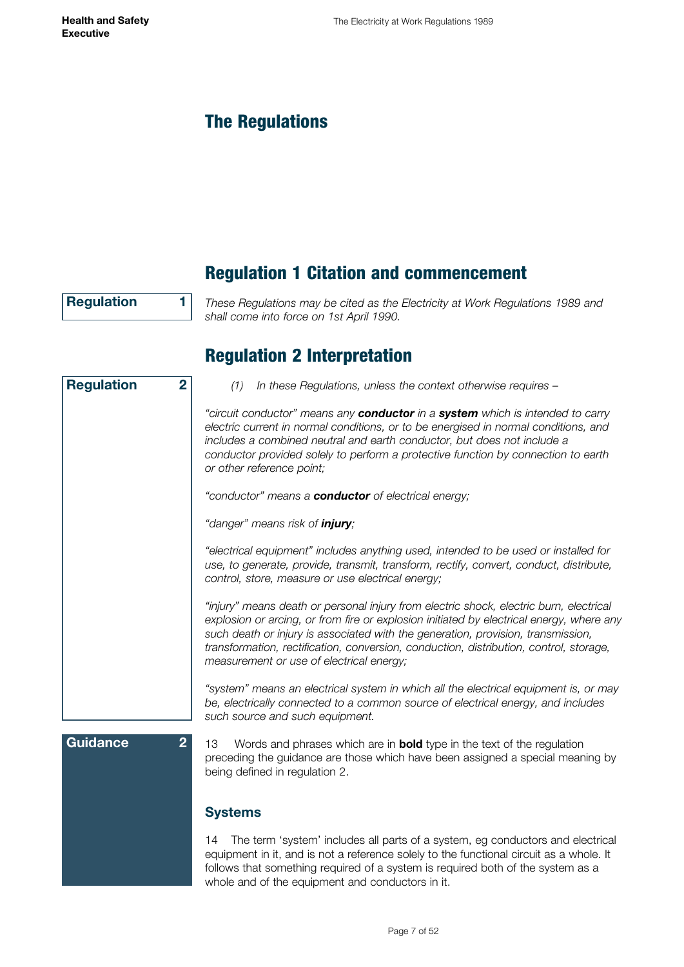# <span id="page-6-0"></span>The Regulations

# Regulation 1 Citation and commencement

**Regulation 1**

*These Regulations may be cited as the Electricity at Work Regulations 1989 and shall come into force on 1st April 1990.*

# Regulation 2 Interpretation

| $\overline{2}$<br><b>Regulation</b> | In these Regulations, unless the context otherwise requires -<br>(1)                                                                                                                                                                                                                                                                                                                                         |
|-------------------------------------|--------------------------------------------------------------------------------------------------------------------------------------------------------------------------------------------------------------------------------------------------------------------------------------------------------------------------------------------------------------------------------------------------------------|
|                                     | "circuit conductor" means any <b>conductor</b> in a <b>system</b> which is intended to carry<br>electric current in normal conditions, or to be energised in normal conditions, and<br>includes a combined neutral and earth conductor, but does not include a<br>conductor provided solely to perform a protective function by connection to earth<br>or other reference point;                             |
|                                     | "conductor" means a <b>conductor</b> of electrical energy;                                                                                                                                                                                                                                                                                                                                                   |
|                                     | "danger" means risk of <i>injury</i> ;                                                                                                                                                                                                                                                                                                                                                                       |
|                                     | "electrical equipment" includes anything used, intended to be used or installed for<br>use, to generate, provide, transmit, transform, rectify, convert, conduct, distribute,<br>control, store, measure or use electrical energy;                                                                                                                                                                           |
|                                     | "injury" means death or personal injury from electric shock, electric burn, electrical<br>explosion or arcing, or from fire or explosion initiated by electrical energy, where any<br>such death or injury is associated with the generation, provision, transmission,<br>transformation, rectification, conversion, conduction, distribution, control, storage,<br>measurement or use of electrical energy; |
|                                     | "system" means an electrical system in which all the electrical equipment is, or may<br>be, electrically connected to a common source of electrical energy, and includes<br>such source and such equipment.                                                                                                                                                                                                  |
| <b>Guidance</b><br>$\mathbf{2}$     | Words and phrases which are in <b>bold</b> type in the text of the regulation<br>13<br>preceding the guidance are those which have been assigned a special meaning by<br>being defined in regulation 2.                                                                                                                                                                                                      |
|                                     | <b>Systems</b>                                                                                                                                                                                                                                                                                                                                                                                               |
|                                     | The term 'system' includes all parts of a system, eg conductors and electrical<br>14<br>equipment in it, and is not a reference solely to the functional circuit as a whole. It<br>follows that something required of a system is required both of the system as a                                                                                                                                           |

whole and of the equipment and conductors in it.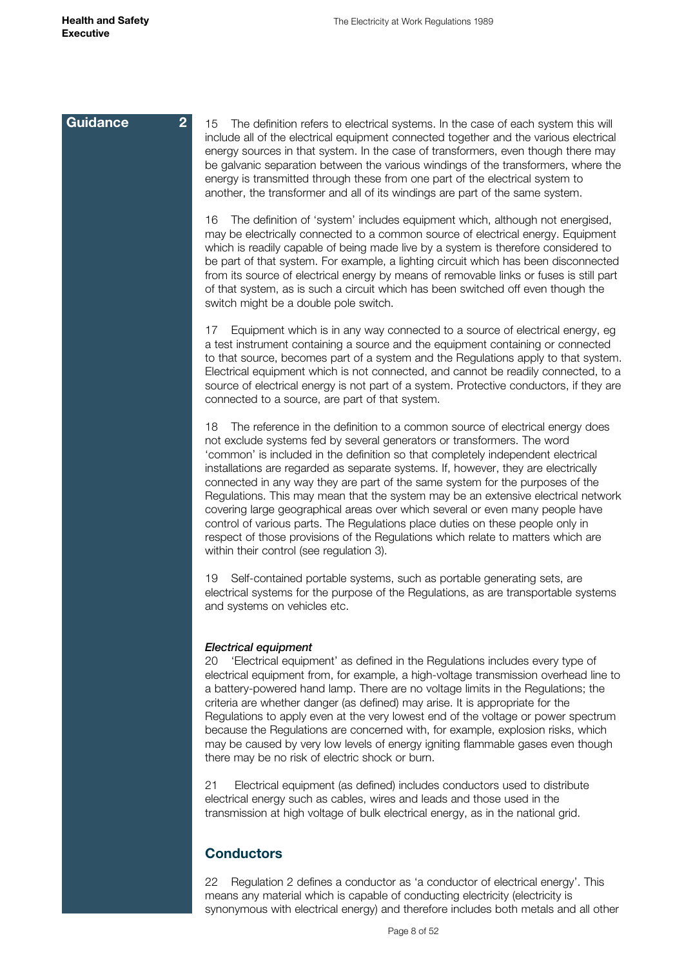| Guidance<br>$\overline{2}$ | 15<br>The definition refers to electrical systems. In the case of each system this will<br>include all of the electrical equipment connected together and the various electrical<br>energy sources in that system. In the case of transformers, even though there may<br>be galvanic separation between the various windings of the transformers, where the<br>energy is transmitted through these from one part of the electrical system to<br>another, the transformer and all of its windings are part of the same system.                                                                                                                                                                                                                                                                                    |
|----------------------------|------------------------------------------------------------------------------------------------------------------------------------------------------------------------------------------------------------------------------------------------------------------------------------------------------------------------------------------------------------------------------------------------------------------------------------------------------------------------------------------------------------------------------------------------------------------------------------------------------------------------------------------------------------------------------------------------------------------------------------------------------------------------------------------------------------------|
|                            | 16<br>The definition of 'system' includes equipment which, although not energised,<br>may be electrically connected to a common source of electrical energy. Equipment<br>which is readily capable of being made live by a system is therefore considered to<br>be part of that system. For example, a lighting circuit which has been disconnected<br>from its source of electrical energy by means of removable links or fuses is still part<br>of that system, as is such a circuit which has been switched off even though the<br>switch might be a double pole switch.                                                                                                                                                                                                                                      |
|                            | Equipment which is in any way connected to a source of electrical energy, eg<br>17<br>a test instrument containing a source and the equipment containing or connected<br>to that source, becomes part of a system and the Regulations apply to that system.<br>Electrical equipment which is not connected, and cannot be readily connected, to a<br>source of electrical energy is not part of a system. Protective conductors, if they are<br>connected to a source, are part of that system.                                                                                                                                                                                                                                                                                                                  |
|                            | 18<br>The reference in the definition to a common source of electrical energy does<br>not exclude systems fed by several generators or transformers. The word<br>'common' is included in the definition so that completely independent electrical<br>installations are regarded as separate systems. If, however, they are electrically<br>connected in any way they are part of the same system for the purposes of the<br>Regulations. This may mean that the system may be an extensive electrical network<br>covering large geographical areas over which several or even many people have<br>control of various parts. The Regulations place duties on these people only in<br>respect of those provisions of the Regulations which relate to matters which are<br>within their control (see regulation 3). |
|                            | 19<br>Self-contained portable systems, such as portable generating sets, are<br>electrical systems for the purpose of the Regulations, as are transportable systems<br>and systems on vehicles etc.                                                                                                                                                                                                                                                                                                                                                                                                                                                                                                                                                                                                              |
|                            | <b>Electrical equipment</b><br>'Electrical equipment' as defined in the Regulations includes every type of<br>20.<br>electrical equipment from, for example, a high-voltage transmission overhead line to<br>a battery-powered hand lamp. There are no voltage limits in the Regulations; the<br>criteria are whether danger (as defined) may arise. It is appropriate for the<br>Regulations to apply even at the very lowest end of the voltage or power spectrum<br>because the Regulations are concerned with, for example, explosion risks, which<br>may be caused by very low levels of energy igniting flammable gases even though<br>there may be no risk of electric shock or burn.                                                                                                                     |
|                            | 21<br>Electrical equipment (as defined) includes conductors used to distribute<br>electrical energy such as cables, wires and leads and those used in the<br>transmission at high voltage of bulk electrical energy, as in the national grid.                                                                                                                                                                                                                                                                                                                                                                                                                                                                                                                                                                    |
|                            | <b>Conductors</b>                                                                                                                                                                                                                                                                                                                                                                                                                                                                                                                                                                                                                                                                                                                                                                                                |

22 Regulation 2 defines a conductor as 'a conductor of electrical energy'. This means any material which is capable of conducting electricity (electricity is synonymous with electrical energy) and therefore includes both metals and all other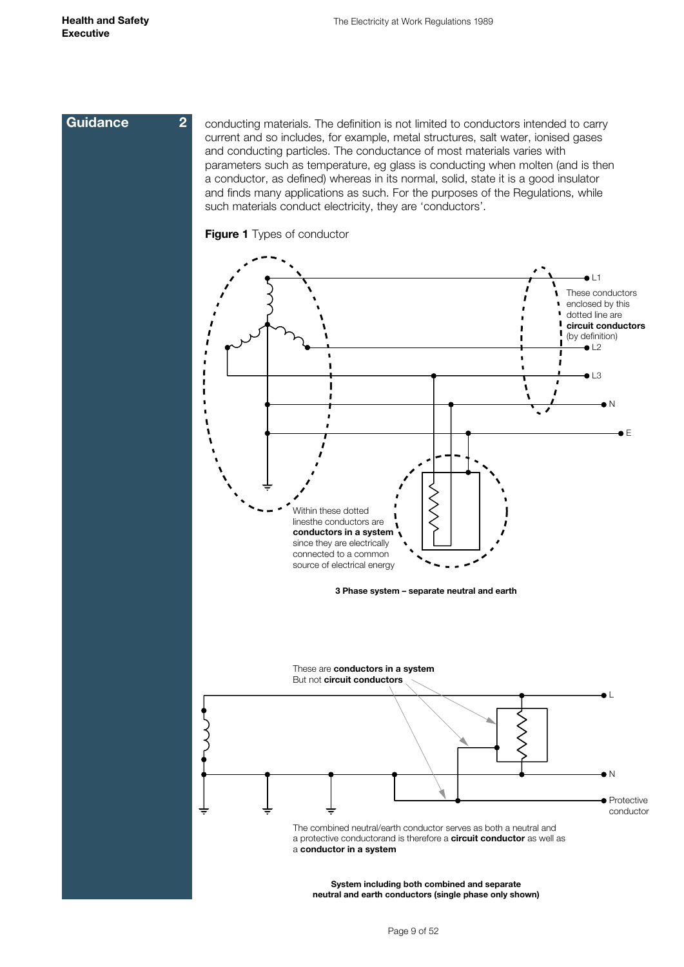conducting materials. The definition is not limited to conductors intended to carry current and so includes, for example, metal structures, salt water, ionised gases and conducting particles. The conductance of most materials varies with parameters such as temperature, eg glass is conducting when molten (and is then a conductor, as defined) whereas in its normal, solid, state it is a good insulator and finds many applications as such. For the purposes of the Regulations, while such materials conduct electricity, they are 'conductors'. **Guidance 2**



#### Page 9 of 52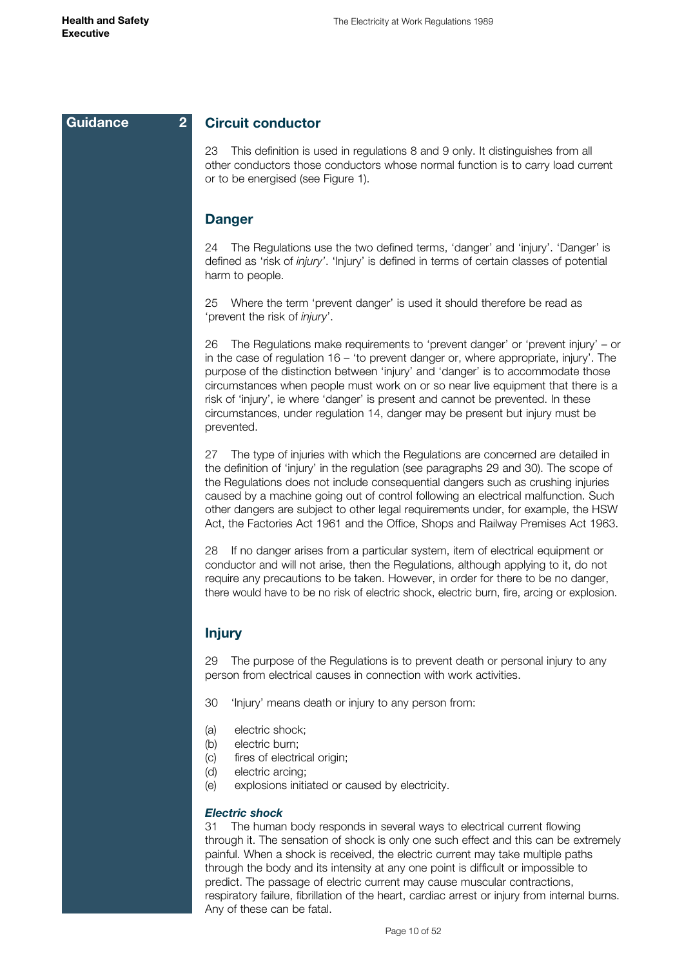| <b>Guidance</b><br>$\overline{2}$ | <b>Circuit conductor</b>                                                                                                                                                                                                                                                                                                                                                                                                                                                                                                                  |
|-----------------------------------|-------------------------------------------------------------------------------------------------------------------------------------------------------------------------------------------------------------------------------------------------------------------------------------------------------------------------------------------------------------------------------------------------------------------------------------------------------------------------------------------------------------------------------------------|
|                                   | This definition is used in regulations 8 and 9 only. It distinguishes from all<br>23<br>other conductors those conductors whose normal function is to carry load current<br>or to be energised (see Figure 1).                                                                                                                                                                                                                                                                                                                            |
|                                   | <b>Danger</b>                                                                                                                                                                                                                                                                                                                                                                                                                                                                                                                             |
|                                   | The Regulations use the two defined terms, 'danger' and 'injury'. 'Danger' is<br>24<br>defined as 'risk of injury'. 'Injury' is defined in terms of certain classes of potential<br>harm to people.                                                                                                                                                                                                                                                                                                                                       |
|                                   | Where the term 'prevent danger' is used it should therefore be read as<br>25<br>'prevent the risk of <i>injury</i> '.                                                                                                                                                                                                                                                                                                                                                                                                                     |
|                                   | The Regulations make requirements to 'prevent danger' or 'prevent injury' – or<br>26<br>in the case of regulation $16 -$ 'to prevent danger or, where appropriate, injury'. The<br>purpose of the distinction between 'injury' and 'danger' is to accommodate those<br>circumstances when people must work on or so near live equipment that there is a<br>risk of 'injury', ie where 'danger' is present and cannot be prevented. In these<br>circumstances, under regulation 14, danger may be present but injury must be<br>prevented. |
|                                   | The type of injuries with which the Regulations are concerned are detailed in<br>27<br>the definition of 'injury' in the regulation (see paragraphs 29 and 30). The scope of<br>the Regulations does not include consequential dangers such as crushing injuries<br>caused by a machine going out of control following an electrical malfunction. Such<br>other dangers are subject to other legal requirements under, for example, the HSW<br>Act, the Factories Act 1961 and the Office, Shops and Railway Premises Act 1963.           |
|                                   | If no danger arises from a particular system, item of electrical equipment or<br>28<br>conductor and will not arise, then the Regulations, although applying to it, do not<br>require any precautions to be taken. However, in order for there to be no danger,<br>there would have to be no risk of electric shock, electric burn, fire, arcing or explosion.                                                                                                                                                                            |
|                                   | <b>Injury</b>                                                                                                                                                                                                                                                                                                                                                                                                                                                                                                                             |
|                                   | 29<br>The purpose of the Regulations is to prevent death or personal injury to any<br>person from electrical causes in connection with work activities.                                                                                                                                                                                                                                                                                                                                                                                   |
|                                   | 30<br>'Injury' means death or injury to any person from:                                                                                                                                                                                                                                                                                                                                                                                                                                                                                  |
|                                   | electric shock;<br>(a)<br>electric burn;<br>(b)<br>fires of electrical origin;<br>$\left( \circ \right)$<br>electric arcing;<br>(d)<br>explosions initiated or caused by electricity.<br>(e)                                                                                                                                                                                                                                                                                                                                              |
|                                   | <b>Electric shock</b><br>The human body responds in several ways to electrical current flowing<br>31<br>through it. The sensation of shock is only one such effect and this can be extremely<br>painful. When a shock is received, the electric current may take multiple paths                                                                                                                                                                                                                                                           |

through the body and its intensity at any one point is difficult or impossible to predict. The passage of electric current may cause muscular contractions, respiratory failure, fibrillation of the heart, cardiac arrest or injury from internal burns. Any of these can be fatal.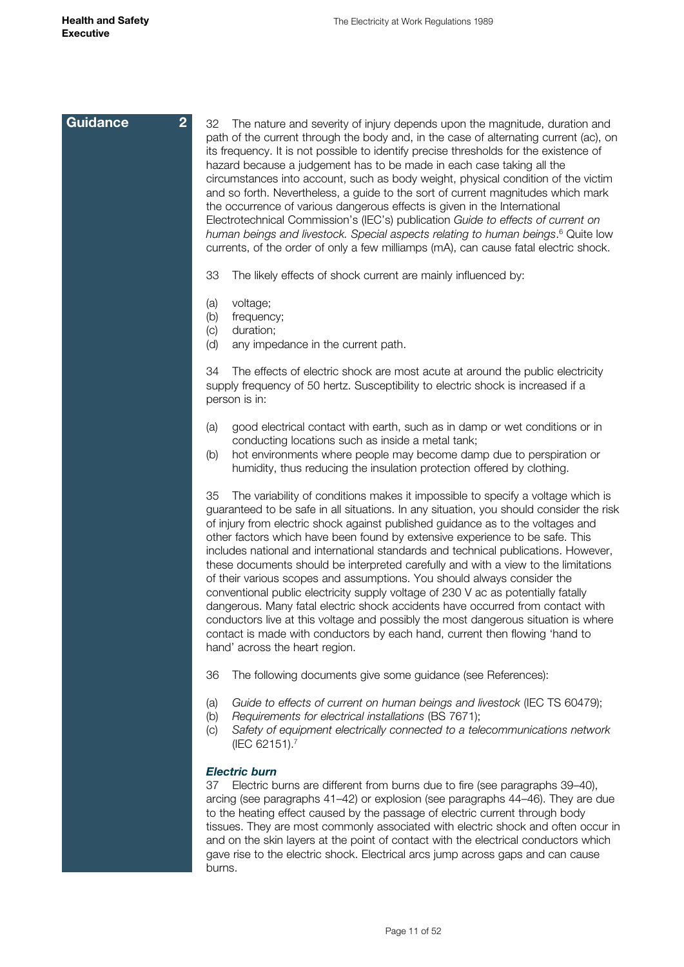| <b>Guidance</b><br>$\overline{2}$ | 32<br>The nature and severity of injury depends upon the magnitude, duration and<br>path of the current through the body and, in the case of alternating current (ac), on<br>its frequency. It is not possible to identify precise thresholds for the existence of<br>hazard because a judgement has to be made in each case taking all the<br>circumstances into account, such as body weight, physical condition of the victim<br>and so forth. Nevertheless, a guide to the sort of current magnitudes which mark<br>the occurrence of various dangerous effects is given in the International<br>Electrotechnical Commission's (IEC's) publication Guide to effects of current on<br>human beings and livestock. Special aspects relating to human beings. <sup>6</sup> Quite low<br>currents, of the order of only a few milliamps (mA), can cause fatal electric shock.                                                                                                            |
|-----------------------------------|------------------------------------------------------------------------------------------------------------------------------------------------------------------------------------------------------------------------------------------------------------------------------------------------------------------------------------------------------------------------------------------------------------------------------------------------------------------------------------------------------------------------------------------------------------------------------------------------------------------------------------------------------------------------------------------------------------------------------------------------------------------------------------------------------------------------------------------------------------------------------------------------------------------------------------------------------------------------------------------|
|                                   | 33<br>The likely effects of shock current are mainly influenced by:                                                                                                                                                                                                                                                                                                                                                                                                                                                                                                                                                                                                                                                                                                                                                                                                                                                                                                                      |
|                                   | voltage;<br>(a)<br>(b)<br>frequency;<br>duration;<br>(c)<br>any impedance in the current path.<br>(d)                                                                                                                                                                                                                                                                                                                                                                                                                                                                                                                                                                                                                                                                                                                                                                                                                                                                                    |
|                                   | 34<br>The effects of electric shock are most acute at around the public electricity<br>supply frequency of 50 hertz. Susceptibility to electric shock is increased if a<br>person is in:                                                                                                                                                                                                                                                                                                                                                                                                                                                                                                                                                                                                                                                                                                                                                                                                 |
|                                   | good electrical contact with earth, such as in damp or wet conditions or in<br>(a)<br>conducting locations such as inside a metal tank;<br>hot environments where people may become damp due to perspiration or<br>(b)<br>humidity, thus reducing the insulation protection offered by clothing.                                                                                                                                                                                                                                                                                                                                                                                                                                                                                                                                                                                                                                                                                         |
|                                   | 35<br>The variability of conditions makes it impossible to specify a voltage which is<br>guaranteed to be safe in all situations. In any situation, you should consider the risk<br>of injury from electric shock against published guidance as to the voltages and<br>other factors which have been found by extensive experience to be safe. This<br>includes national and international standards and technical publications. However,<br>these documents should be interpreted carefully and with a view to the limitations<br>of their various scopes and assumptions. You should always consider the<br>conventional public electricity supply voltage of 230 V ac as potentially fatally<br>dangerous. Many fatal electric shock accidents have occurred from contact with<br>conductors live at this voltage and possibly the most dangerous situation is where<br>contact is made with conductors by each hand, current then flowing 'hand to<br>hand' across the heart region. |
|                                   | 36<br>The following documents give some guidance (see References):                                                                                                                                                                                                                                                                                                                                                                                                                                                                                                                                                                                                                                                                                                                                                                                                                                                                                                                       |
|                                   | Guide to effects of current on human beings and livestock (IEC TS 60479);<br>(a)<br>Requirements for electrical installations (BS 7671);<br>(b)<br>Safety of equipment electrically connected to a telecommunications network<br>(c)<br>(IEC 62151). <sup>7</sup>                                                                                                                                                                                                                                                                                                                                                                                                                                                                                                                                                                                                                                                                                                                        |
|                                   | <b>Electric burn</b><br>37<br>Electric burns are different from burns due to fire (see paragraphs 39–40),<br>arcing (see paragraphs 41–42) or explosion (see paragraphs 44–46). They are due<br>to the heating effect caused by the passage of electric current through body<br>tissues. They are most commonly associated with electric shock and often occur in<br>and on the skin layers at the point of contact with the electrical conductors which<br>gave rise to the electric shock. Electrical arcs jump across gaps and can cause                                                                                                                                                                                                                                                                                                                                                                                                                                              |

burns.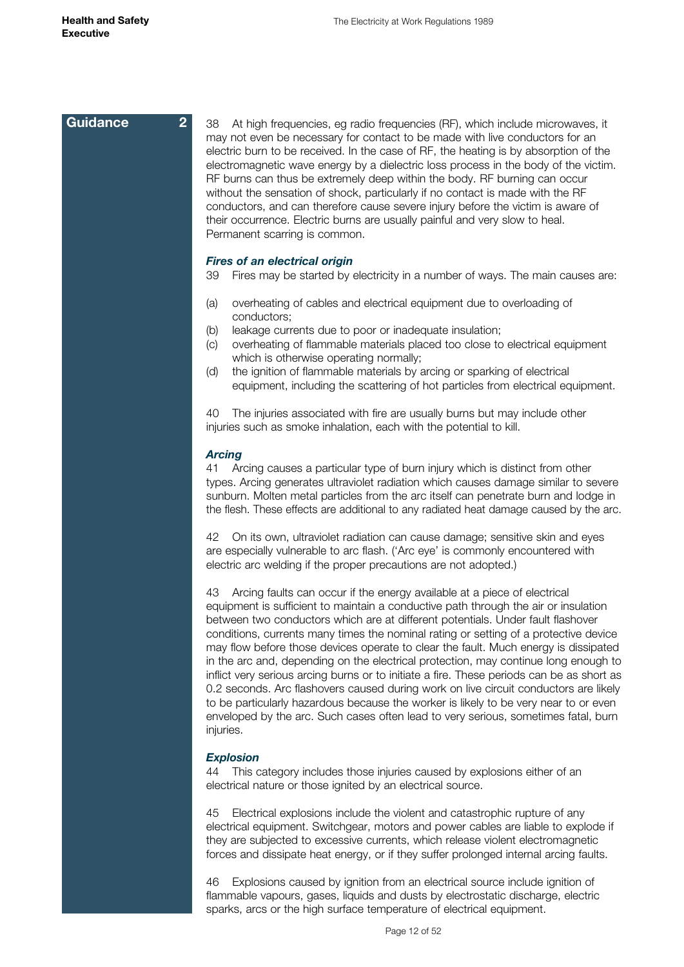| $\overline{2}$<br><b>Guidance</b> | At high frequencies, eg radio frequencies (RF), which include microwaves, it<br>38<br>may not even be necessary for contact to be made with live conductors for an<br>electric burn to be received. In the case of RF, the heating is by absorption of the<br>electromagnetic wave energy by a dielectric loss process in the body of the victim.<br>RF burns can thus be extremely deep within the body. RF burning can occur<br>without the sensation of shock, particularly if no contact is made with the RF<br>conductors, and can therefore cause severe injury before the victim is aware of<br>their occurrence. Electric burns are usually painful and very slow to heal.<br>Permanent scarring is common.                                                                                                                                                                                            |
|-----------------------------------|----------------------------------------------------------------------------------------------------------------------------------------------------------------------------------------------------------------------------------------------------------------------------------------------------------------------------------------------------------------------------------------------------------------------------------------------------------------------------------------------------------------------------------------------------------------------------------------------------------------------------------------------------------------------------------------------------------------------------------------------------------------------------------------------------------------------------------------------------------------------------------------------------------------|
|                                   | <b>Fires of an electrical origin</b><br>Fires may be started by electricity in a number of ways. The main causes are:<br>39                                                                                                                                                                                                                                                                                                                                                                                                                                                                                                                                                                                                                                                                                                                                                                                    |
|                                   | overheating of cables and electrical equipment due to overloading of<br>(a)<br>conductors;                                                                                                                                                                                                                                                                                                                                                                                                                                                                                                                                                                                                                                                                                                                                                                                                                     |
|                                   | leakage currents due to poor or inadequate insulation;<br>(b)<br>overheating of flammable materials placed too close to electrical equipment<br>(c)<br>which is otherwise operating normally;                                                                                                                                                                                                                                                                                                                                                                                                                                                                                                                                                                                                                                                                                                                  |
|                                   | the ignition of flammable materials by arcing or sparking of electrical<br>(d)<br>equipment, including the scattering of hot particles from electrical equipment.                                                                                                                                                                                                                                                                                                                                                                                                                                                                                                                                                                                                                                                                                                                                              |
|                                   | 40<br>The injuries associated with fire are usually burns but may include other<br>injuries such as smoke inhalation, each with the potential to kill.                                                                                                                                                                                                                                                                                                                                                                                                                                                                                                                                                                                                                                                                                                                                                         |
|                                   | <b>Arcing</b><br>Arcing causes a particular type of burn injury which is distinct from other<br>41<br>types. Arcing generates ultraviolet radiation which causes damage similar to severe<br>sunburn. Molten metal particles from the arc itself can penetrate burn and lodge in<br>the flesh. These effects are additional to any radiated heat damage caused by the arc.                                                                                                                                                                                                                                                                                                                                                                                                                                                                                                                                     |
|                                   | 42<br>On its own, ultraviolet radiation can cause damage; sensitive skin and eyes<br>are especially vulnerable to arc flash. ('Arc eye' is commonly encountered with<br>electric arc welding if the proper precautions are not adopted.)                                                                                                                                                                                                                                                                                                                                                                                                                                                                                                                                                                                                                                                                       |
|                                   | 43<br>Arcing faults can occur if the energy available at a piece of electrical<br>equipment is sufficient to maintain a conductive path through the air or insulation<br>between two conductors which are at different potentials. Under fault flashover<br>conditions, currents many times the nominal rating or setting of a protective device<br>may flow before those devices operate to clear the fault. Much energy is dissipated<br>in the arc and, depending on the electrical protection, may continue long enough to<br>inflict very serious arcing burns or to initiate a fire. These periods can be as short as<br>0.2 seconds. Arc flashovers caused during work on live circuit conductors are likely<br>to be particularly hazardous because the worker is likely to be very near to or even<br>enveloped by the arc. Such cases often lead to very serious, sometimes fatal, burn<br>injuries. |
|                                   | <b>Explosion</b><br>This category includes those injuries caused by explosions either of an<br>44<br>electrical nature or those ignited by an electrical source.                                                                                                                                                                                                                                                                                                                                                                                                                                                                                                                                                                                                                                                                                                                                               |

45 Electrical explosions include the violent and catastrophic rupture of any electrical equipment. Switchgear, motors and power cables are liable to explode if they are subjected to excessive currents, which release violent electromagnetic forces and dissipate heat energy, or if they suffer prolonged internal arcing faults.

46 Explosions caused by ignition from an electrical source include ignition of flammable vapours, gases, liquids and dusts by electrostatic discharge, electric sparks, arcs or the high surface temperature of electrical equipment.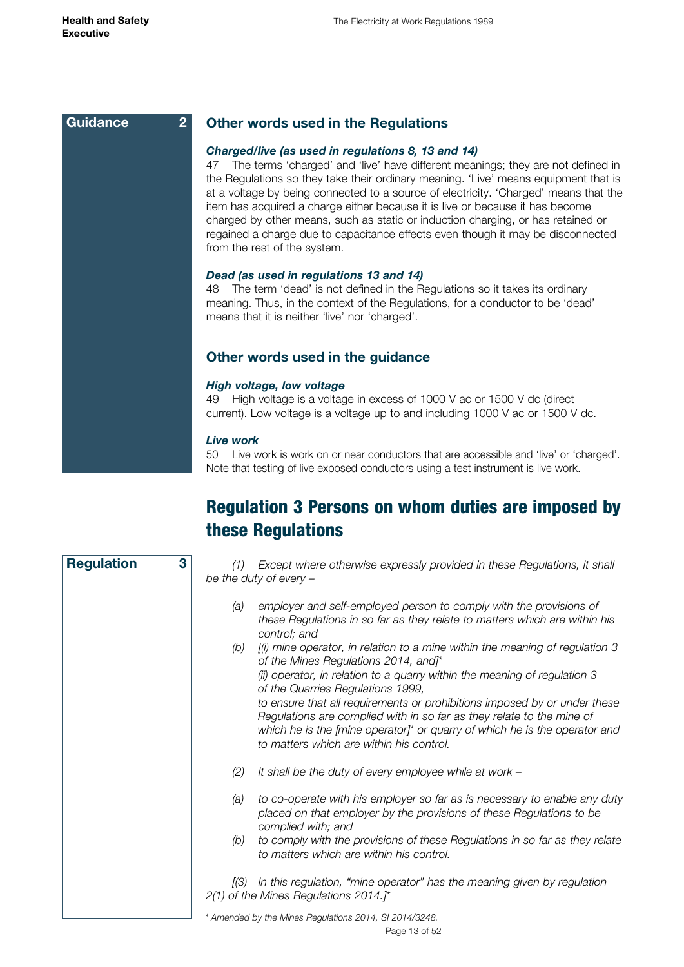<span id="page-12-0"></span>

| <b>Guidance</b><br>$\overline{2}$ | Other words used in the Regulations                                                                                                                                                                                                                                                                                                                                                                                                                                                                                                                                                                                |
|-----------------------------------|--------------------------------------------------------------------------------------------------------------------------------------------------------------------------------------------------------------------------------------------------------------------------------------------------------------------------------------------------------------------------------------------------------------------------------------------------------------------------------------------------------------------------------------------------------------------------------------------------------------------|
|                                   | Charged/live (as used in regulations 8, 13 and 14)<br>The terms 'charged' and 'live' have different meanings; they are not defined in<br>47<br>the Regulations so they take their ordinary meaning. 'Live' means equipment that is<br>at a voltage by being connected to a source of electricity. 'Charged' means that the<br>item has acquired a charge either because it is live or because it has become<br>charged by other means, such as static or induction charging, or has retained or<br>regained a charge due to capacitance effects even though it may be disconnected<br>from the rest of the system. |
|                                   | Dead (as used in regulations 13 and 14)<br>The term 'dead' is not defined in the Regulations so it takes its ordinary<br>48<br>meaning. Thus, in the context of the Regulations, for a conductor to be 'dead'<br>means that it is neither 'live' nor 'charged'.                                                                                                                                                                                                                                                                                                                                                    |
|                                   | Other words used in the guidance                                                                                                                                                                                                                                                                                                                                                                                                                                                                                                                                                                                   |
|                                   | <b>High voltage, low voltage</b><br>High voltage is a voltage in excess of 1000 V ac or 1500 V dc (direct<br>49<br>current). Low voltage is a voltage up to and including 1000 V ac or 1500 V dc.                                                                                                                                                                                                                                                                                                                                                                                                                  |
|                                   | <b>Live work</b><br>Live work is work on or near conductors that are accessible and 'live' or 'charged'.<br>50<br>Note that testing of live exposed conductors using a test instrument is live work.                                                                                                                                                                                                                                                                                                                                                                                                               |

# Regulation 3 Persons on whom duties are imposed by these Regulations

| 3<br><b>Regulation</b> | (1)          | Except where otherwise expressly provided in these Regulations, it shall                                                                                                                                                                                                     |
|------------------------|--------------|------------------------------------------------------------------------------------------------------------------------------------------------------------------------------------------------------------------------------------------------------------------------------|
|                        |              | be the duty of every -                                                                                                                                                                                                                                                       |
|                        | (a)<br>(b)   | employer and self-employed person to comply with the provisions of<br>these Regulations in so far as they relate to matters which are within his<br>control; and<br>$\alpha$ mine operator, in relation to a mine within the meaning of regulation 3                         |
|                        |              | of the Mines Regulations 2014, and]*<br>(ii) operator, in relation to a quarry within the meaning of regulation 3<br>of the Quarries Regulations 1999,                                                                                                                       |
|                        |              | to ensure that all requirements or prohibitions imposed by or under these<br>Regulations are complied with in so far as they relate to the mine of<br>which he is the [mine operator]* or quarry of which he is the operator and<br>to matters which are within his control. |
|                        | (2)          | It shall be the duty of every employee while at work -                                                                                                                                                                                                                       |
|                        | (a)          | to co-operate with his employer so far as is necessary to enable any duty<br>placed on that employer by the provisions of these Regulations to be<br>complied with; and                                                                                                      |
|                        | (b)          | to comply with the provisions of these Regulations in so far as they relate<br>to matters which are within his control.                                                                                                                                                      |
|                        | $\sqrt{(3)}$ | In this regulation, "mine operator" has the meaning given by regulation<br>$2(1)$ of the Mines Regulations 2014.]*                                                                                                                                                           |
|                        |              | * Amended by the Mines Regulations 2014, SI 2014/3248.                                                                                                                                                                                                                       |

Page 13 of 52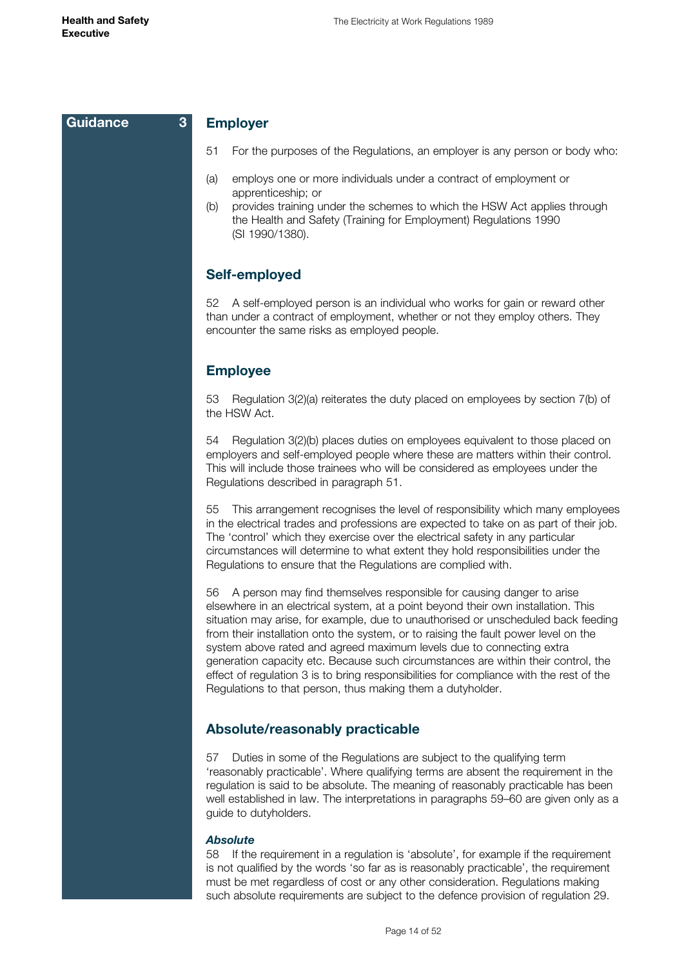| <b>Guidance</b><br>3 | <b>Employer</b>                                                                                                                                                                                                                                                                                                                                                                                                                                                                                                                                                                                                                                                   |
|----------------------|-------------------------------------------------------------------------------------------------------------------------------------------------------------------------------------------------------------------------------------------------------------------------------------------------------------------------------------------------------------------------------------------------------------------------------------------------------------------------------------------------------------------------------------------------------------------------------------------------------------------------------------------------------------------|
|                      | 51<br>For the purposes of the Regulations, an employer is any person or body who:                                                                                                                                                                                                                                                                                                                                                                                                                                                                                                                                                                                 |
|                      | employs one or more individuals under a contract of employment or<br>(a)                                                                                                                                                                                                                                                                                                                                                                                                                                                                                                                                                                                          |
|                      | apprenticeship; or<br>provides training under the schemes to which the HSW Act applies through<br>(b)<br>the Health and Safety (Training for Employment) Regulations 1990<br>(SI 1990/1380).                                                                                                                                                                                                                                                                                                                                                                                                                                                                      |
|                      | Self-employed                                                                                                                                                                                                                                                                                                                                                                                                                                                                                                                                                                                                                                                     |
|                      | A self-employed person is an individual who works for gain or reward other<br>52<br>than under a contract of employment, whether or not they employ others. They<br>encounter the same risks as employed people.                                                                                                                                                                                                                                                                                                                                                                                                                                                  |
|                      | <b>Employee</b>                                                                                                                                                                                                                                                                                                                                                                                                                                                                                                                                                                                                                                                   |
|                      | Regulation 3(2)(a) reiterates the duty placed on employees by section 7(b) of<br>53<br>the HSW Act.                                                                                                                                                                                                                                                                                                                                                                                                                                                                                                                                                               |
|                      | Regulation 3(2)(b) places duties on employees equivalent to those placed on<br>54<br>employers and self-employed people where these are matters within their control.<br>This will include those trainees who will be considered as employees under the<br>Regulations described in paragraph 51.                                                                                                                                                                                                                                                                                                                                                                 |
|                      | This arrangement recognises the level of responsibility which many employees<br>55<br>in the electrical trades and professions are expected to take on as part of their job.<br>The 'control' which they exercise over the electrical safety in any particular<br>circumstances will determine to what extent they hold responsibilities under the<br>Regulations to ensure that the Regulations are complied with.                                                                                                                                                                                                                                               |
|                      | A person may find themselves responsible for causing danger to arise<br>56<br>elsewhere in an electrical system, at a point beyond their own installation. This<br>situation may arise, for example, due to unauthorised or unscheduled back feeding<br>from their installation onto the system, or to raising the fault power level on the<br>system above rated and agreed maximum levels due to connecting extra<br>generation capacity etc. Because such circumstances are within their control, the<br>effect of regulation 3 is to bring responsibilities for compliance with the rest of the<br>Regulations to that person, thus making them a dutyholder. |
|                      | <b>Absolute/reasonably practicable</b>                                                                                                                                                                                                                                                                                                                                                                                                                                                                                                                                                                                                                            |
|                      | Duties in some of the Regulations are subject to the qualifying term<br>57<br>'reasonably practicable'. Where qualifying terms are absent the requirement in the<br>regulation is said to be absolute. The meaning of reasonably practicable has been<br>well established in law. The interpretations in paragraphs 59-60 are given only as a<br>guide to dutyholders.                                                                                                                                                                                                                                                                                            |
|                      | <b>Absolute</b><br>If the requirement in a regulation is 'absolute', for example if the requirement<br>58<br>is not qualified by the words 'so far as is reasonably practicable', the requirement                                                                                                                                                                                                                                                                                                                                                                                                                                                                 |

must be met regardless of cost or any other consideration. Regulations making such absolute requirements are subject to the defence provision of regulation 29.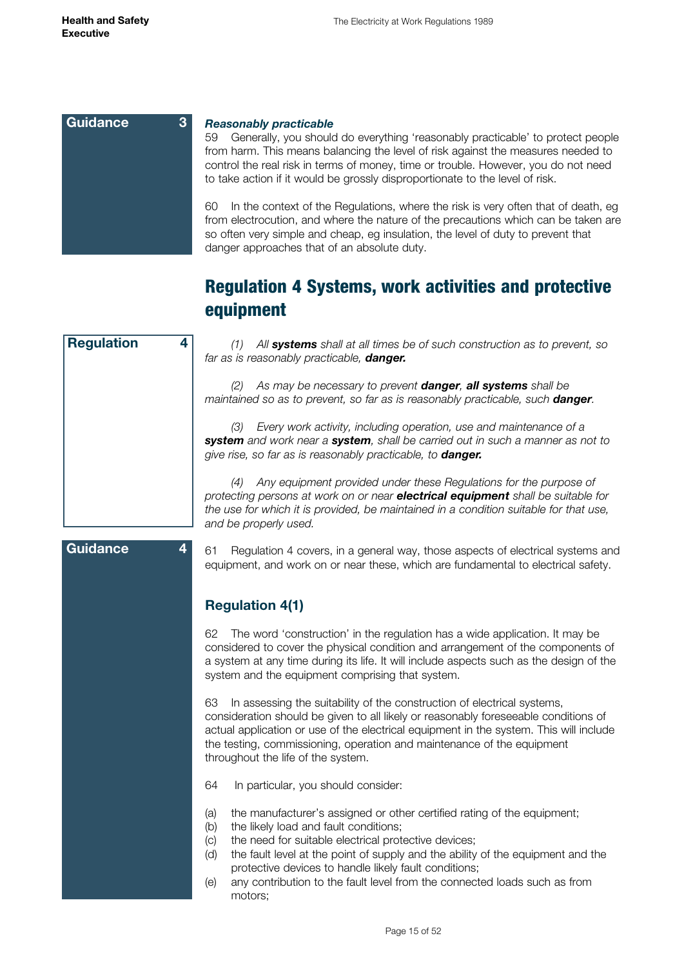<span id="page-14-0"></span>

#### *Reasonably practicable*

59 Generally, you should do everything 'reasonably practicable' to protect people from harm. This means balancing the level of risk against the measures needed to control the real risk in terms of money, time or trouble. However, you do not need to take action if it would be grossly disproportionate to the level of risk.

60 In the context of the Regulations, where the risk is very often that of death, eg from electrocution, and where the nature of the precautions which can be taken are so often very simple and cheap, eg insulation, the level of duty to prevent that danger approaches that of an absolute duty.

# Regulation 4 Systems, work activities and protective equipment



*(1) All systems shall at all times be of such construction as to prevent, so far as is reasonably practicable, danger.*

*(2) As may be necessary to prevent danger, all systems shall be maintained so as to prevent, so far as is reasonably practicable, such danger.* 

*(3) Every work activity, including operation, use and maintenance of a system and work near a system, shall be carried out in such a manner as not to give rise, so far as is reasonably practicable, to danger.*

*(4) Any equipment provided under these Regulations for the purpose of protecting persons at work on or near electrical equipment shall be suitable for the use for which it is provided, be maintained in a condition suitable for that use, and be properly used.*

#### **Guidance 4**

61 Regulation 4 covers, in a general way, those aspects of electrical systems and equipment, and work on or near these, which are fundamental to electrical safety.

#### **Regulation 4(1)**

62 The word 'construction' in the regulation has a wide application. It may be considered to cover the physical condition and arrangement of the components of a system at any time during its life. It will include aspects such as the design of the system and the equipment comprising that system.

63 In assessing the suitability of the construction of electrical systems, consideration should be given to all likely or reasonably foreseeable conditions of actual application or use of the electrical equipment in the system. This will include the testing, commissioning, operation and maintenance of the equipment throughout the life of the system.

- 64 In particular, you should consider:
- (a) the manufacturer's assigned or other certified rating of the equipment;
- (b) the likely load and fault conditions;
- (c) the need for suitable electrical protective devices;
- (d) the fault level at the point of supply and the ability of the equipment and the protective devices to handle likely fault conditions;
- (e) any contribution to the fault level from the connected loads such as from motors;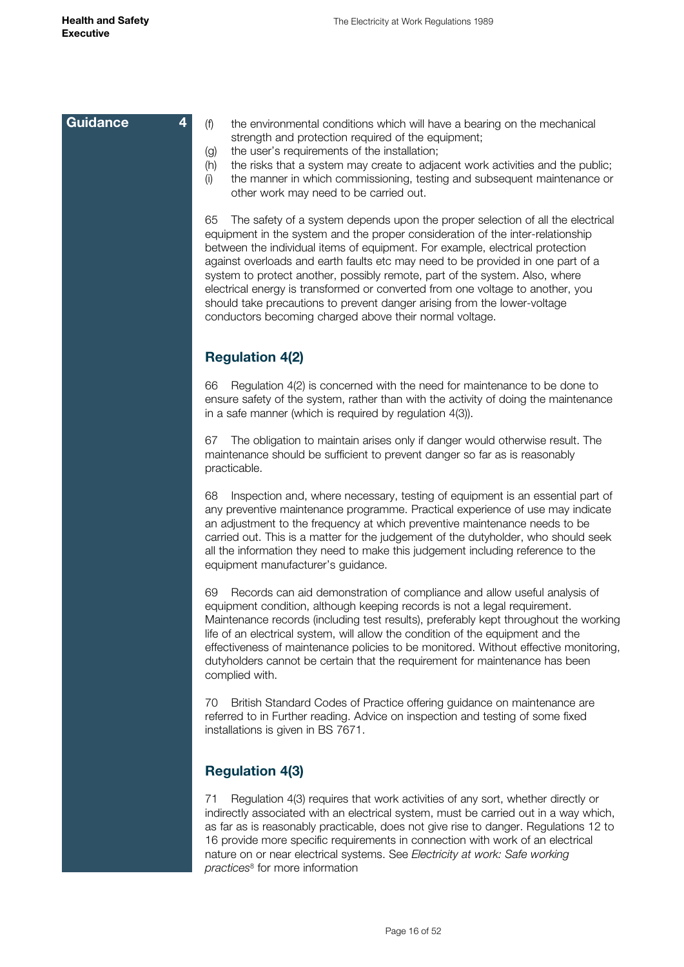| <b>Guidance</b><br>4 | (f)<br>the environmental conditions which will have a bearing on the mechanical<br>strength and protection required of the equipment;<br>the user's requirements of the installation;<br>(g)<br>the risks that a system may create to adjacent work activities and the public;<br>(h)<br>the manner in which commissioning, testing and subsequent maintenance or<br>(i)<br>other work may need to be carried out.                                                                                                                                                                                                                                 |
|----------------------|----------------------------------------------------------------------------------------------------------------------------------------------------------------------------------------------------------------------------------------------------------------------------------------------------------------------------------------------------------------------------------------------------------------------------------------------------------------------------------------------------------------------------------------------------------------------------------------------------------------------------------------------------|
|                      | 65<br>The safety of a system depends upon the proper selection of all the electrical<br>equipment in the system and the proper consideration of the inter-relationship<br>between the individual items of equipment. For example, electrical protection<br>against overloads and earth faults etc may need to be provided in one part of a<br>system to protect another, possibly remote, part of the system. Also, where<br>electrical energy is transformed or converted from one voltage to another, you<br>should take precautions to prevent danger arising from the lower-voltage<br>conductors becoming charged above their normal voltage. |
|                      | <b>Regulation 4(2)</b>                                                                                                                                                                                                                                                                                                                                                                                                                                                                                                                                                                                                                             |
|                      | Regulation 4(2) is concerned with the need for maintenance to be done to<br>66<br>ensure safety of the system, rather than with the activity of doing the maintenance<br>in a safe manner (which is required by regulation 4(3)).                                                                                                                                                                                                                                                                                                                                                                                                                  |
|                      | The obligation to maintain arises only if danger would otherwise result. The<br>67<br>maintenance should be sufficient to prevent danger so far as is reasonably<br>practicable.                                                                                                                                                                                                                                                                                                                                                                                                                                                                   |
|                      | 68<br>Inspection and, where necessary, testing of equipment is an essential part of<br>any preventive maintenance programme. Practical experience of use may indicate<br>an adjustment to the frequency at which preventive maintenance needs to be<br>carried out. This is a matter for the judgement of the dutyholder, who should seek<br>all the information they need to make this judgement including reference to the<br>equipment manufacturer's guidance.                                                                                                                                                                                 |
|                      | 69<br>Records can aid demonstration of compliance and allow useful analysis of<br>equipment condition, although keeping records is not a legal requirement.<br>Maintenance records (including test results), preferably kept throughout the working<br>life of an electrical system, will allow the condition of the equipment and the<br>effectiveness of maintenance policies to be monitored. Without effective monitoring,<br>dutyholders cannot be certain that the requirement for maintenance has been<br>complied with.                                                                                                                    |
|                      | British Standard Codes of Practice offering guidance on maintenance are<br>70<br>referred to in Further reading. Advice on inspection and testing of some fixed<br>installations is given in BS 7671.                                                                                                                                                                                                                                                                                                                                                                                                                                              |
|                      | <b>Regulation 4(3)</b>                                                                                                                                                                                                                                                                                                                                                                                                                                                                                                                                                                                                                             |
|                      | Regulation 4(3) requires that work activities of any sort, whether directly or<br>71<br>indirectly associated with an electrical system, must be carried out in a way which,<br>as far as is reasonably practicable, does not give rise to danger. Regulations 12 to<br>16 provide more specific requirements in connection with work of an electrical<br>nature on or near electrical systems. See Electricity at work: Safe working<br>practices <sup>8</sup> for more information                                                                                                                                                               |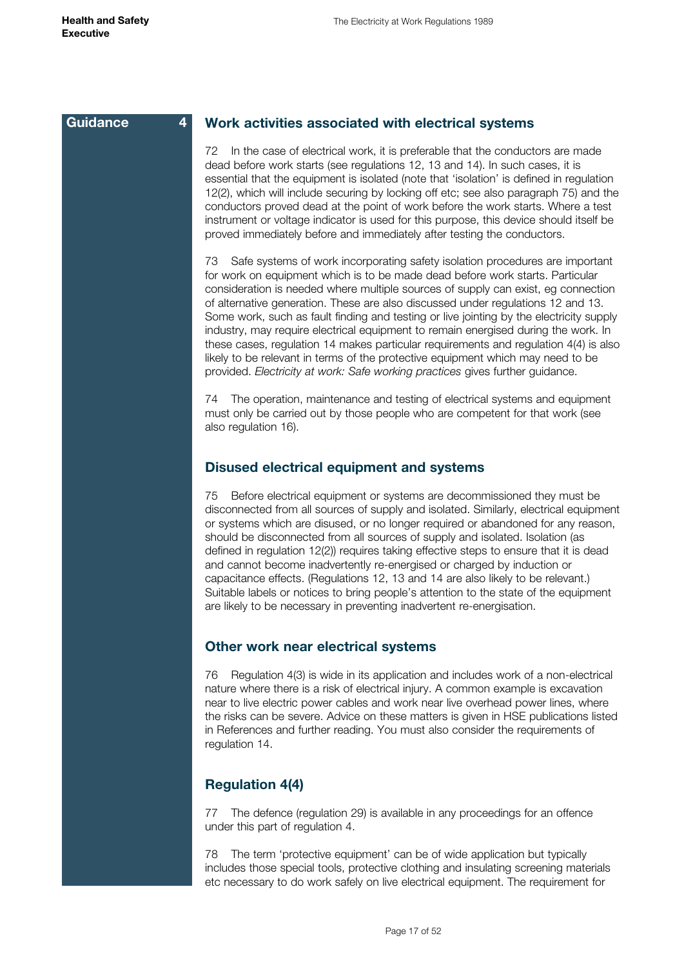| <b>Guidance</b><br>4 | Work activities associated with electrical systems                                                                                                                                                                                                                                                                                                                                                                                                                                                                                                                                                                                                                                                                                                                                        |
|----------------------|-------------------------------------------------------------------------------------------------------------------------------------------------------------------------------------------------------------------------------------------------------------------------------------------------------------------------------------------------------------------------------------------------------------------------------------------------------------------------------------------------------------------------------------------------------------------------------------------------------------------------------------------------------------------------------------------------------------------------------------------------------------------------------------------|
|                      | In the case of electrical work, it is preferable that the conductors are made<br>72<br>dead before work starts (see regulations 12, 13 and 14). In such cases, it is<br>essential that the equipment is isolated (note that 'isolation' is defined in regulation<br>12(2), which will include securing by locking off etc; see also paragraph 75) and the<br>conductors proved dead at the point of work before the work starts. Where a test<br>instrument or voltage indicator is used for this purpose, this device should itself be<br>proved immediately before and immediately after testing the conductors.                                                                                                                                                                        |
|                      | Safe systems of work incorporating safety isolation procedures are important<br>73<br>for work on equipment which is to be made dead before work starts. Particular<br>consideration is needed where multiple sources of supply can exist, eg connection<br>of alternative generation. These are also discussed under regulations 12 and 13.<br>Some work, such as fault finding and testing or live jointing by the electricity supply<br>industry, may require electrical equipment to remain energised during the work. In<br>these cases, regulation 14 makes particular requirements and regulation 4(4) is also<br>likely to be relevant in terms of the protective equipment which may need to be<br>provided. Electricity at work: Safe working practices gives further guidance. |
|                      | The operation, maintenance and testing of electrical systems and equipment<br>74<br>must only be carried out by those people who are competent for that work (see<br>also regulation 16).                                                                                                                                                                                                                                                                                                                                                                                                                                                                                                                                                                                                 |
|                      | <b>Disused electrical equipment and systems</b>                                                                                                                                                                                                                                                                                                                                                                                                                                                                                                                                                                                                                                                                                                                                           |
|                      | Before electrical equipment or systems are decommissioned they must be<br>75<br>disconnected from all sources of supply and isolated. Similarly, electrical equipment<br>or systems which are disused, or no longer required or abandoned for any reason,<br>should be disconnected from all sources of supply and isolated. Isolation (as<br>defined in regulation 12(2)) requires taking effective steps to ensure that it is dead<br>and cannot become inadvertently re-energised or charged by induction or<br>capacitance effects. (Regulations 12, 13 and 14 are also likely to be relevant.)<br>Suitable labels or notices to bring people's attention to the state of the equipment<br>are likely to be necessary in preventing inadvertent re-energisation.                      |
|                      | Other work near electrical systems                                                                                                                                                                                                                                                                                                                                                                                                                                                                                                                                                                                                                                                                                                                                                        |
|                      | Regulation 4(3) is wide in its application and includes work of a non-electrical<br>76<br>nature where there is a risk of electrical injury. A common example is excavation<br>near to live electric power cables and work near live overhead power lines, where<br>the risks can be severe. Advice on these matters is given in HSE publications listed<br>in References and further reading. You must also consider the requirements of<br>regulation 14.                                                                                                                                                                                                                                                                                                                               |
|                      | <b>Regulation 4(4)</b>                                                                                                                                                                                                                                                                                                                                                                                                                                                                                                                                                                                                                                                                                                                                                                    |
|                      | The defence (regulation 29) is available in any proceedings for an offence<br>77<br>under this part of regulation 4.                                                                                                                                                                                                                                                                                                                                                                                                                                                                                                                                                                                                                                                                      |
|                      |                                                                                                                                                                                                                                                                                                                                                                                                                                                                                                                                                                                                                                                                                                                                                                                           |

78 The term 'protective equipment' can be of wide application but typically includes those special tools, protective clothing and insulating screening materials etc necessary to do work safely on live electrical equipment. The requirement for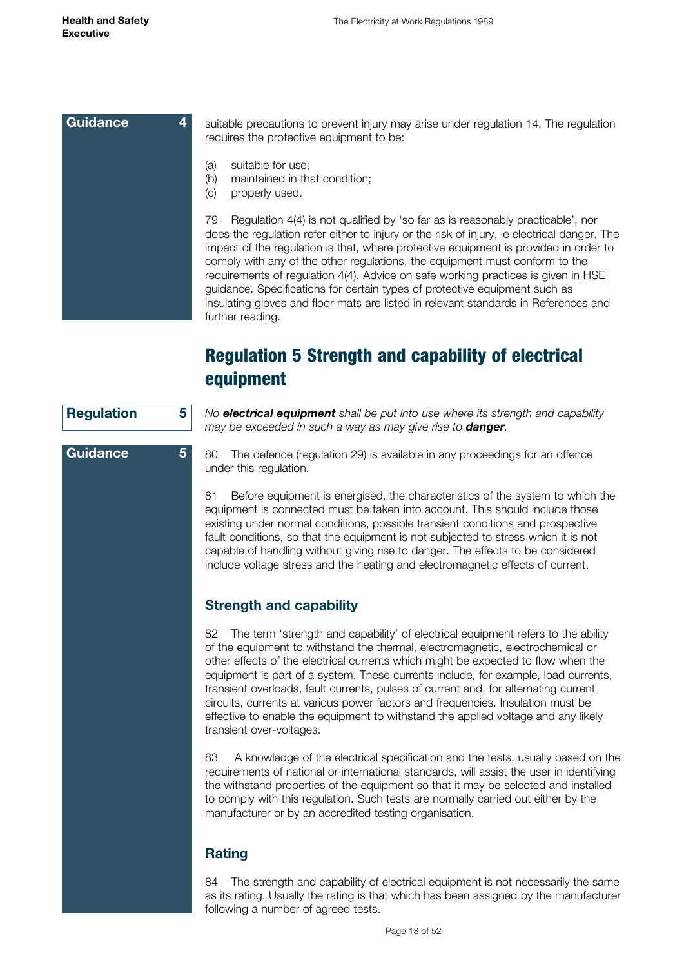**Guidance 5**

**Regulation 5**

<span id="page-17-0"></span>

| <b>Guidance</b><br>4 | suitable precautions to prevent injury may arise under regulation 14. The regulation<br>requires the protective equipment to be:                                                                                                                                                                                                                                                                                                                                                                                                                                                                                                         |
|----------------------|------------------------------------------------------------------------------------------------------------------------------------------------------------------------------------------------------------------------------------------------------------------------------------------------------------------------------------------------------------------------------------------------------------------------------------------------------------------------------------------------------------------------------------------------------------------------------------------------------------------------------------------|
|                      | suitable for use;<br>(a)<br>maintained in that condition;<br>(b)<br>properly used.<br>(C)                                                                                                                                                                                                                                                                                                                                                                                                                                                                                                                                                |
|                      | Regulation 4(4) is not qualified by 'so far as is reasonably practicable', nor<br>79<br>does the regulation refer either to injury or the risk of injury, ie electrical danger. The<br>impact of the regulation is that, where protective equipment is provided in order to<br>comply with any of the other regulations, the equipment must conform to the<br>requirements of regulation 4(4). Advice on safe working practices is given in HSE<br>guidance. Specifications for certain types of protective equipment such as<br>insulating gloves and floor mats are listed in relevant standards in References and<br>further reading. |

# Regulation 5 Strength and capability of electrical equipment

*No electrical equipment shall be put into use where its strength and capability may be exceeded in such a way as may give rise to danger.*

80 The defence (regulation 29) is available in any proceedings for an offence under this regulation.

81 Before equipment is energised, the characteristics of the system to which the equipment is connected must be taken into account. This should include those existing under normal conditions, possible transient conditions and prospective fault conditions, so that the equipment is not subjected to stress which it is not capable of handling without giving rise to danger. The effects to be considered include voltage stress and the heating and electromagnetic effects of current.

#### **Strength and capability**

82 The term 'strength and capability' of electrical equipment refers to the ability of the equipment to withstand the thermal, electromagnetic, electrochemical or other effects of the electrical currents which might be expected to flow when the equipment is part of a system. These currents include, for example, load currents, transient overloads, fault currents, pulses of current and, for alternating current circuits, currents at various power factors and frequencies. Insulation must be effective to enable the equipment to withstand the applied voltage and any likely transient over-voltages.

83 A knowledge of the electrical specification and the tests, usually based on the requirements of national or international standards, will assist the user in identifying the withstand properties of the equipment so that it may be selected and installed to comply with this regulation. Such tests are normally carried out either by the manufacturer or by an accredited testing organisation.

#### **Rating**

84 The strength and capability of electrical equipment is not necessarily the same as its rating. Usually the rating is that which has been assigned by the manufacturer following a number of agreed tests.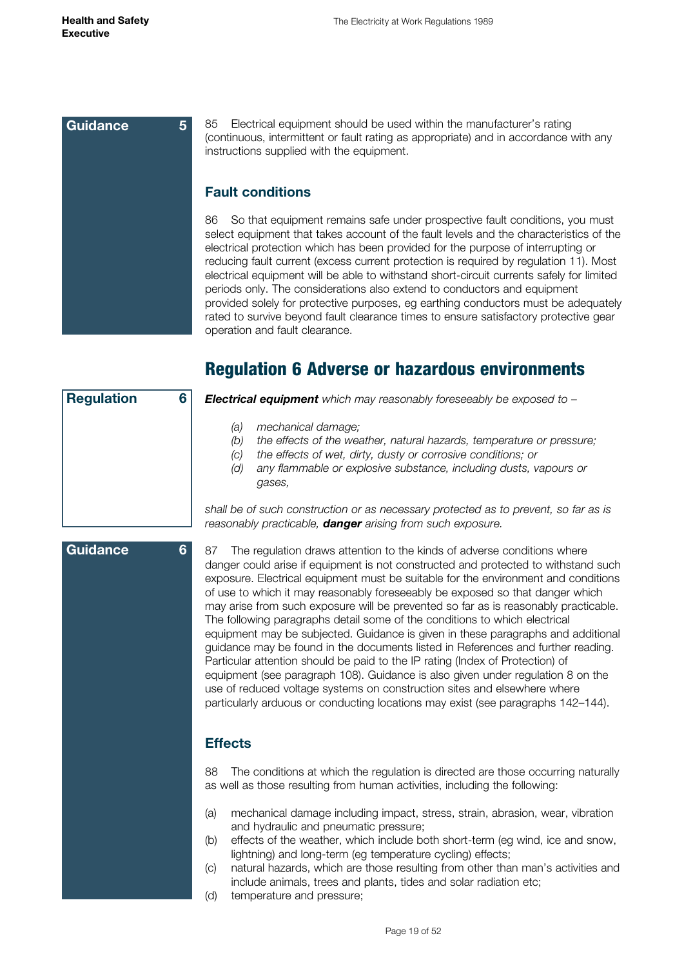<span id="page-18-0"></span>

# Regulation 6 Adverse or hazardous environments

| Regulation | 6 |
|------------|---|
|            |   |
|            |   |
|            |   |
|            |   |
|            |   |
|            |   |

*Electrical equipment which may reasonably foreseeably be exposed to –*

- *(a) mechanical damage;*
- *(b) the effects of the weather, natural hazards, temperature or pressure;*
- *(c) the effects of wet, dirty, dusty or corrosive conditions; or*
- *(d) any flammable or explosive substance, including dusts, vapours or gases,*

*shall be of such construction or as necessary protected as to prevent, so far as is reasonably practicable, danger arising from such exposure.*

# **Guidance 6**

87 The regulation draws attention to the kinds of adverse conditions where danger could arise if equipment is not constructed and protected to withstand such exposure. Electrical equipment must be suitable for the environment and conditions of use to which it may reasonably foreseeably be exposed so that danger which may arise from such exposure will be prevented so far as is reasonably practicable. The following paragraphs detail some of the conditions to which electrical equipment may be subjected. Guidance is given in these paragraphs and additional guidance may be found in the documents listed in References and further reading. Particular attention should be paid to the IP rating (Index of Protection) of equipment (see paragraph 108). Guidance is also given under regulation 8 on the use of reduced voltage systems on construction sites and elsewhere where particularly arduous or conducting locations may exist (see paragraphs 142–144).

#### **Effects**

88 The conditions at which the regulation is directed are those occurring naturally as well as those resulting from human activities, including the following:

- (a) mechanical damage including impact, stress, strain, abrasion, wear, vibration and hydraulic and pneumatic pressure;
- (b) effects of the weather, which include both short-term (eg wind, ice and snow, lightning) and long-term (eg temperature cycling) effects;
- (c) natural hazards, which are those resulting from other than man's activities and include animals, trees and plants, tides and solar radiation etc;
- (d) temperature and pressure;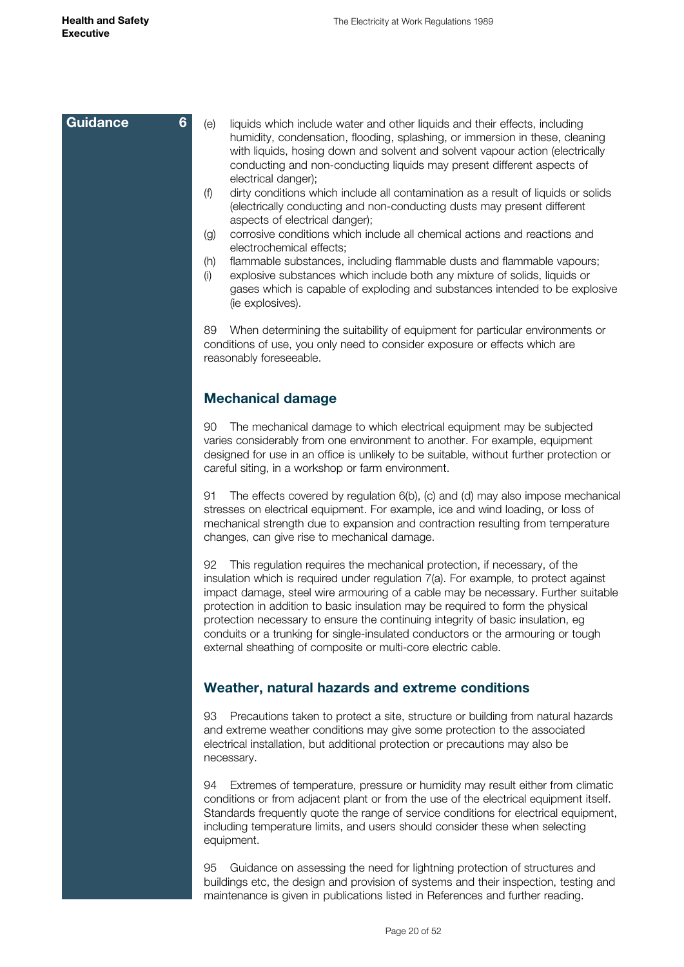| <b>Guidance</b><br>6 | liquids which include water and other liquids and their effects, including<br>(e)<br>humidity, condensation, flooding, splashing, or immersion in these, cleaning<br>with liquids, hosing down and solvent and solvent vapour action (electrically<br>conducting and non-conducting liquids may present different aspects of<br>electrical danger);<br>(f)<br>dirty conditions which include all contamination as a result of liquids or solids<br>(electrically conducting and non-conducting dusts may present different<br>aspects of electrical danger);<br>corrosive conditions which include all chemical actions and reactions and<br>(g)<br>electrochemical effects;<br>flammable substances, including flammable dusts and flammable vapours;<br>(h)<br>explosive substances which include both any mixture of solids, liquids or<br>(i)<br>gases which is capable of exploding and substances intended to be explosive<br>(ie explosives).<br>When determining the suitability of equipment for particular environments or<br>89<br>conditions of use, you only need to consider exposure or effects which are<br>reasonably foreseeable. |
|----------------------|-----------------------------------------------------------------------------------------------------------------------------------------------------------------------------------------------------------------------------------------------------------------------------------------------------------------------------------------------------------------------------------------------------------------------------------------------------------------------------------------------------------------------------------------------------------------------------------------------------------------------------------------------------------------------------------------------------------------------------------------------------------------------------------------------------------------------------------------------------------------------------------------------------------------------------------------------------------------------------------------------------------------------------------------------------------------------------------------------------------------------------------------------------|
|                      | <b>Mechanical damage</b>                                                                                                                                                                                                                                                                                                                                                                                                                                                                                                                                                                                                                                                                                                                                                                                                                                                                                                                                                                                                                                                                                                                            |
|                      | The mechanical damage to which electrical equipment may be subjected<br>90<br>varies considerably from one environment to another. For example, equipment<br>designed for use in an office is unlikely to be suitable, without further protection or<br>careful siting, in a workshop or farm environment.                                                                                                                                                                                                                                                                                                                                                                                                                                                                                                                                                                                                                                                                                                                                                                                                                                          |
|                      | 91<br>The effects covered by regulation $6(b)$ , (c) and (d) may also impose mechanical<br>stresses on electrical equipment. For example, ice and wind loading, or loss of<br>mechanical strength due to expansion and contraction resulting from temperature<br>changes, can give rise to mechanical damage.                                                                                                                                                                                                                                                                                                                                                                                                                                                                                                                                                                                                                                                                                                                                                                                                                                       |
|                      | 92<br>This regulation requires the mechanical protection, if necessary, of the<br>insulation which is required under regulation 7(a). For example, to protect against<br>impact damage, steel wire armouring of a cable may be necessary. Further suitable<br>protection in addition to basic insulation may be required to form the physical<br>protection necessary to ensure the continuing integrity of basic insulation, eg<br>conduits or a trunking for single-insulated conductors or the armouring or tough<br>external sheathing of composite or multi-core electric cable.                                                                                                                                                                                                                                                                                                                                                                                                                                                                                                                                                               |
|                      | Weather, natural hazards and extreme conditions                                                                                                                                                                                                                                                                                                                                                                                                                                                                                                                                                                                                                                                                                                                                                                                                                                                                                                                                                                                                                                                                                                     |
|                      | Precautions taken to protect a site, structure or building from natural hazards<br>93<br>and extreme weather conditions may give some protection to the associated<br>electrical installation, but additional protection or precautions may also be<br>necessary.                                                                                                                                                                                                                                                                                                                                                                                                                                                                                                                                                                                                                                                                                                                                                                                                                                                                                   |
|                      | Extremes of temperature, pressure or humidity may result either from climatic<br>94<br>conditions or from adjacent plant or from the use of the electrical equipment itself.<br>Standards frequently quote the range of service conditions for electrical equipment,<br>including temperature limits, and users should consider these when selecting<br>equipment.                                                                                                                                                                                                                                                                                                                                                                                                                                                                                                                                                                                                                                                                                                                                                                                  |
|                      | 95<br>Guidance on assessing the need for lightning protection of structures and                                                                                                                                                                                                                                                                                                                                                                                                                                                                                                                                                                                                                                                                                                                                                                                                                                                                                                                                                                                                                                                                     |

buildings etc, the design and provision of systems and their inspection, testing and maintenance is given in publications listed in References and further reading.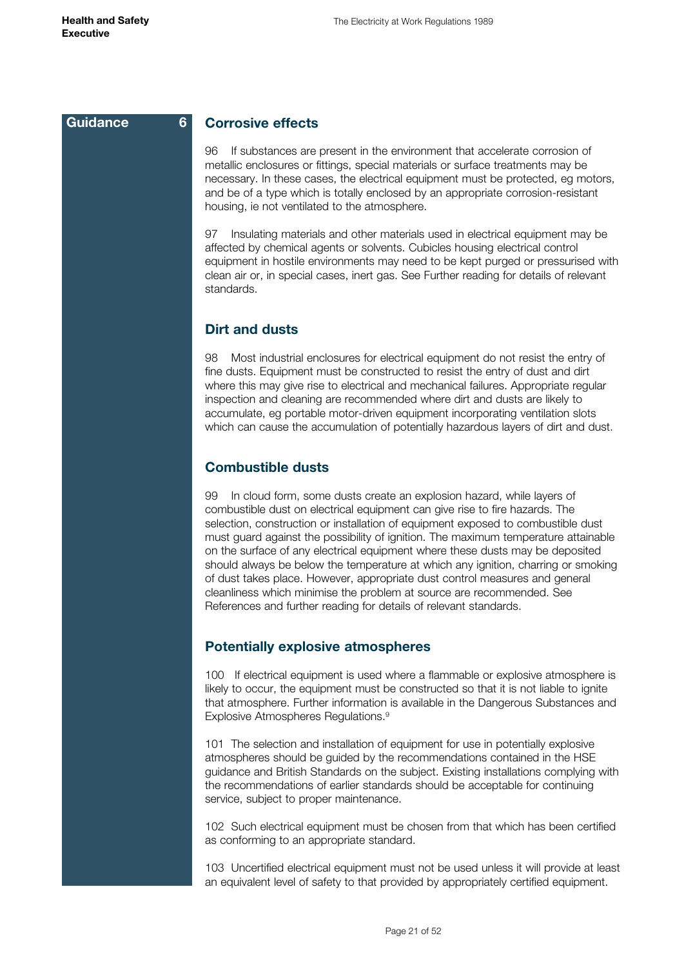#### **Guidance 6**

#### **Corrosive effects**

96 If substances are present in the environment that accelerate corrosion of metallic enclosures or fittings, special materials or surface treatments may be necessary. In these cases, the electrical equipment must be protected, eg motors, and be of a type which is totally enclosed by an appropriate corrosion-resistant housing, ie not ventilated to the atmosphere.

97 Insulating materials and other materials used in electrical equipment may be affected by chemical agents or solvents. Cubicles housing electrical control equipment in hostile environments may need to be kept purged or pressurised with clean air or, in special cases, inert gas. See Further reading for details of relevant standards.

#### **Dirt and dusts**

98 Most industrial enclosures for electrical equipment do not resist the entry of fine dusts. Equipment must be constructed to resist the entry of dust and dirt where this may give rise to electrical and mechanical failures. Appropriate regular inspection and cleaning are recommended where dirt and dusts are likely to accumulate, eg portable motor-driven equipment incorporating ventilation slots which can cause the accumulation of potentially hazardous layers of dirt and dust.

#### **Combustible dusts**

99 In cloud form, some dusts create an explosion hazard, while layers of combustible dust on electrical equipment can give rise to fire hazards. The selection, construction or installation of equipment exposed to combustible dust must guard against the possibility of ignition. The maximum temperature attainable on the surface of any electrical equipment where these dusts may be deposited should always be below the temperature at which any ignition, charring or smoking of dust takes place. However, appropriate dust control measures and general cleanliness which minimise the problem at source are recommended. See References and further reading for details of relevant standards.

#### **Potentially explosive atmospheres**

100 If electrical equipment is used where a flammable or explosive atmosphere is likely to occur, the equipment must be constructed so that it is not liable to ignite that atmosphere. Further information is available in the Dangerous Substances and Explosive Atmospheres Regulations.<sup>9</sup>

101 The selection and installation of equipment for use in potentially explosive atmospheres should be guided by the recommendations contained in the HSE guidance and British Standards on the subject. Existing installations complying with the recommendations of earlier standards should be acceptable for continuing service, subject to proper maintenance.

102 Such electrical equipment must be chosen from that which has been certified as conforming to an appropriate standard.

103 Uncertified electrical equipment must not be used unless it will provide at least an equivalent level of safety to that provided by appropriately certified equipment.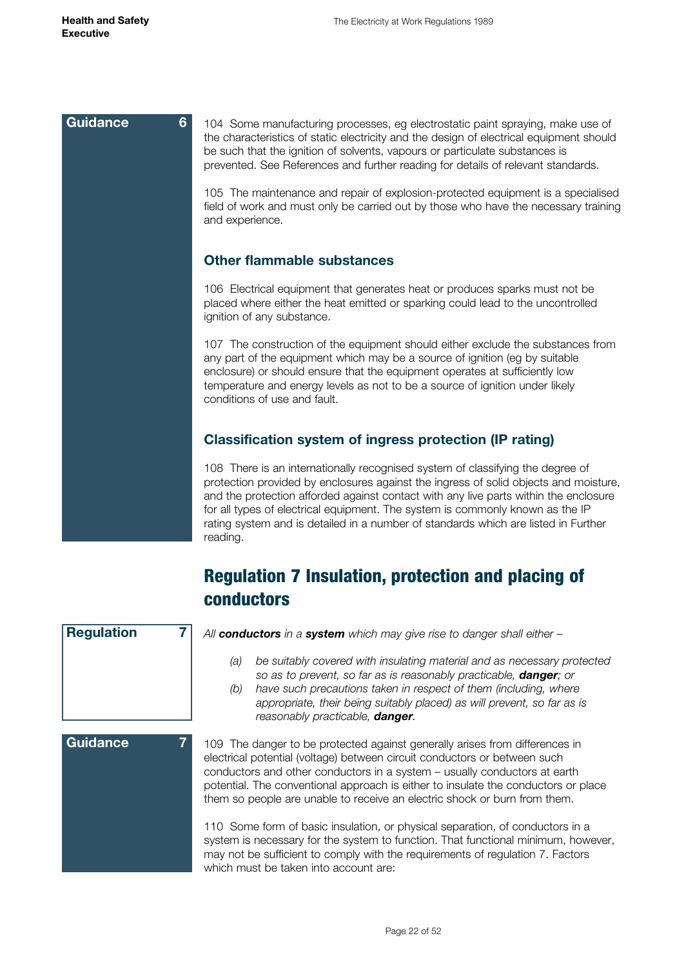<span id="page-21-0"></span>

| <b>Guidance</b><br>$6\phantom{1}$ | 104 Some manufacturing processes, eg electrostatic paint spraying, make use of<br>the characteristics of static electricity and the design of electrical equipment should<br>be such that the ignition of solvents, vapours or particulate substances is<br>prevented. See References and further reading for details of relevant standards.<br>105 The maintenance and repair of explosion-protected equipment is a specialised                  |
|-----------------------------------|---------------------------------------------------------------------------------------------------------------------------------------------------------------------------------------------------------------------------------------------------------------------------------------------------------------------------------------------------------------------------------------------------------------------------------------------------|
|                                   | field of work and must only be carried out by those who have the necessary training<br>and experience.                                                                                                                                                                                                                                                                                                                                            |
|                                   | <b>Other flammable substances</b>                                                                                                                                                                                                                                                                                                                                                                                                                 |
|                                   | 106 Electrical equipment that generates heat or produces sparks must not be<br>placed where either the heat emitted or sparking could lead to the uncontrolled<br>ignition of any substance.                                                                                                                                                                                                                                                      |
|                                   | 107 The construction of the equipment should either exclude the substances from<br>any part of the equipment which may be a source of ignition (eg by suitable<br>enclosure) or should ensure that the equipment operates at sufficiently low<br>temperature and energy levels as not to be a source of ignition under likely<br>conditions of use and fault.                                                                                     |
|                                   | <b>Classification system of ingress protection (IP rating)</b>                                                                                                                                                                                                                                                                                                                                                                                    |
|                                   | 108 There is an internationally recognised system of classifying the degree of<br>protection provided by enclosures against the ingress of solid objects and moisture,<br>and the protection afforded against contact with any live parts within the enclosure<br>for all types of electrical equipment. The system is commonly known as the IP<br>rating system and is detailed in a number of standards which are listed in Further<br>reading. |

# Regulation 7 Insulation, protection and placing of conductors

| <b>Regulation</b> | All conductors in a system which may give rise to danger shall either -                                                                                                                                                                                                                                                                                                                                  |
|-------------------|----------------------------------------------------------------------------------------------------------------------------------------------------------------------------------------------------------------------------------------------------------------------------------------------------------------------------------------------------------------------------------------------------------|
|                   | be suitably covered with insulating material and as necessary protected<br>(a)<br>so as to prevent, so far as is reasonably practicable, <b>danger</b> ; or<br>have such precautions taken in respect of them (including, where<br>(b)<br>appropriate, their being suitably placed) as will prevent, so far as is<br>reasonably practicable, danger.                                                     |
| Guidance          | 109 The danger to be protected against generally arises from differences in<br>electrical potential (voltage) between circuit conductors or between such<br>conductors and other conductors in a system - usually conductors at earth<br>potential. The conventional approach is either to insulate the conductors or place<br>them so people are unable to receive an electric shock or burn from them. |
|                   | 110 Some form of basic insulation, or physical separation, of conductors in a<br>system is necessary for the system to function. That functional minimum, however,<br>may not be sufficient to comply with the requirements of regulation 7. Factors<br>which must be taken into account are:                                                                                                            |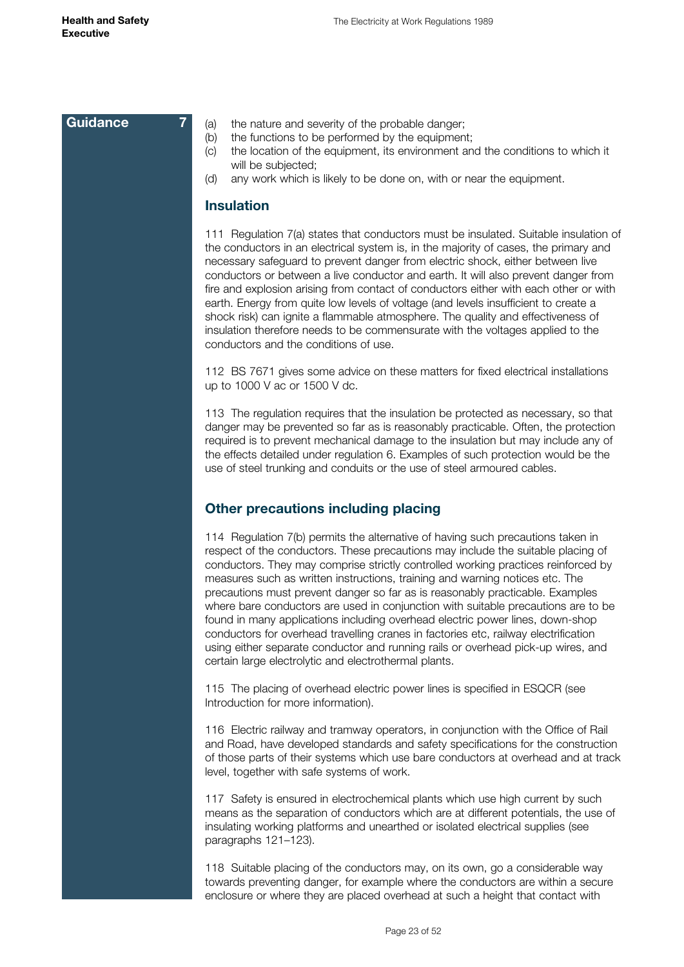| $\overline{7}$<br><b>Guidance</b> | the nature and severity of the probable danger;<br>(a)<br>the functions to be performed by the equipment;<br>(b)<br>the location of the equipment, its environment and the conditions to which it<br>(C)<br>will be subjected;<br>any work which is likely to be done on, with or near the equipment.<br>(d)                                                                                                                                                                                                                                                                                                                                                                                                                                                                                                                        |
|-----------------------------------|-------------------------------------------------------------------------------------------------------------------------------------------------------------------------------------------------------------------------------------------------------------------------------------------------------------------------------------------------------------------------------------------------------------------------------------------------------------------------------------------------------------------------------------------------------------------------------------------------------------------------------------------------------------------------------------------------------------------------------------------------------------------------------------------------------------------------------------|
|                                   | <b>Insulation</b>                                                                                                                                                                                                                                                                                                                                                                                                                                                                                                                                                                                                                                                                                                                                                                                                                   |
|                                   | 111 Regulation 7(a) states that conductors must be insulated. Suitable insulation of<br>the conductors in an electrical system is, in the majority of cases, the primary and<br>necessary safeguard to prevent danger from electric shock, either between live<br>conductors or between a live conductor and earth. It will also prevent danger from<br>fire and explosion arising from contact of conductors either with each other or with<br>earth. Energy from quite low levels of voltage (and levels insufficient to create a<br>shock risk) can ignite a flammable atmosphere. The quality and effectiveness of<br>insulation therefore needs to be commensurate with the voltages applied to the<br>conductors and the conditions of use.                                                                                   |
|                                   | 112 BS 7671 gives some advice on these matters for fixed electrical installations<br>up to 1000 V ac or 1500 V dc.                                                                                                                                                                                                                                                                                                                                                                                                                                                                                                                                                                                                                                                                                                                  |
|                                   | 113 The regulation requires that the insulation be protected as necessary, so that<br>danger may be prevented so far as is reasonably practicable. Often, the protection<br>required is to prevent mechanical damage to the insulation but may include any of<br>the effects detailed under regulation 6. Examples of such protection would be the<br>use of steel trunking and conduits or the use of steel armoured cables.                                                                                                                                                                                                                                                                                                                                                                                                       |
|                                   | Other precautions including placing                                                                                                                                                                                                                                                                                                                                                                                                                                                                                                                                                                                                                                                                                                                                                                                                 |
|                                   | 114 Regulation 7(b) permits the alternative of having such precautions taken in<br>respect of the conductors. These precautions may include the suitable placing of<br>conductors. They may comprise strictly controlled working practices reinforced by<br>measures such as written instructions, training and warning notices etc. The<br>precautions must prevent danger so far as is reasonably practicable. Examples<br>where bare conductors are used in conjunction with suitable precautions are to be<br>found in many applications including overhead electric power lines, down-shop<br>conductors for overhead travelling cranes in factories etc, railway electrification<br>using either separate conductor and running rails or overhead pick-up wires, and<br>certain large electrolytic and electrothermal plants. |
|                                   | 115 The placing of overhead electric power lines is specified in ESQCR (see<br>Introduction for more information).                                                                                                                                                                                                                                                                                                                                                                                                                                                                                                                                                                                                                                                                                                                  |
|                                   | 116 Electric railway and tramway operators, in conjunction with the Office of Rail<br>and Road, have developed standards and safety specifications for the construction<br>of those parts of their systems which use bare conductors at overhead and at track<br>level, together with safe systems of work.                                                                                                                                                                                                                                                                                                                                                                                                                                                                                                                         |
|                                   | 117 Safety is ensured in electrochemical plants which use high current by such<br>means as the separation of conductors which are at different potentials, the use of<br>insulating working platforms and unearthed or isolated electrical supplies (see<br>paragraphs 121-123).                                                                                                                                                                                                                                                                                                                                                                                                                                                                                                                                                    |
|                                   | 118 Suitable placing of the conductors may, on its own, go a considerable way<br>towards preventing danger, for example where the conductors are within a secure<br>enclosure or where they are placed overhead at such a height that contact with                                                                                                                                                                                                                                                                                                                                                                                                                                                                                                                                                                                  |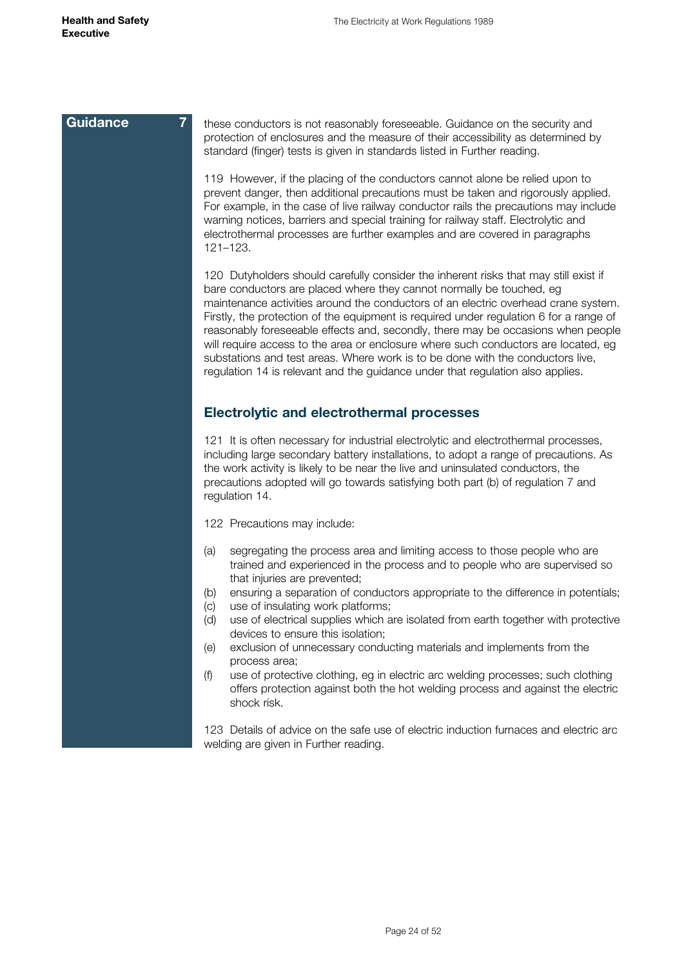#### these conductors is not reasonably foreseeable. Guidance on the security and protection of enclosures and the measure of their accessibility as determined by standard (finger) tests is given in standards listed in Further reading. 119 However, if the placing of the conductors cannot alone be relied upon to prevent danger, then additional precautions must be taken and rigorously applied. For example, in the case of live railway conductor rails the precautions may include warning notices, barriers and special training for railway staff. Electrolytic and electrothermal processes are further examples and are covered in paragraphs 121–123. 120 Dutyholders should carefully consider the inherent risks that may still exist if bare conductors are placed where they cannot normally be touched, eg maintenance activities around the conductors of an electric overhead crane system. Firstly, the protection of the equipment is required under regulation 6 for a range of reasonably foreseeable effects and, secondly, there may be occasions when people will require access to the area or enclosure where such conductors are located, eq. substations and test areas. Where work is to be done with the conductors live, regulation 14 is relevant and the guidance under that regulation also applies. **Electrolytic and electrothermal processes** 121 It is often necessary for industrial electrolytic and electrothermal processes, including large secondary battery installations, to adopt a range of precautions. As the work activity is likely to be near the live and uninsulated conductors, the precautions adopted will go towards satisfying both part (b) of regulation 7 and regulation 14. 122 Precautions may include: (a) segregating the process area and limiting access to those people who are trained and experienced in the process and to people who are supervised so that injuries are prevented; (b) ensuring a separation of conductors appropriate to the difference in potentials; (c) use of insulating work platforms; (d) use of electrical supplies which are isolated from earth together with protective devices to ensure this isolation; (e) exclusion of unnecessary conducting materials and implements from the process area; (f) use of protective clothing, eg in electric arc welding processes; such clothing offers protection against both the hot welding process and against the electric shock risk. 123 Details of advice on the safe use of electric induction furnaces and electric arc welding are given in Further reading. **Guidance 7**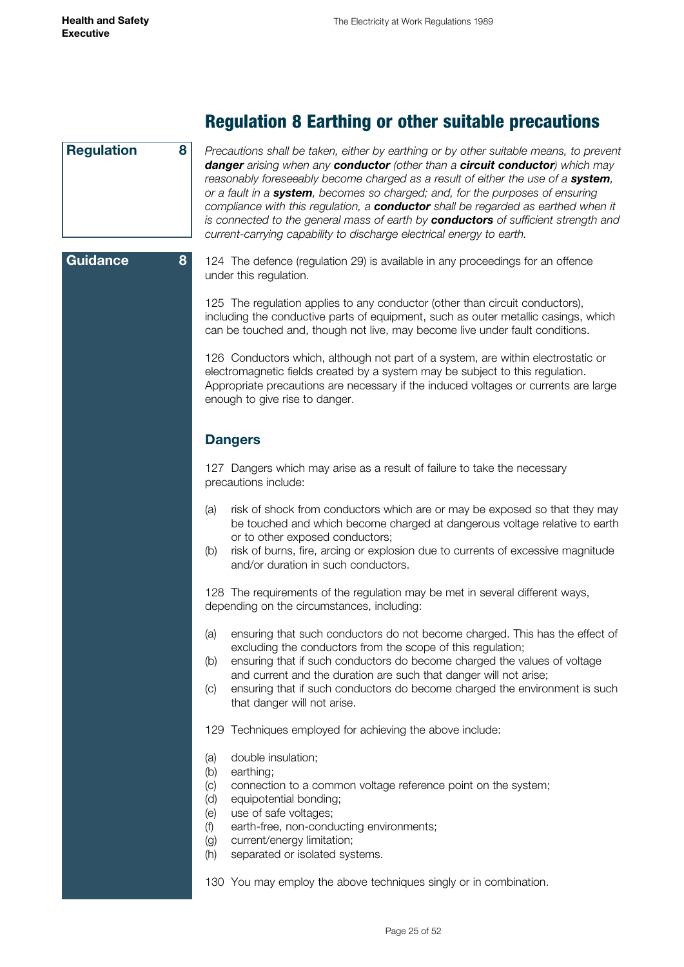<span id="page-24-0"></span>

| <b>Regulation</b> |  |
|-------------------|--|
|                   |  |
|                   |  |
|                   |  |
|                   |  |

**Guidance 8**

### Regulation 8 Earthing or other suitable precautions

*Precautions shall be taken, either by earthing or by other suitable means, to prevent danger arising when any conductor (other than a circuit conductor) which may reasonably foreseeably become charged as a result of either the use of a system, or a fault in a system, becomes so charged; and, for the purposes of ensuring compliance with this regulation, a conductor shall be regarded as earthed when it is connected to the general mass of earth by conductors of sufficient strength and current-carrying capability to discharge electrical energy to earth.*

124 The defence (regulation 29) is available in any proceedings for an offence under this regulation.

125 The regulation applies to any conductor (other than circuit conductors), including the conductive parts of equipment, such as outer metallic casings, which can be touched and, though not live, may become live under fault conditions.

126 Conductors which, although not part of a system, are within electrostatic or electromagnetic fields created by a system may be subject to this regulation. Appropriate precautions are necessary if the induced voltages or currents are large enough to give rise to danger.

#### **Dangers**

127 Dangers which may arise as a result of failure to take the necessary precautions include:

- (a) risk of shock from conductors which are or may be exposed so that they may be touched and which become charged at dangerous voltage relative to earth or to other exposed conductors;
- (b) risk of burns, fire, arcing or explosion due to currents of excessive magnitude and/or duration in such conductors.

128 The requirements of the regulation may be met in several different ways, depending on the circumstances, including:

- (a) ensuring that such conductors do not become charged. This has the effect of excluding the conductors from the scope of this regulation;
- (b) ensuring that if such conductors do become charged the values of voltage and current and the duration are such that danger will not arise;
- (c) ensuring that if such conductors do become charged the environment is such that danger will not arise.
- 129 Techniques employed for achieving the above include:
- (a) double insulation;
- (b) earthing;
- (c) connection to a common voltage reference point on the system;
- (d) equipotential bonding;
- (e) use of safe voltages;
- (f) earth-free, non-conducting environments;
- (g) current/energy limitation;
- (h) separated or isolated systems.

130 You may employ the above techniques singly or in combination.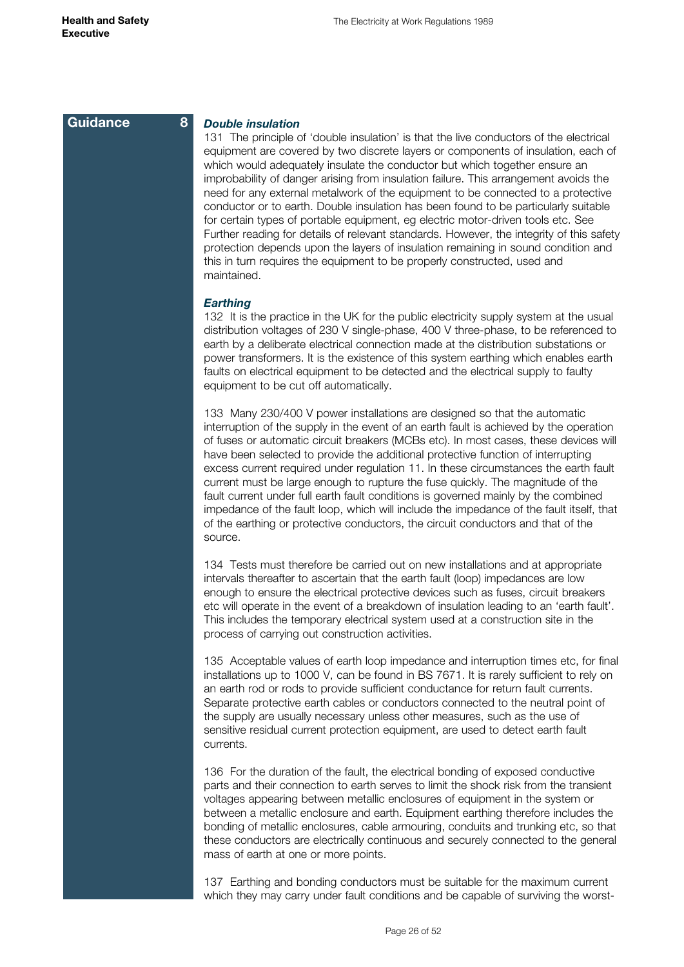| <b>Guidance</b> | 8 |
|-----------------|---|
|-----------------|---|

#### *Double insulation*

131 The principle of 'double insulation' is that the live conductors of the electrical equipment are covered by two discrete layers or components of insulation, each of which would adequately insulate the conductor but which together ensure an improbability of danger arising from insulation failure. This arrangement avoids the need for any external metalwork of the equipment to be connected to a protective conductor or to earth. Double insulation has been found to be particularly suitable for certain types of portable equipment, eg electric motor-driven tools etc. See Further reading for details of relevant standards. However, the integrity of this safety protection depends upon the layers of insulation remaining in sound condition and this in turn requires the equipment to be properly constructed, used and maintained.

#### *Earthing*

132 It is the practice in the UK for the public electricity supply system at the usual distribution voltages of 230 V single-phase, 400 V three-phase, to be referenced to earth by a deliberate electrical connection made at the distribution substations or power transformers. It is the existence of this system earthing which enables earth faults on electrical equipment to be detected and the electrical supply to faulty equipment to be cut off automatically.

133 Many 230/400 V power installations are designed so that the automatic interruption of the supply in the event of an earth fault is achieved by the operation of fuses or automatic circuit breakers (MCBs etc). In most cases, these devices will have been selected to provide the additional protective function of interrupting excess current required under regulation 11. In these circumstances the earth fault current must be large enough to rupture the fuse quickly. The magnitude of the fault current under full earth fault conditions is governed mainly by the combined impedance of the fault loop, which will include the impedance of the fault itself, that of the earthing or protective conductors, the circuit conductors and that of the source.

134 Tests must therefore be carried out on new installations and at appropriate intervals thereafter to ascertain that the earth fault (loop) impedances are low enough to ensure the electrical protective devices such as fuses, circuit breakers etc will operate in the event of a breakdown of insulation leading to an 'earth fault'. This includes the temporary electrical system used at a construction site in the process of carrying out construction activities.

135 Acceptable values of earth loop impedance and interruption times etc, for final installations up to 1000 V, can be found in BS 7671. It is rarely sufficient to rely on an earth rod or rods to provide sufficient conductance for return fault currents. Separate protective earth cables or conductors connected to the neutral point of the supply are usually necessary unless other measures, such as the use of sensitive residual current protection equipment, are used to detect earth fault currents.

136 For the duration of the fault, the electrical bonding of exposed conductive parts and their connection to earth serves to limit the shock risk from the transient voltages appearing between metallic enclosures of equipment in the system or between a metallic enclosure and earth. Equipment earthing therefore includes the bonding of metallic enclosures, cable armouring, conduits and trunking etc, so that these conductors are electrically continuous and securely connected to the general mass of earth at one or more points.

137 Earthing and bonding conductors must be suitable for the maximum current which they may carry under fault conditions and be capable of surviving the worst-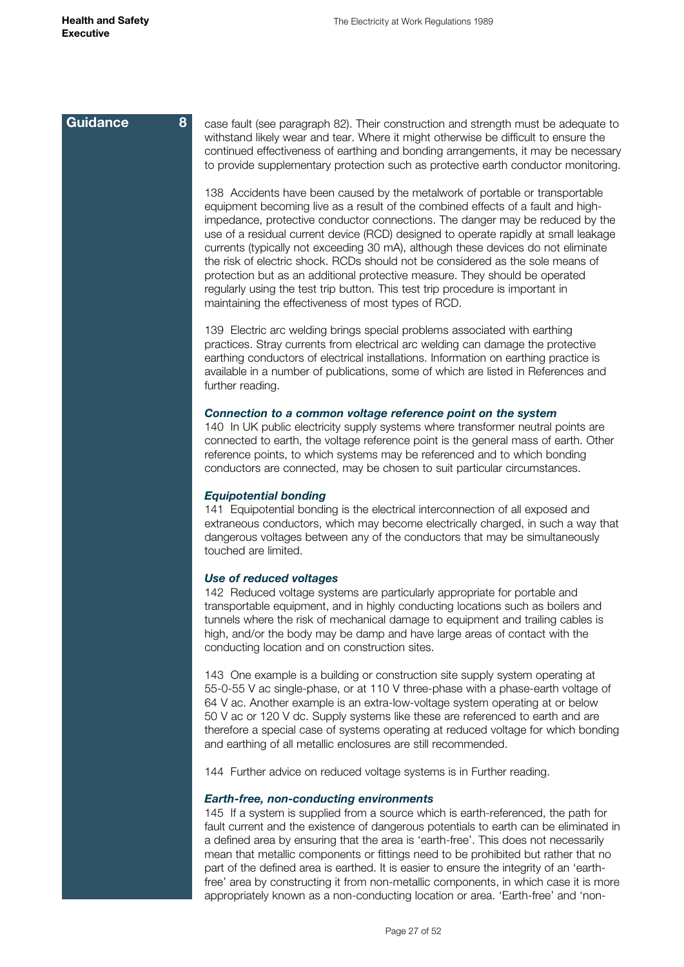| <b>Guidance</b><br>8 | case fault (see paragraph 82). Their construction and strength must be adequate to<br>withstand likely wear and tear. Where it might otherwise be difficult to ensure the<br>continued effectiveness of earthing and bonding arrangements, it may be necessary<br>to provide supplementary protection such as protective earth conductor monitoring.                                                                                                                                                                                                                                                                                                                                                                                    |
|----------------------|-----------------------------------------------------------------------------------------------------------------------------------------------------------------------------------------------------------------------------------------------------------------------------------------------------------------------------------------------------------------------------------------------------------------------------------------------------------------------------------------------------------------------------------------------------------------------------------------------------------------------------------------------------------------------------------------------------------------------------------------|
|                      | 138 Accidents have been caused by the metalwork of portable or transportable<br>equipment becoming live as a result of the combined effects of a fault and high-<br>impedance, protective conductor connections. The danger may be reduced by the<br>use of a residual current device (RCD) designed to operate rapidly at small leakage<br>currents (typically not exceeding 30 mA), although these devices do not eliminate<br>the risk of electric shock. RCDs should not be considered as the sole means of<br>protection but as an additional protective measure. They should be operated<br>regularly using the test trip button. This test trip procedure is important in<br>maintaining the effectiveness of most types of RCD. |
|                      | 139 Electric arc welding brings special problems associated with earthing<br>practices. Stray currents from electrical arc welding can damage the protective<br>earthing conductors of electrical installations. Information on earthing practice is<br>available in a number of publications, some of which are listed in References and<br>further reading.                                                                                                                                                                                                                                                                                                                                                                           |
|                      | Connection to a common voltage reference point on the system<br>140 In UK public electricity supply systems where transformer neutral points are<br>connected to earth, the voltage reference point is the general mass of earth. Other<br>reference points, to which systems may be referenced and to which bonding<br>conductors are connected, may be chosen to suit particular circumstances.                                                                                                                                                                                                                                                                                                                                       |
|                      | <b>Equipotential bonding</b><br>141 Equipotential bonding is the electrical interconnection of all exposed and<br>extraneous conductors, which may become electrically charged, in such a way that<br>dangerous voltages between any of the conductors that may be simultaneously<br>touched are limited.                                                                                                                                                                                                                                                                                                                                                                                                                               |
|                      | Use of reduced voltages<br>142 Reduced voltage systems are particularly appropriate for portable and<br>transportable equipment, and in highly conducting locations such as boilers and<br>tunnels where the risk of mechanical damage to equipment and trailing cables is<br>high, and/or the body may be damp and have large areas of contact with the<br>conducting location and on construction sites.                                                                                                                                                                                                                                                                                                                              |
|                      | 143 One example is a building or construction site supply system operating at<br>55-0-55 V ac single-phase, or at 110 V three-phase with a phase-earth voltage of<br>64 V ac. Another example is an extra-low-voltage system operating at or below<br>50 V ac or 120 V dc. Supply systems like these are referenced to earth and are<br>therefore a special case of systems operating at reduced voltage for which bonding<br>and earthing of all metallic enclosures are still recommended.                                                                                                                                                                                                                                            |
|                      | 144 Further advice on reduced voltage systems is in Further reading.                                                                                                                                                                                                                                                                                                                                                                                                                                                                                                                                                                                                                                                                    |
|                      | <b>Earth-free, non-conducting environments</b><br>145 If a system is supplied from a source which is earth-referenced, the path for<br>fault current and the existence of dangerous potentials to earth can be eliminated in<br>a defined area by ensuring that the area is 'earth-free'. This does not necessarily<br>mean that metallic components or fittings need to be prohibited but rather that no<br>part of the defined area is earthed. It is easier to ensure the integrity of an 'earth-<br>free' area by constructing it from non-metallic components, in which case it is more                                                                                                                                            |

appropriately known as a non-conducting location or area. 'Earth-free' and 'non-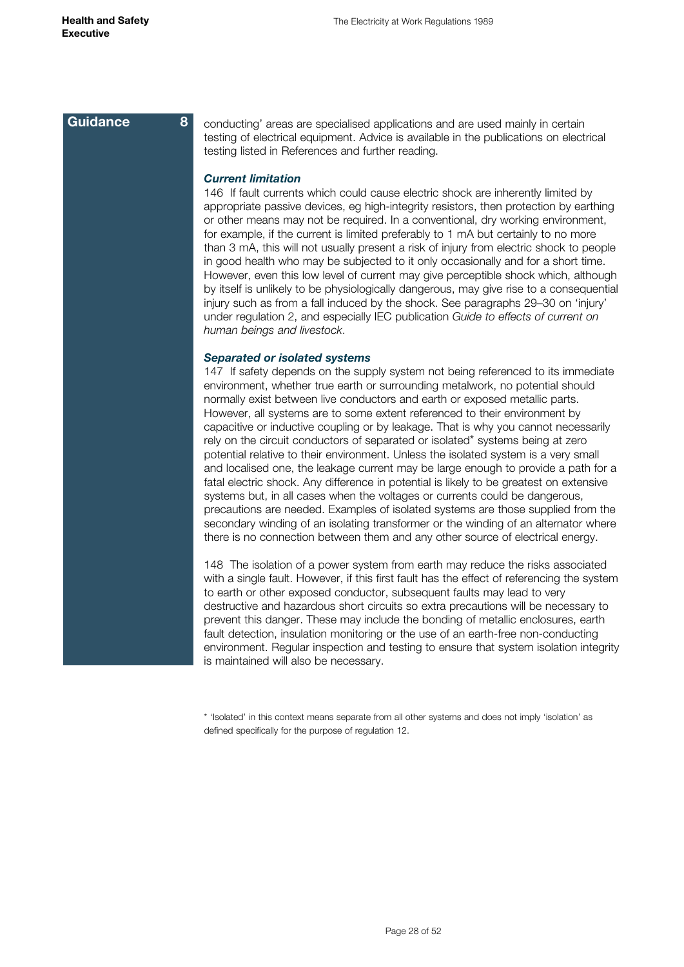#### **Guidance 8**

conducting' areas are specialised applications and are used mainly in certain testing of electrical equipment. Advice is available in the publications on electrical testing listed in References and further reading.

#### *Current limitation*

146 If fault currents which could cause electric shock are inherently limited by appropriate passive devices, eg high-integrity resistors, then protection by earthing or other means may not be required. In a conventional, dry working environment, for example, if the current is limited preferably to 1 mA but certainly to no more than 3 mA, this will not usually present a risk of injury from electric shock to people in good health who may be subjected to it only occasionally and for a short time. However, even this low level of current may give perceptible shock which, although by itself is unlikely to be physiologically dangerous, may give rise to a consequential injury such as from a fall induced by the shock. See paragraphs 29–30 on 'injury' under regulation 2, and especially IEC publication *Guide to effects of current on human beings and livestock*.

#### *Separated or isolated systems*

147 If safety depends on the supply system not being referenced to its immediate environment, whether true earth or surrounding metalwork, no potential should normally exist between live conductors and earth or exposed metallic parts. However, all systems are to some extent referenced to their environment by capacitive or inductive coupling or by leakage. That is why you cannot necessarily rely on the circuit conductors of separated or isolated\* systems being at zero potential relative to their environment. Unless the isolated system is a very small and localised one, the leakage current may be large enough to provide a path for a fatal electric shock. Any difference in potential is likely to be greatest on extensive systems but, in all cases when the voltages or currents could be dangerous, precautions are needed. Examples of isolated systems are those supplied from the secondary winding of an isolating transformer or the winding of an alternator where there is no connection between them and any other source of electrical energy.

148 The isolation of a power system from earth may reduce the risks associated with a single fault. However, if this first fault has the effect of referencing the system to earth or other exposed conductor, subsequent faults may lead to very destructive and hazardous short circuits so extra precautions will be necessary to prevent this danger. These may include the bonding of metallic enclosures, earth fault detection, insulation monitoring or the use of an earth-free non-conducting environment. Regular inspection and testing to ensure that system isolation integrity is maintained will also be necessary.

\* 'Isolated' in this context means separate from all other systems and does not imply 'isolation' as defined specifically for the purpose of regulation 12.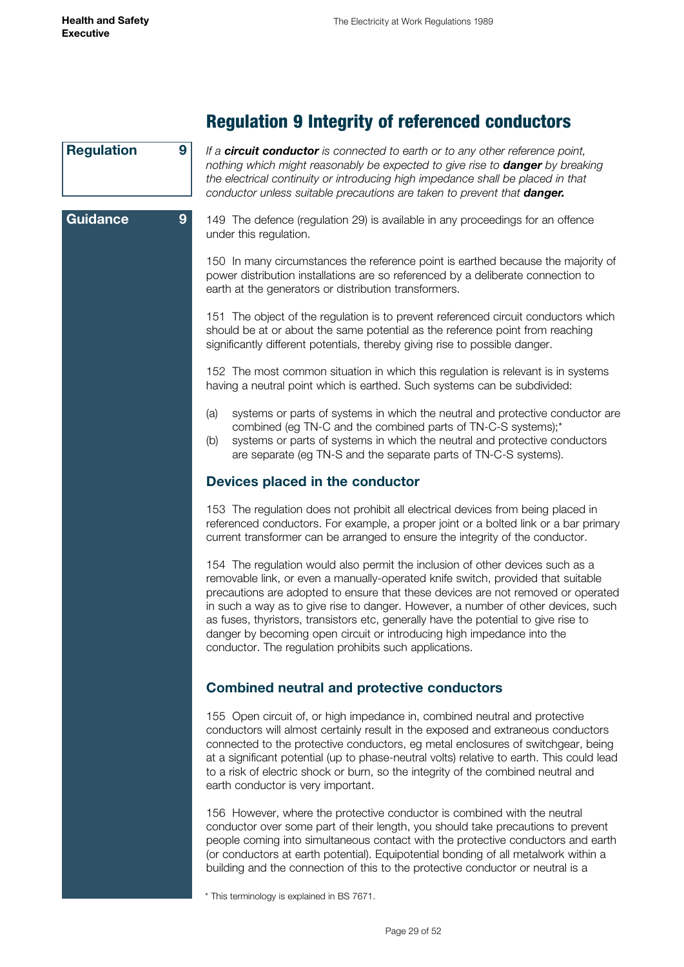<span id="page-28-0"></span>

|                   | <b>Regulation 9 Integrity of referenced conductors</b>                                                                                                                                                                                                                                                                                                                                                                                                                                                                                                                |
|-------------------|-----------------------------------------------------------------------------------------------------------------------------------------------------------------------------------------------------------------------------------------------------------------------------------------------------------------------------------------------------------------------------------------------------------------------------------------------------------------------------------------------------------------------------------------------------------------------|
| <b>Regulation</b> | 9<br>If a circuit conductor is connected to earth or to any other reference point,<br>nothing which might reasonably be expected to give rise to <b>danger</b> by breaking<br>the electrical continuity or introducing high impedance shall be placed in that<br>conductor unless suitable precautions are taken to prevent that danger.                                                                                                                                                                                                                              |
| <b>Guidance</b>   | $\boldsymbol{9}$<br>149 The defence (regulation 29) is available in any proceedings for an offence<br>under this regulation.                                                                                                                                                                                                                                                                                                                                                                                                                                          |
|                   | 150 In many circumstances the reference point is earthed because the majority of<br>power distribution installations are so referenced by a deliberate connection to<br>earth at the generators or distribution transformers.                                                                                                                                                                                                                                                                                                                                         |
|                   | 151 The object of the regulation is to prevent referenced circuit conductors which<br>should be at or about the same potential as the reference point from reaching<br>significantly different potentials, thereby giving rise to possible danger.                                                                                                                                                                                                                                                                                                                    |
|                   | 152 The most common situation in which this regulation is relevant is in systems<br>having a neutral point which is earthed. Such systems can be subdivided:                                                                                                                                                                                                                                                                                                                                                                                                          |
|                   | systems or parts of systems in which the neutral and protective conductor are<br>(a)<br>combined (eg TN-C and the combined parts of TN-C-S systems);*<br>systems or parts of systems in which the neutral and protective conductors<br>(b)<br>are separate (eg TN-S and the separate parts of TN-C-S systems).                                                                                                                                                                                                                                                        |
|                   | Devices placed in the conductor                                                                                                                                                                                                                                                                                                                                                                                                                                                                                                                                       |
|                   | 153 The regulation does not prohibit all electrical devices from being placed in<br>referenced conductors. For example, a proper joint or a bolted link or a bar primary<br>current transformer can be arranged to ensure the integrity of the conductor.                                                                                                                                                                                                                                                                                                             |
|                   | 154 The regulation would also permit the inclusion of other devices such as a<br>removable link, or even a manually-operated knife switch, provided that suitable<br>precautions are adopted to ensure that these devices are not removed or operated<br>in such a way as to give rise to danger. However, a number of other devices, such<br>as fuses, thyristors, transistors etc, generally have the potential to give rise to<br>danger by becoming open circuit or introducing high impedance into the<br>conductor. The regulation prohibits such applications. |
|                   | <b>Combined neutral and protective conductors</b>                                                                                                                                                                                                                                                                                                                                                                                                                                                                                                                     |
|                   | 155 Open circuit of, or high impedance in, combined neutral and protective<br>conductors will almost certainly result in the exposed and extraneous conductors<br>connected to the protective conductors, eg metal enclosures of switchgear, being<br>at a significant potential (up to phase-neutral volts) relative to earth. This could lead<br>to a risk of electric shock or burn, so the integrity of the combined neutral and<br>earth conductor is very important.                                                                                            |
|                   | 156 However, where the protective conductor is combined with the neutral<br>conductor over some part of their length, you should take precautions to prevent<br>people coming into simultaneous contact with the protective conductors and earth<br>(or conductors at earth potential). Equipotential bonding of all metalwork within a<br>building and the connection of this to the protective conductor or neutral is a                                                                                                                                            |
|                   | * This terminology is explained in BS 7671.                                                                                                                                                                                                                                                                                                                                                                                                                                                                                                                           |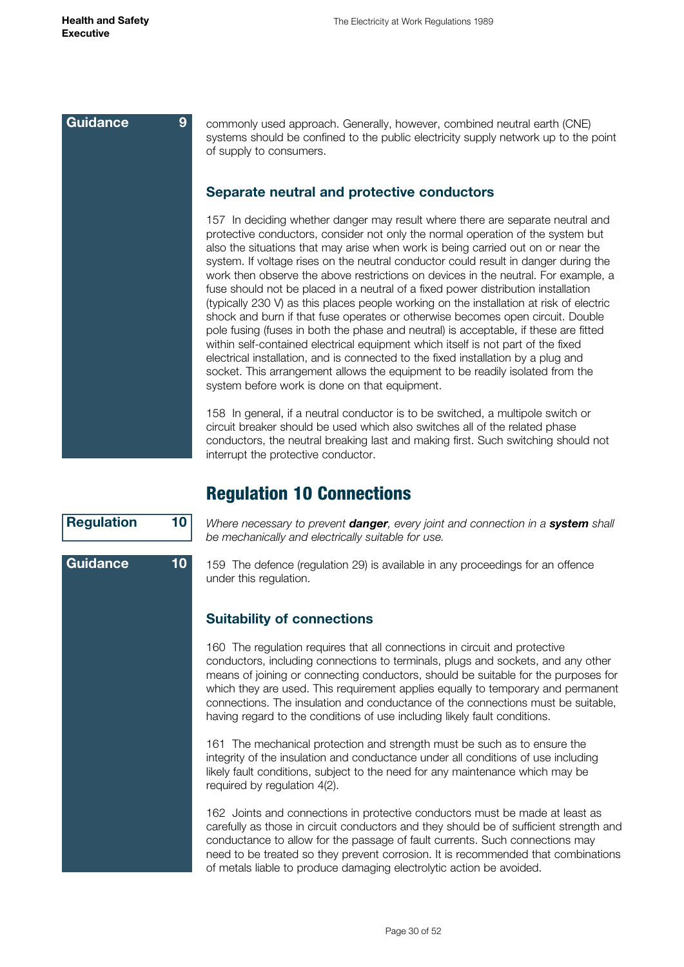<span id="page-29-0"></span>commonly used approach. Generally, however, combined neutral earth (CNE) systems should be confined to the public electricity supply network up to the point of supply to consumers. **Separate neutral and protective conductors** 157 In deciding whether danger may result where there are separate neutral and protective conductors, consider not only the normal operation of the system but also the situations that may arise when work is being carried out on or near the system. If voltage rises on the neutral conductor could result in danger during the work then observe the above restrictions on devices in the neutral. For example, a fuse should not be placed in a neutral of a fixed power distribution installation (typically 230 V) as this places people working on the installation at risk of electric shock and burn if that fuse operates or otherwise becomes open circuit. Double pole fusing (fuses in both the phase and neutral) is acceptable, if these are fitted within self-contained electrical equipment which itself is not part of the fixed electrical installation, and is connected to the fixed installation by a plug and socket. This arrangement allows the equipment to be readily isolated from the system before work is done on that equipment. 158 In general, if a neutral conductor is to be switched, a multipole switch or circuit breaker should be used which also switches all of the related phase conductors, the neutral breaking last and making first. Such switching should not interrupt the protective conductor. **Guidance 9**

# Regulation 10 Connections



**Regulation 10**

*Where necessary to prevent danger, every joint and connection in a system shall be mechanically and electrically suitable for use.*

159 The defence (regulation 29) is available in any proceedings for an offence under this regulation.

#### **Suitability of connections**

160 The regulation requires that all connections in circuit and protective conductors, including connections to terminals, plugs and sockets, and any other means of joining or connecting conductors, should be suitable for the purposes for which they are used. This requirement applies equally to temporary and permanent connections. The insulation and conductance of the connections must be suitable, having regard to the conditions of use including likely fault conditions.

161 The mechanical protection and strength must be such as to ensure the integrity of the insulation and conductance under all conditions of use including likely fault conditions, subject to the need for any maintenance which may be required by regulation 4(2).

162 Joints and connections in protective conductors must be made at least as carefully as those in circuit conductors and they should be of sufficient strength and conductance to allow for the passage of fault currents. Such connections may need to be treated so they prevent corrosion. It is recommended that combinations of metals liable to produce damaging electrolytic action be avoided.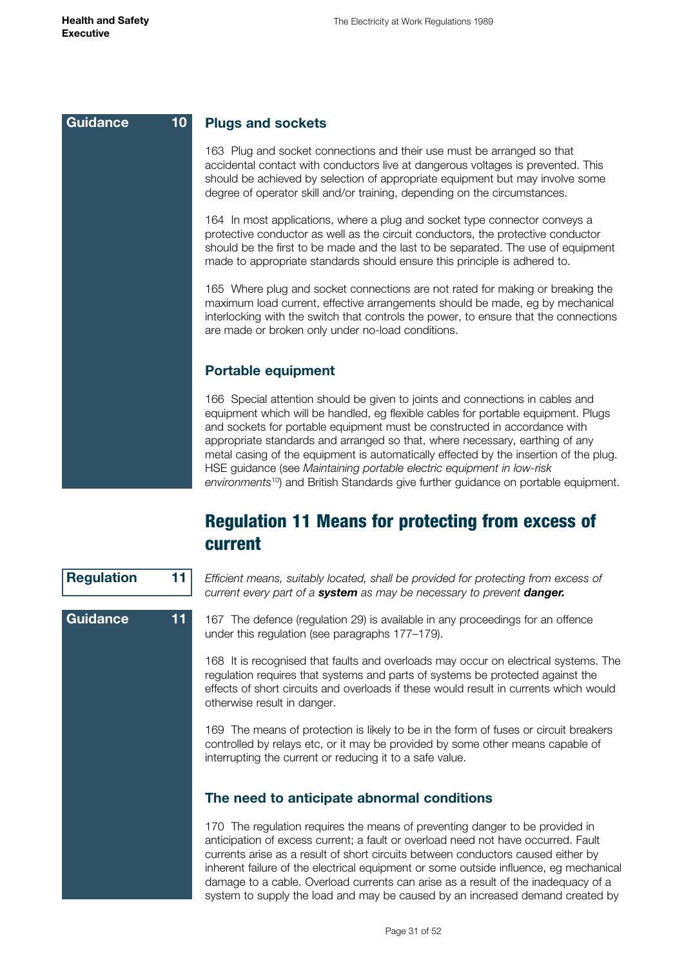<span id="page-30-0"></span>

| 10<br><b>Guidance</b> | <b>Plugs and sockets</b>                                                                                                                                                                                                                                                                                                                                                                                                                                                                                                                                                                             |
|-----------------------|------------------------------------------------------------------------------------------------------------------------------------------------------------------------------------------------------------------------------------------------------------------------------------------------------------------------------------------------------------------------------------------------------------------------------------------------------------------------------------------------------------------------------------------------------------------------------------------------------|
|                       | 163 Plug and socket connections and their use must be arranged so that<br>accidental contact with conductors live at dangerous voltages is prevented. This<br>should be achieved by selection of appropriate equipment but may involve some<br>degree of operator skill and/or training, depending on the circumstances.                                                                                                                                                                                                                                                                             |
|                       | 164 In most applications, where a plug and socket type connector conveys a<br>protective conductor as well as the circuit conductors, the protective conductor<br>should be the first to be made and the last to be separated. The use of equipment<br>made to appropriate standards should ensure this principle is adhered to.                                                                                                                                                                                                                                                                     |
|                       | 165 Where plug and socket connections are not rated for making or breaking the<br>maximum load current, effective arrangements should be made, eg by mechanical<br>interlocking with the switch that controls the power, to ensure that the connections<br>are made or broken only under no-load conditions.                                                                                                                                                                                                                                                                                         |
|                       | <b>Portable equipment</b>                                                                                                                                                                                                                                                                                                                                                                                                                                                                                                                                                                            |
|                       | 166 Special attention should be given to joints and connections in cables and<br>equipment which will be handled, eg flexible cables for portable equipment. Plugs<br>and sockets for portable equipment must be constructed in accordance with<br>appropriate standards and arranged so that, where necessary, earthing of any<br>metal casing of the equipment is automatically effected by the insertion of the plug.<br>HSE guidance (see Maintaining portable electric equipment in low-risk<br>environments <sup>10</sup> ) and British Standards give further guidance on portable equipment. |

# Regulation 11 Means for protecting from excess of current

| <b>Regulation</b> | 11 | Efficient means, suitably located, shall be provided for protecting from excess of<br>current every part of a system as may be necessary to prevent danger.                                                                                                                                                                                                                                                                                                                                                          |
|-------------------|----|----------------------------------------------------------------------------------------------------------------------------------------------------------------------------------------------------------------------------------------------------------------------------------------------------------------------------------------------------------------------------------------------------------------------------------------------------------------------------------------------------------------------|
| Guidance          | 11 | 167 The defence (regulation 29) is available in any proceedings for an offence<br>under this regulation (see paragraphs 177–179).                                                                                                                                                                                                                                                                                                                                                                                    |
|                   |    | 168 It is recognised that faults and overloads may occur on electrical systems. The<br>regulation requires that systems and parts of systems be protected against the<br>effects of short circuits and overloads if these would result in currents which would<br>otherwise result in danger.                                                                                                                                                                                                                        |
|                   |    | 169 The means of protection is likely to be in the form of fuses or circuit breakers<br>controlled by relays etc, or it may be provided by some other means capable of<br>interrupting the current or reducing it to a safe value.                                                                                                                                                                                                                                                                                   |
|                   |    | The need to anticipate abnormal conditions                                                                                                                                                                                                                                                                                                                                                                                                                                                                           |
|                   |    | 170 The regulation requires the means of preventing danger to be provided in<br>anticipation of excess current; a fault or overload need not have occurred. Fault<br>currents arise as a result of short circuits between conductors caused either by<br>inherent failure of the electrical equipment or some outside influence, eg mechanical<br>damage to a cable. Overload currents can arise as a result of the inadequacy of a<br>system to supply the load and may be caused by an increased demand created by |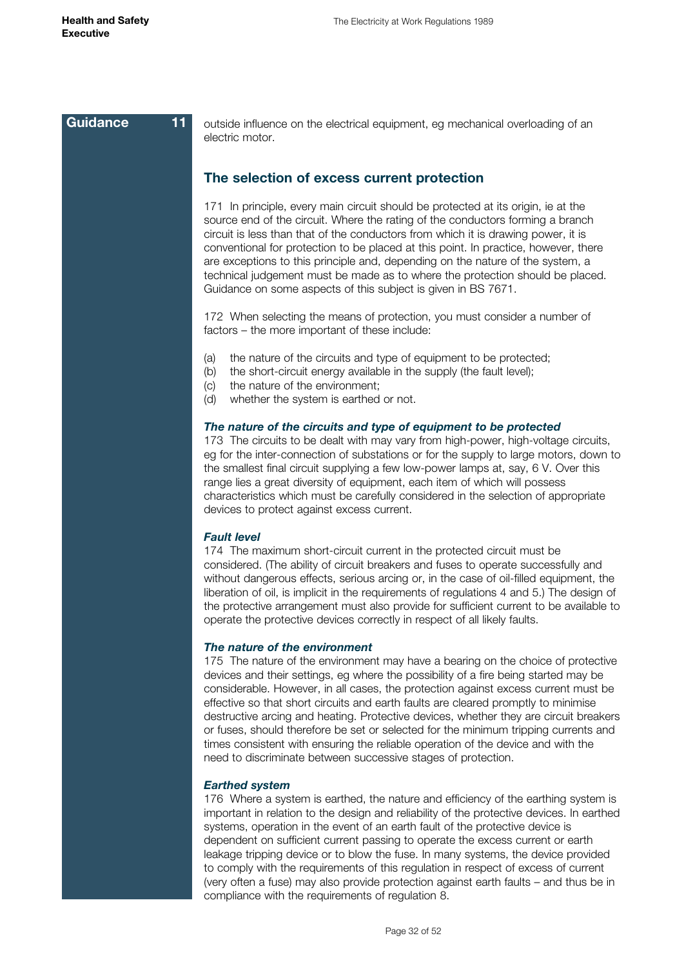| <b>Guidance</b><br>11 | outside influence on the electrical equipment, eg mechanical overloading of an<br>electric motor.                                                                                                                                                                                                                                                                                                                                                                                                                                                                                                                                                                                                                         |
|-----------------------|---------------------------------------------------------------------------------------------------------------------------------------------------------------------------------------------------------------------------------------------------------------------------------------------------------------------------------------------------------------------------------------------------------------------------------------------------------------------------------------------------------------------------------------------------------------------------------------------------------------------------------------------------------------------------------------------------------------------------|
|                       | The selection of excess current protection                                                                                                                                                                                                                                                                                                                                                                                                                                                                                                                                                                                                                                                                                |
|                       | 171 In principle, every main circuit should be protected at its origin, ie at the<br>source end of the circuit. Where the rating of the conductors forming a branch<br>circuit is less than that of the conductors from which it is drawing power, it is<br>conventional for protection to be placed at this point. In practice, however, there<br>are exceptions to this principle and, depending on the nature of the system, a<br>technical judgement must be made as to where the protection should be placed.<br>Guidance on some aspects of this subject is given in BS 7671.                                                                                                                                       |
|                       | 172 When selecting the means of protection, you must consider a number of<br>factors – the more important of these include:                                                                                                                                                                                                                                                                                                                                                                                                                                                                                                                                                                                               |
|                       | the nature of the circuits and type of equipment to be protected;<br>(a)<br>the short-circuit energy available in the supply (the fault level);<br>(b)<br>the nature of the environment;<br>(C)<br>(d)<br>whether the system is earthed or not.                                                                                                                                                                                                                                                                                                                                                                                                                                                                           |
|                       | The nature of the circuits and type of equipment to be protected<br>173 The circuits to be dealt with may vary from high-power, high-voltage circuits,<br>eg for the inter-connection of substations or for the supply to large motors, down to<br>the smallest final circuit supplying a few low-power lamps at, say, 6 V. Over this<br>range lies a great diversity of equipment, each item of which will possess<br>characteristics which must be carefully considered in the selection of appropriate<br>devices to protect against excess current.                                                                                                                                                                   |
|                       | <b>Fault level</b><br>174 The maximum short-circuit current in the protected circuit must be<br>considered. (The ability of circuit breakers and fuses to operate successfully and<br>without dangerous effects, serious arcing or, in the case of oil-filled equipment, the<br>liberation of oil, is implicit in the requirements of regulations 4 and 5.) The design of<br>the protective arrangement must also provide for sufficient current to be available to<br>operate the protective devices correctly in respect of all likely faults.                                                                                                                                                                          |
|                       | The nature of the environment<br>175 The nature of the environment may have a bearing on the choice of protective<br>devices and their settings, eg where the possibility of a fire being started may be<br>considerable. However, in all cases, the protection against excess current must be<br>effective so that short circuits and earth faults are cleared promptly to minimise<br>destructive arcing and heating. Protective devices, whether they are circuit breakers<br>or fuses, should therefore be set or selected for the minimum tripping currents and<br>times consistent with ensuring the reliable operation of the device and with the<br>need to discriminate between successive stages of protection. |
|                       | <b>Earthed system</b><br>176 Where a system is earthed, the nature and efficiency of the earthing system is<br>important in relation to the design and reliability of the protective devices. In earthed<br>systems, operation in the event of an earth fault of the protective device is<br>dependent on sufficient current passing to operate the excess current or earth<br>leakage tripping device or to blow the fuse. In many systems, the device provided<br>to comply with the requirements of this regulation in respect of excess of current                                                                                                                                                                    |

(very often a fuse) may also provide protection against earth faults – and thus be in

compliance with the requirements of regulation 8.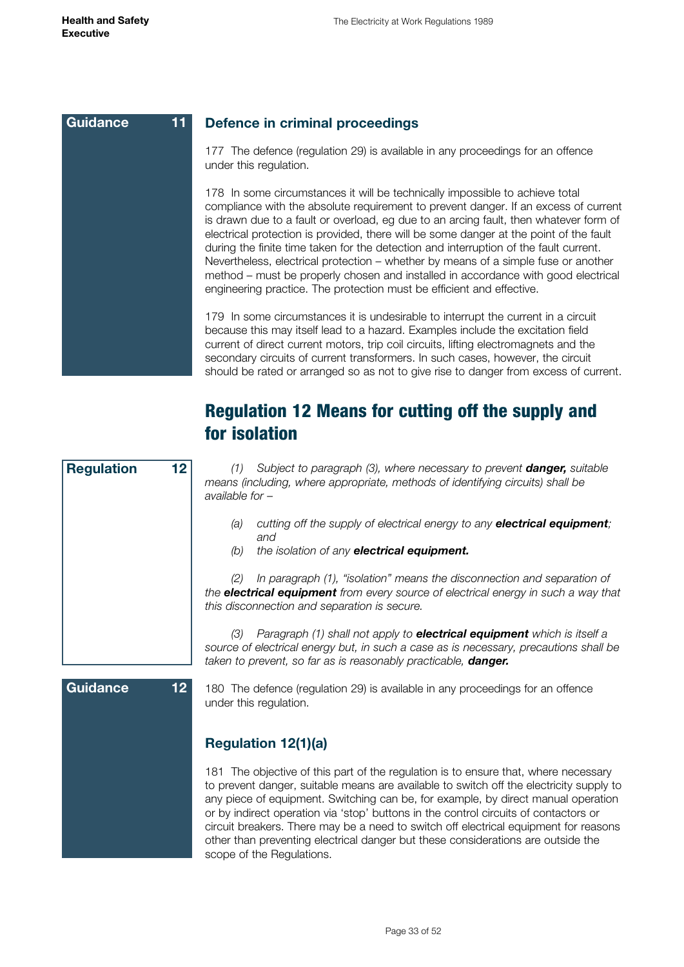<span id="page-32-0"></span>

| Guidance<br>11 | Defence in criminal proceedings                                                                                                                                                                                                                                                                                                                                                                                                                                                                                                                                                                                                                                                                     |  |  |  |
|----------------|-----------------------------------------------------------------------------------------------------------------------------------------------------------------------------------------------------------------------------------------------------------------------------------------------------------------------------------------------------------------------------------------------------------------------------------------------------------------------------------------------------------------------------------------------------------------------------------------------------------------------------------------------------------------------------------------------------|--|--|--|
|                | 177 The defence (regulation 29) is available in any proceedings for an offence<br>under this regulation.                                                                                                                                                                                                                                                                                                                                                                                                                                                                                                                                                                                            |  |  |  |
|                | 178 In some circumstances it will be technically impossible to achieve total<br>compliance with the absolute requirement to prevent danger. If an excess of current<br>is drawn due to a fault or overload, eg due to an arcing fault, then whatever form of<br>electrical protection is provided, there will be some danger at the point of the fault<br>during the finite time taken for the detection and interruption of the fault current.<br>Nevertheless, electrical protection – whether by means of a simple fuse or another<br>method – must be properly chosen and installed in accordance with good electrical<br>engineering practice. The protection must be efficient and effective. |  |  |  |
|                | 179 In some circumstances it is undesirable to interrupt the current in a circuit<br>because this may itself lead to a hazard. Examples include the excitation field<br>current of direct current motors, trip coil circuits, lifting electromagnets and the<br>secondary circuits of current transformers. In such cases, however, the circuit<br>should be rated or arranged so as not to give rise to danger from excess of current.                                                                                                                                                                                                                                                             |  |  |  |

# Regulation 12 Means for cutting off the supply and for isolation

| <b>Regulation</b> | 12              | Subject to paragraph (3), where necessary to prevent <b>danger,</b> suitable<br>(1)<br>means (including, where appropriate, methods of identifying circuits) shall be<br>available for $-$                                                                                                                                                                                                                                                                                                                                              |
|-------------------|-----------------|-----------------------------------------------------------------------------------------------------------------------------------------------------------------------------------------------------------------------------------------------------------------------------------------------------------------------------------------------------------------------------------------------------------------------------------------------------------------------------------------------------------------------------------------|
|                   |                 | cutting off the supply of electrical energy to any <b>electrical equipment</b> ;<br>(a)<br>and<br>the isolation of any electrical equipment.<br>(b)                                                                                                                                                                                                                                                                                                                                                                                     |
|                   |                 | In paragraph (1), "isolation" means the disconnection and separation of<br>(2)<br>the <b>electrical equipment</b> from every source of electrical energy in such a way that<br>this disconnection and separation is secure.                                                                                                                                                                                                                                                                                                             |
|                   |                 | Paragraph (1) shall not apply to <b>electrical equipment</b> which is itself a<br>(3)<br>source of electrical energy but, in such a case as is necessary, precautions shall be<br>taken to prevent, so far as is reasonably practicable, <b>danger.</b>                                                                                                                                                                                                                                                                                 |
| <b>Guidance</b>   | 12 <sub>2</sub> | 180 The defence (regulation 29) is available in any proceedings for an offence<br>under this regulation.                                                                                                                                                                                                                                                                                                                                                                                                                                |
|                   |                 | <b>Regulation 12(1)(a)</b>                                                                                                                                                                                                                                                                                                                                                                                                                                                                                                              |
|                   |                 | 181 The objective of this part of the regulation is to ensure that, where necessary<br>to prevent danger, suitable means are available to switch off the electricity supply to<br>any piece of equipment. Switching can be, for example, by direct manual operation<br>or by indirect operation via 'stop' buttons in the control circuits of contactors or<br>circuit breakers. There may be a need to switch off electrical equipment for reasons<br>other than preventing electrical danger but these considerations are outside the |

scope of the Regulations.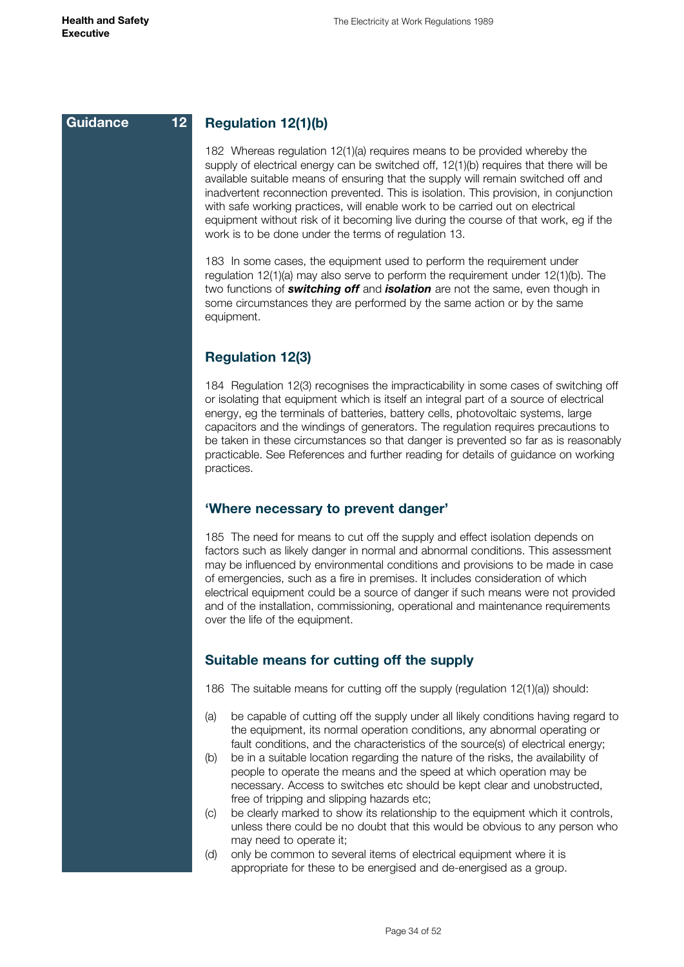#### **Regulation 12(1)(b) Guidance 12**

182 Whereas regulation 12(1)(a) requires means to be provided whereby the supply of electrical energy can be switched off, 12(1)(b) requires that there will be available suitable means of ensuring that the supply will remain switched off and inadvertent reconnection prevented. This is isolation. This provision, in conjunction with safe working practices, will enable work to be carried out on electrical equipment without risk of it becoming live during the course of that work, eg if the work is to be done under the terms of regulation 13.

183 In some cases, the equipment used to perform the requirement under regulation 12(1)(a) may also serve to perform the requirement under 12(1)(b). The two functions of *switching off* and *isolation* are not the same, even though in some circumstances they are performed by the same action or by the same equipment.

#### **Regulation 12(3)**

184 Regulation 12(3) recognises the impracticability in some cases of switching off or isolating that equipment which is itself an integral part of a source of electrical energy, eg the terminals of batteries, battery cells, photovoltaic systems, large capacitors and the windings of generators. The regulation requires precautions to be taken in these circumstances so that danger is prevented so far as is reasonably practicable. See References and further reading for details of guidance on working practices.

#### **'Where necessary to prevent danger'**

185 The need for means to cut off the supply and effect isolation depends on factors such as likely danger in normal and abnormal conditions. This assessment may be influenced by environmental conditions and provisions to be made in case of emergencies, such as a fire in premises. It includes consideration of which electrical equipment could be a source of danger if such means were not provided and of the installation, commissioning, operational and maintenance requirements over the life of the equipment.

#### **Suitable means for cutting off the supply**

186 The suitable means for cutting off the supply (regulation 12(1)(a)) should:

- (a) be capable of cutting off the supply under all likely conditions having regard to the equipment, its normal operation conditions, any abnormal operating or fault conditions, and the characteristics of the source(s) of electrical energy;
- (b) be in a suitable location regarding the nature of the risks, the availability of people to operate the means and the speed at which operation may be necessary. Access to switches etc should be kept clear and unobstructed, free of tripping and slipping hazards etc:
- (c) be clearly marked to show its relationship to the equipment which it controls, unless there could be no doubt that this would be obvious to any person who may need to operate it;
- (d) only be common to several items of electrical equipment where it is appropriate for these to be energised and de-energised as a group.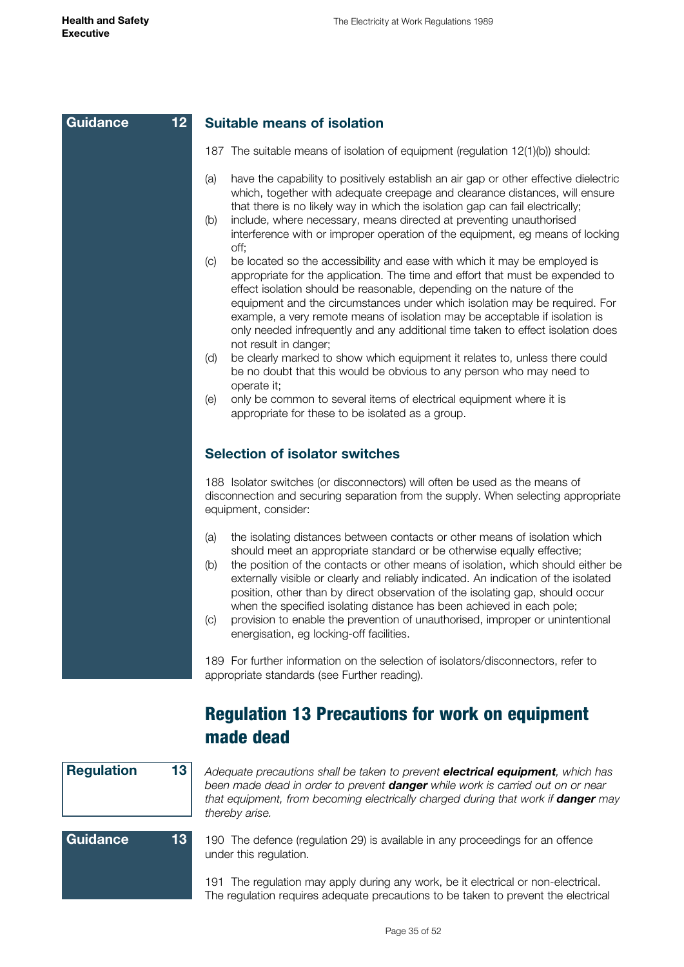| <b>Guidance</b><br>12 <sub>2</sub> | <b>Suitable means of isolation</b>                                                                                                                                                                                                                                                                                                                                                                                                                                                                                                                                                              |
|------------------------------------|-------------------------------------------------------------------------------------------------------------------------------------------------------------------------------------------------------------------------------------------------------------------------------------------------------------------------------------------------------------------------------------------------------------------------------------------------------------------------------------------------------------------------------------------------------------------------------------------------|
|                                    | 187 The suitable means of isolation of equipment (regulation 12(1)(b)) should:                                                                                                                                                                                                                                                                                                                                                                                                                                                                                                                  |
|                                    | have the capability to positively establish an air gap or other effective dielectric<br>(a)<br>which, together with adequate creepage and clearance distances, will ensure<br>that there is no likely way in which the isolation gap can fail electrically;                                                                                                                                                                                                                                                                                                                                     |
|                                    | include, where necessary, means directed at preventing unauthorised<br>(b)<br>interference with or improper operation of the equipment, eg means of locking<br>off;                                                                                                                                                                                                                                                                                                                                                                                                                             |
|                                    | be located so the accessibility and ease with which it may be employed is<br>(c)<br>appropriate for the application. The time and effort that must be expended to<br>effect isolation should be reasonable, depending on the nature of the<br>equipment and the circumstances under which isolation may be required. For<br>example, a very remote means of isolation may be acceptable if isolation is<br>only needed infrequently and any additional time taken to effect isolation does<br>not result in danger;                                                                             |
|                                    | be clearly marked to show which equipment it relates to, unless there could<br>(d)<br>be no doubt that this would be obvious to any person who may need to<br>operate it;                                                                                                                                                                                                                                                                                                                                                                                                                       |
|                                    | (e)<br>only be common to several items of electrical equipment where it is<br>appropriate for these to be isolated as a group.                                                                                                                                                                                                                                                                                                                                                                                                                                                                  |
|                                    | <b>Selection of isolator switches</b>                                                                                                                                                                                                                                                                                                                                                                                                                                                                                                                                                           |
|                                    | 188 Isolator switches (or disconnectors) will often be used as the means of<br>disconnection and securing separation from the supply. When selecting appropriate<br>equipment, consider:                                                                                                                                                                                                                                                                                                                                                                                                        |
|                                    | the isolating distances between contacts or other means of isolation which<br>(a)<br>should meet an appropriate standard or be otherwise equally effective;<br>the position of the contacts or other means of isolation, which should either be<br>(b)<br>externally visible or clearly and reliably indicated. An indication of the isolated<br>position, other than by direct observation of the isolating gap, should occur<br>when the specified isolating distance has been achieved in each pole;<br>provision to enable the prevention of unauthorised, improper or unintentional<br>(c) |
|                                    | energisation, eg locking-off facilities.                                                                                                                                                                                                                                                                                                                                                                                                                                                                                                                                                        |
|                                    | 189 For further information on the selection of isolators/disconnectors, refer to<br>appropriate standards (see Further reading).                                                                                                                                                                                                                                                                                                                                                                                                                                                               |

# Regulation 13 Precautions for work on equipment made dead

*Adequate precautions shall be taken to prevent electrical equipment, which has been made dead in order to prevent danger while work is carried out on or near that equipment, from becoming electrically charged during that work if danger may thereby arise.* 190 The defence (regulation 29) is available in any proceedings for an offence under this regulation. 191 The regulation may apply during any work, be it electrical or non-electrical. Guidance 13 **Regulation 13**

Page 35 of 52

The regulation requires adequate precautions to be taken to prevent the electrical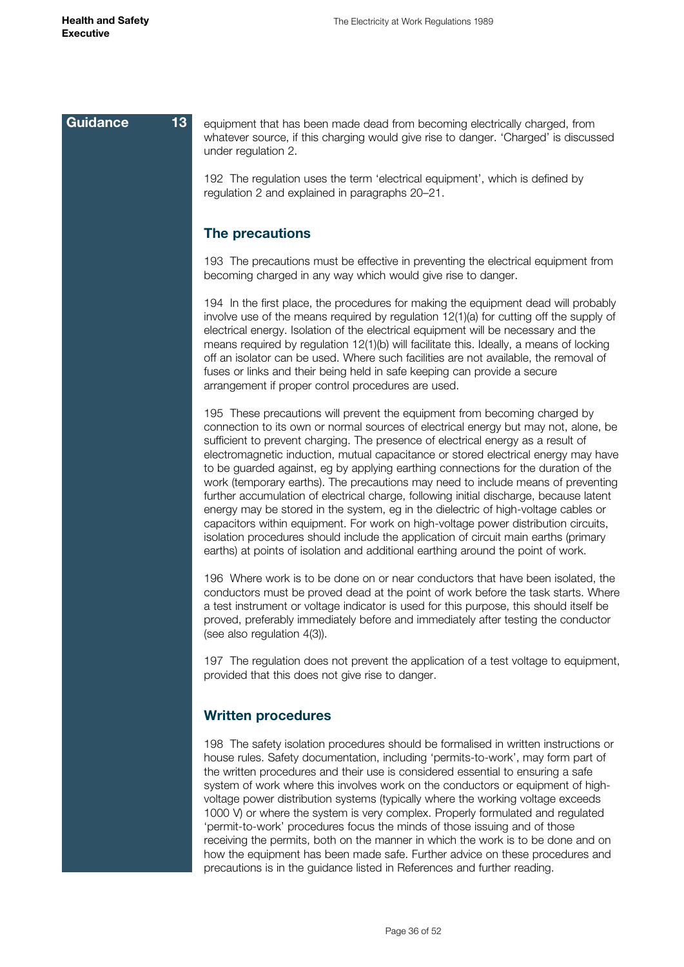<span id="page-35-0"></span>

| 13<br>Guidance | equipment that has been made dead from becoming electrically charged, from<br>whatever source, if this charging would give rise to danger. 'Charged' is discussed<br>under regulation 2.                                                                                                                                                                                                                                                                                                                                                                                                                                                                                                                                                                                                                                                                                                                                                                              |
|----------------|-----------------------------------------------------------------------------------------------------------------------------------------------------------------------------------------------------------------------------------------------------------------------------------------------------------------------------------------------------------------------------------------------------------------------------------------------------------------------------------------------------------------------------------------------------------------------------------------------------------------------------------------------------------------------------------------------------------------------------------------------------------------------------------------------------------------------------------------------------------------------------------------------------------------------------------------------------------------------|
|                | 192 The regulation uses the term 'electrical equipment', which is defined by<br>regulation 2 and explained in paragraphs 20-21.                                                                                                                                                                                                                                                                                                                                                                                                                                                                                                                                                                                                                                                                                                                                                                                                                                       |
|                | The precautions                                                                                                                                                                                                                                                                                                                                                                                                                                                                                                                                                                                                                                                                                                                                                                                                                                                                                                                                                       |
|                | 193 The precautions must be effective in preventing the electrical equipment from<br>becoming charged in any way which would give rise to danger.                                                                                                                                                                                                                                                                                                                                                                                                                                                                                                                                                                                                                                                                                                                                                                                                                     |
|                | 194 In the first place, the procedures for making the equipment dead will probably<br>involve use of the means required by regulation 12(1)(a) for cutting off the supply of<br>electrical energy. Isolation of the electrical equipment will be necessary and the<br>means required by regulation 12(1)(b) will facilitate this. Ideally, a means of locking<br>off an isolator can be used. Where such facilities are not available, the removal of<br>fuses or links and their being held in safe keeping can provide a secure<br>arrangement if proper control procedures are used.                                                                                                                                                                                                                                                                                                                                                                               |
|                | 195 These precautions will prevent the equipment from becoming charged by<br>connection to its own or normal sources of electrical energy but may not, alone, be<br>sufficient to prevent charging. The presence of electrical energy as a result of<br>electromagnetic induction, mutual capacitance or stored electrical energy may have<br>to be guarded against, eg by applying earthing connections for the duration of the<br>work (temporary earths). The precautions may need to include means of preventing<br>further accumulation of electrical charge, following initial discharge, because latent<br>energy may be stored in the system, eg in the dielectric of high-voltage cables or<br>capacitors within equipment. For work on high-voltage power distribution circuits,<br>isolation procedures should include the application of circuit main earths (primary<br>earths) at points of isolation and additional earthing around the point of work. |
|                | 196 Where work is to be done on or near conductors that have been isolated, the<br>conductors must be proved dead at the point of work before the task starts. Where<br>a test instrument or voltage indicator is used for this purpose, this should itself be<br>proved, preferably immediately before and immediately after testing the conductor<br>(see also regulation 4(3)).                                                                                                                                                                                                                                                                                                                                                                                                                                                                                                                                                                                    |
|                | 197 The regulation does not prevent the application of a test voltage to equipment,<br>provided that this does not give rise to danger.                                                                                                                                                                                                                                                                                                                                                                                                                                                                                                                                                                                                                                                                                                                                                                                                                               |
|                | <b>Written procedures</b>                                                                                                                                                                                                                                                                                                                                                                                                                                                                                                                                                                                                                                                                                                                                                                                                                                                                                                                                             |
|                | 198 The safety isolation procedures should be formalised in written instructions or<br>house rules. Safety documentation, including 'permits-to-work', may form part of<br>the written procedures and their use is considered essential to ensuring a safe<br>system of work where this involves work on the conductors or equipment of high-<br>voltage power distribution systems (typically where the working voltage exceeds<br>1000 V) or where the system is very complex. Properly formulated and regulated                                                                                                                                                                                                                                                                                                                                                                                                                                                    |

Page 36 of 52

'permit-to-work' procedures focus the minds of those issuing and of those receiving the permits, both on the manner in which the work is to be done and on how the equipment has been made safe. Further advice on these procedures and

precautions is in the guidance listed in References and further reading.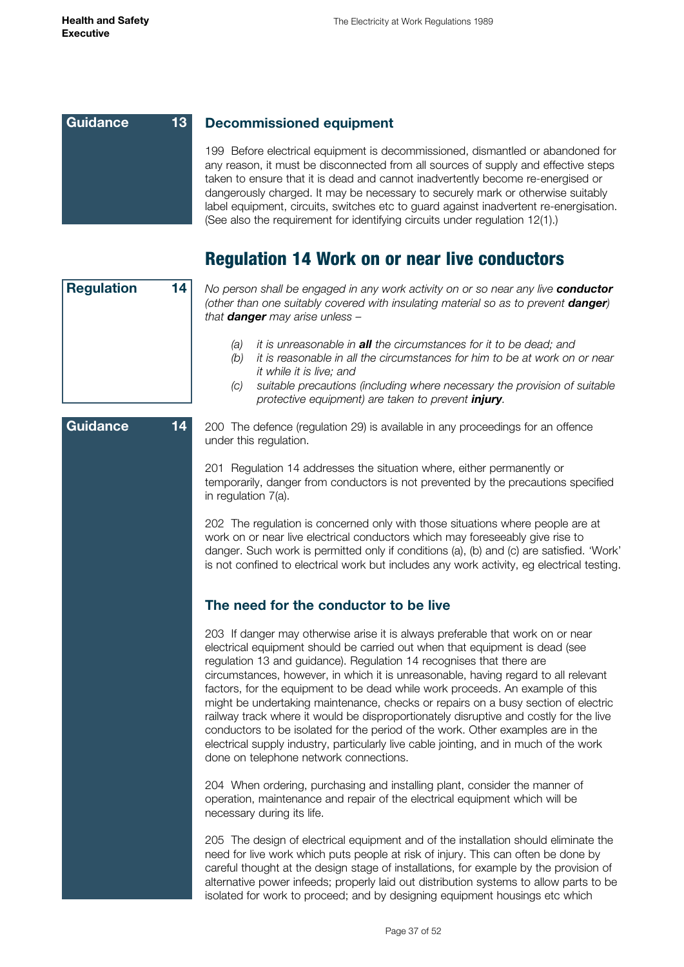<span id="page-36-0"></span>

# Regulation 14 Work on or near live conductors

| <b>Regulation</b><br>14 | No person shall be engaged in any work activity on or so near any live <b>conductor</b><br>(other than one suitably covered with insulating material so as to prevent <b>danger</b> )<br>that <b>danger</b> may arise unless $-$                                                                                                                    |  |
|-------------------------|-----------------------------------------------------------------------------------------------------------------------------------------------------------------------------------------------------------------------------------------------------------------------------------------------------------------------------------------------------|--|
|                         | it is unreasonable in <b>all</b> the circumstances for it to be dead; and<br>(a)<br>it is reasonable in all the circumstances for him to be at work on or near<br>(b)<br>it while it is live; and<br>suitable precautions (including where necessary the provision of suitable<br>(C)<br>protective equipment) are taken to prevent <i>injury</i> . |  |
| <b>Guidance</b><br>14   | 200 The defence (regulation 29) is available in any proceedings for an offence<br>under this regulation.                                                                                                                                                                                                                                            |  |

201 Regulation 14 addresses the situation where, either permanently or temporarily, danger from conductors is not prevented by the precautions specified in regulation 7(a).

202 The regulation is concerned only with those situations where people are at work on or near live electrical conductors which may foreseeably give rise to danger. Such work is permitted only if conditions (a), (b) and (c) are satisfied. 'Work' is not confined to electrical work but includes any work activity, eg electrical testing.

#### **The need for the conductor to be live**

203 If danger may otherwise arise it is always preferable that work on or near electrical equipment should be carried out when that equipment is dead (see regulation 13 and guidance). Regulation 14 recognises that there are circumstances, however, in which it is unreasonable, having regard to all relevant factors, for the equipment to be dead while work proceeds. An example of this might be undertaking maintenance, checks or repairs on a busy section of electric railway track where it would be disproportionately disruptive and costly for the live conductors to be isolated for the period of the work. Other examples are in the electrical supply industry, particularly live cable jointing, and in much of the work done on telephone network connections.

204 When ordering, purchasing and installing plant, consider the manner of operation, maintenance and repair of the electrical equipment which will be necessary during its life.

205 The design of electrical equipment and of the installation should eliminate the need for live work which puts people at risk of injury. This can often be done by careful thought at the design stage of installations, for example by the provision of alternative power infeeds; properly laid out distribution systems to allow parts to be isolated for work to proceed; and by designing equipment housings etc which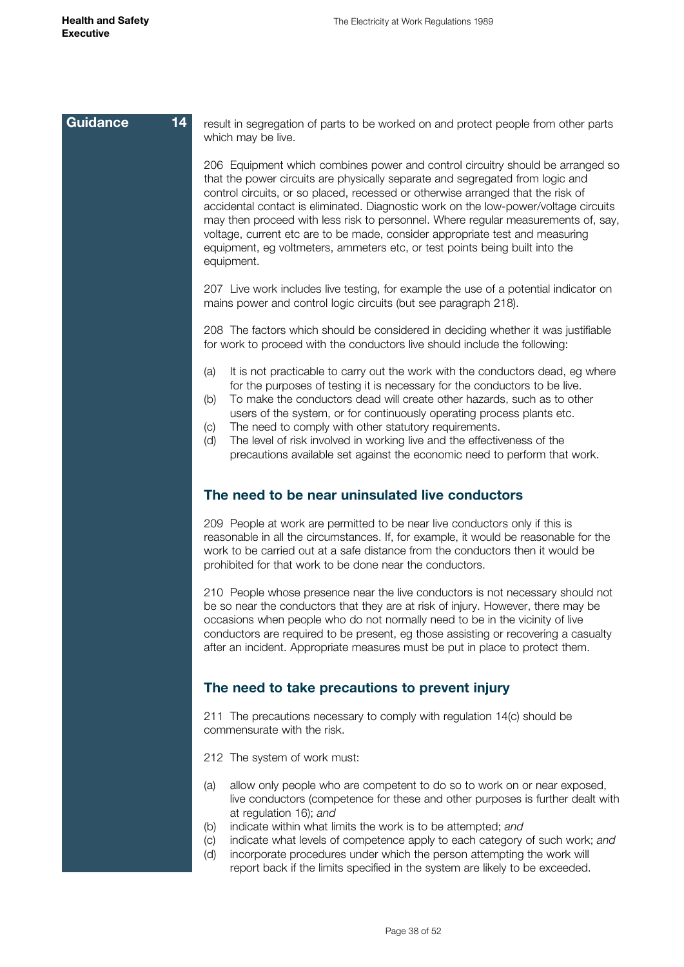| 14<br>Guidance | result in segregation of parts to be worked on and protect people from other parts<br>which may be live.                                                                                                                                                                                                                                                                                                                                                                                                                                                                                                    |
|----------------|-------------------------------------------------------------------------------------------------------------------------------------------------------------------------------------------------------------------------------------------------------------------------------------------------------------------------------------------------------------------------------------------------------------------------------------------------------------------------------------------------------------------------------------------------------------------------------------------------------------|
|                | 206 Equipment which combines power and control circuitry should be arranged so<br>that the power circuits are physically separate and segregated from logic and<br>control circuits, or so placed, recessed or otherwise arranged that the risk of<br>accidental contact is eliminated. Diagnostic work on the low-power/voltage circuits<br>may then proceed with less risk to personnel. Where regular measurements of, say,<br>voltage, current etc are to be made, consider appropriate test and measuring<br>equipment, eg voltmeters, ammeters etc, or test points being built into the<br>equipment. |
|                | 207 Live work includes live testing, for example the use of a potential indicator on<br>mains power and control logic circuits (but see paragraph 218).                                                                                                                                                                                                                                                                                                                                                                                                                                                     |
|                | 208 The factors which should be considered in deciding whether it was justifiable<br>for work to proceed with the conductors live should include the following:                                                                                                                                                                                                                                                                                                                                                                                                                                             |
|                | It is not practicable to carry out the work with the conductors dead, eg where<br>(a)<br>for the purposes of testing it is necessary for the conductors to be live.<br>To make the conductors dead will create other hazards, such as to other<br>(b)<br>users of the system, or for continuously operating process plants etc.<br>The need to comply with other statutory requirements.<br>(C)<br>The level of risk involved in working live and the effectiveness of the<br>(d)<br>precautions available set against the economic need to perform that work.                                              |
|                | The need to be near uninsulated live conductors                                                                                                                                                                                                                                                                                                                                                                                                                                                                                                                                                             |
|                | 209 People at work are permitted to be near live conductors only if this is<br>reasonable in all the circumstances. If, for example, it would be reasonable for the<br>work to be carried out at a safe distance from the conductors then it would be<br>prohibited for that work to be done near the conductors.                                                                                                                                                                                                                                                                                           |
|                | 210 People whose presence near the live conductors is not necessary should not<br>be so near the conductors that they are at risk of injury. However, there may be<br>occasions when people who do not normally need to be in the vicinity of live<br>conductors are required to be present, eg those assisting or recovering a casualty<br>after an incident. Appropriate measures must be put in place to protect them.                                                                                                                                                                                   |
|                | The need to take precautions to prevent injury                                                                                                                                                                                                                                                                                                                                                                                                                                                                                                                                                              |
|                | 211 The precautions necessary to comply with regulation 14(c) should be<br>commensurate with the risk.                                                                                                                                                                                                                                                                                                                                                                                                                                                                                                      |
|                | 212 The system of work must:                                                                                                                                                                                                                                                                                                                                                                                                                                                                                                                                                                                |
|                | (a)<br>allow only people who are competent to do so to work on or near exposed,<br>live conductors (competence for these and other purposes is further dealt with<br>at regulation 16); and                                                                                                                                                                                                                                                                                                                                                                                                                 |
|                | indicate within what limits the work is to be attempted; and<br>(b)<br>indicate what levels of competence apply to each category of such work; and<br>(C)<br>incorporate procedures under which the person attempting the work will<br>(d)<br>report back if the limits specified in the system are likely to be exceeded.                                                                                                                                                                                                                                                                                  |
|                |                                                                                                                                                                                                                                                                                                                                                                                                                                                                                                                                                                                                             |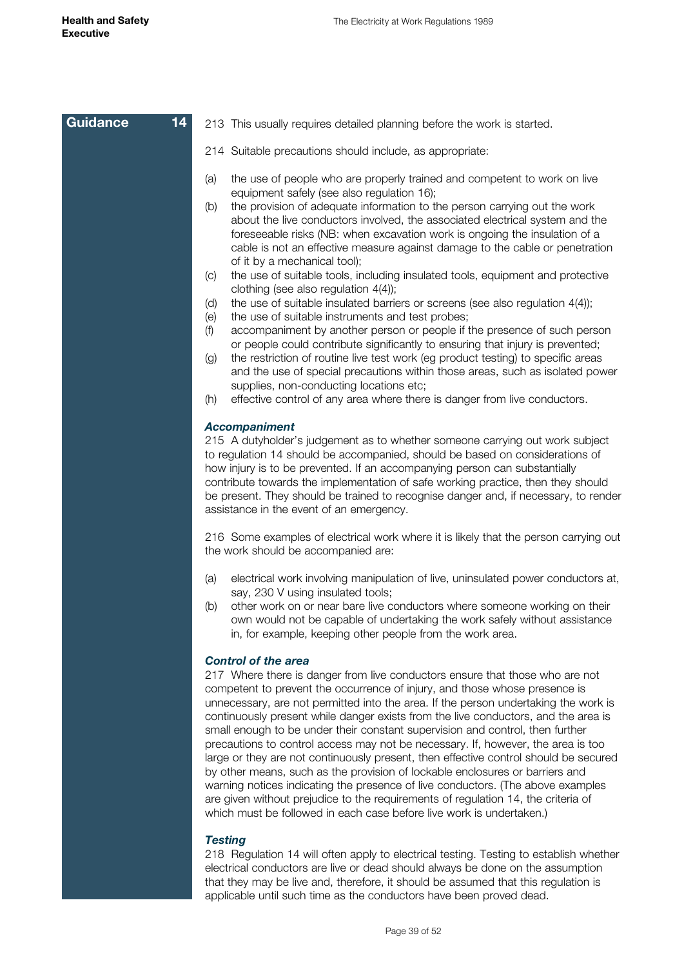| 14<br>Guidance | 213 This usually requires detailed planning before the work is started.                                                                                                                                                                                                                                                                                                                                                                                                                                                                                                                                                                                                                                                                                                                                                                                                                                                                                                                                                                                                                                                                                                                     |
|----------------|---------------------------------------------------------------------------------------------------------------------------------------------------------------------------------------------------------------------------------------------------------------------------------------------------------------------------------------------------------------------------------------------------------------------------------------------------------------------------------------------------------------------------------------------------------------------------------------------------------------------------------------------------------------------------------------------------------------------------------------------------------------------------------------------------------------------------------------------------------------------------------------------------------------------------------------------------------------------------------------------------------------------------------------------------------------------------------------------------------------------------------------------------------------------------------------------|
|                | 214 Suitable precautions should include, as appropriate:                                                                                                                                                                                                                                                                                                                                                                                                                                                                                                                                                                                                                                                                                                                                                                                                                                                                                                                                                                                                                                                                                                                                    |
|                | the use of people who are properly trained and competent to work on live<br>(a)<br>equipment safely (see also regulation 16);<br>the provision of adequate information to the person carrying out the work<br>(b)<br>about the live conductors involved, the associated electrical system and the<br>foreseeable risks (NB: when excavation work is ongoing the insulation of a<br>cable is not an effective measure against damage to the cable or penetration<br>of it by a mechanical tool);<br>the use of suitable tools, including insulated tools, equipment and protective<br>$\left( $<br>clothing (see also regulation $4(4)$ );<br>the use of suitable insulated barriers or screens (see also regulation $4(4)$ );<br>(d)<br>(e)<br>the use of suitable instruments and test probes;<br>(f)<br>accompaniment by another person or people if the presence of such person<br>or people could contribute significantly to ensuring that injury is prevented;<br>the restriction of routine live test work (eg product testing) to specific areas<br>(g)<br>and the use of special precautions within those areas, such as isolated power<br>supplies, non-conducting locations etc; |
|                | effective control of any area where there is danger from live conductors.<br>(h)<br><b>Accompaniment</b><br>215 A dutyholder's judgement as to whether someone carrying out work subject<br>to regulation 14 should be accompanied, should be based on considerations of<br>how injury is to be prevented. If an accompanying person can substantially<br>contribute towards the implementation of safe working practice, then they should<br>be present. They should be trained to recognise danger and, if necessary, to render<br>assistance in the event of an emergency.                                                                                                                                                                                                                                                                                                                                                                                                                                                                                                                                                                                                               |
|                | 216 Some examples of electrical work where it is likely that the person carrying out<br>the work should be accompanied are:                                                                                                                                                                                                                                                                                                                                                                                                                                                                                                                                                                                                                                                                                                                                                                                                                                                                                                                                                                                                                                                                 |
|                | electrical work involving manipulation of live, uninsulated power conductors at,<br>(a)<br>say, 230 V using insulated tools;<br>other work on or near bare live conductors where someone working on their<br>(b)<br>own would not be capable of undertaking the work safely without assistance<br>in, for example, keeping other people from the work area.                                                                                                                                                                                                                                                                                                                                                                                                                                                                                                                                                                                                                                                                                                                                                                                                                                 |
|                | <b>Control of the area</b><br>217 Where there is danger from live conductors ensure that those who are not<br>competent to prevent the occurrence of injury, and those whose presence is<br>unnecessary, are not permitted into the area. If the person undertaking the work is<br>continuously present while danger exists from the live conductors, and the area is<br>small enough to be under their constant supervision and control, then further<br>precautions to control access may not be necessary. If, however, the area is too<br>large or they are not continuously present, then effective control should be secured<br>by other means, such as the provision of lockable enclosures or barriers and<br>warning notices indicating the presence of live conductors. (The above examples<br>are given without prejudice to the requirements of regulation 14, the criteria of<br>which must be followed in each case before live work is undertaken.)                                                                                                                                                                                                                          |

#### *Testing*

218 Regulation 14 will often apply to electrical testing. Testing to establish whether electrical conductors are live or dead should always be done on the assumption that they may be live and, therefore, it should be assumed that this regulation is applicable until such time as the conductors have been proved dead.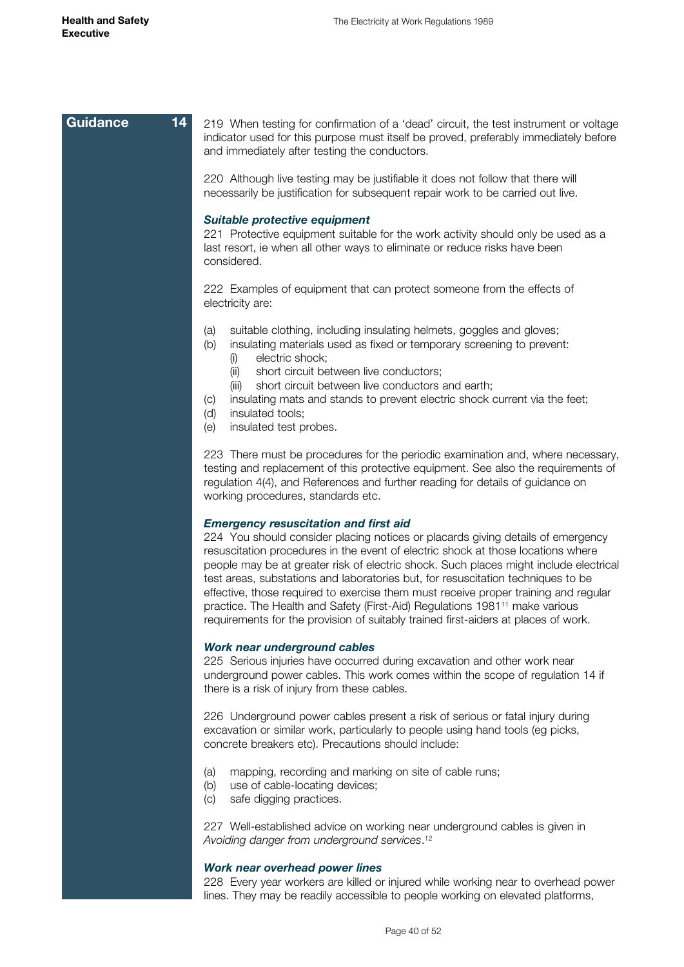| Guidance<br>14 | 219 When testing for confirmation of a 'dead' circuit, the test instrument or voltage<br>indicator used for this purpose must itself be proved, preferably immediately before<br>and immediately after testing the conductors.                                                                                                                                                                                                                                                                                                                                                                                                                                           |
|----------------|--------------------------------------------------------------------------------------------------------------------------------------------------------------------------------------------------------------------------------------------------------------------------------------------------------------------------------------------------------------------------------------------------------------------------------------------------------------------------------------------------------------------------------------------------------------------------------------------------------------------------------------------------------------------------|
|                | 220 Although live testing may be justifiable it does not follow that there will<br>necessarily be justification for subsequent repair work to be carried out live.                                                                                                                                                                                                                                                                                                                                                                                                                                                                                                       |
|                | Suitable protective equipment<br>221 Protective equipment suitable for the work activity should only be used as a<br>last resort, ie when all other ways to eliminate or reduce risks have been<br>considered.                                                                                                                                                                                                                                                                                                                                                                                                                                                           |
|                | 222 Examples of equipment that can protect someone from the effects of<br>electricity are:                                                                                                                                                                                                                                                                                                                                                                                                                                                                                                                                                                               |
|                | suitable clothing, including insulating helmets, goggles and gloves;<br>(a)<br>insulating materials used as fixed or temporary screening to prevent:<br>(b)<br>electric shock;<br>(i)<br>(ii)<br>short circuit between live conductors;<br>short circuit between live conductors and earth;<br>(iii)<br>insulating mats and stands to prevent electric shock current via the feet;<br>(C)<br>(d)<br>insulated tools;<br>(e)<br>insulated test probes.                                                                                                                                                                                                                    |
|                | 223 There must be procedures for the periodic examination and, where necessary,<br>testing and replacement of this protective equipment. See also the requirements of<br>regulation 4(4), and References and further reading for details of guidance on<br>working procedures, standards etc.                                                                                                                                                                                                                                                                                                                                                                            |
|                | <b>Emergency resuscitation and first aid</b><br>224 You should consider placing notices or placards giving details of emergency<br>resuscitation procedures in the event of electric shock at those locations where<br>people may be at greater risk of electric shock. Such places might include electrical<br>test areas, substations and laboratories but, for resuscitation techniques to be<br>effective, those required to exercise them must receive proper training and regular<br>practice. The Health and Safety (First-Aid) Regulations 1981 <sup>11</sup> make various<br>requirements for the provision of suitably trained first-aiders at places of work. |
|                | <b>Work near underground cables</b><br>225 Serious injuries have occurred during excavation and other work near<br>underground power cables. This work comes within the scope of regulation 14 if<br>there is a risk of injury from these cables.                                                                                                                                                                                                                                                                                                                                                                                                                        |
|                | 226 Underground power cables present a risk of serious or fatal injury during<br>excavation or similar work, particularly to people using hand tools (eg picks,<br>concrete breakers etc). Precautions should include:                                                                                                                                                                                                                                                                                                                                                                                                                                                   |
|                | mapping, recording and marking on site of cable runs;<br>(a)<br>(b)<br>use of cable-locating devices;<br>safe digging practices.<br>(C)                                                                                                                                                                                                                                                                                                                                                                                                                                                                                                                                  |
|                | 227 Well-established advice on working near underground cables is given in<br>Avoiding danger from underground services. <sup>12</sup>                                                                                                                                                                                                                                                                                                                                                                                                                                                                                                                                   |

#### *Work near overhead power lines*

228 Every year workers are killed or injured while working near to overhead power lines. They may be readily accessible to people working on elevated platforms,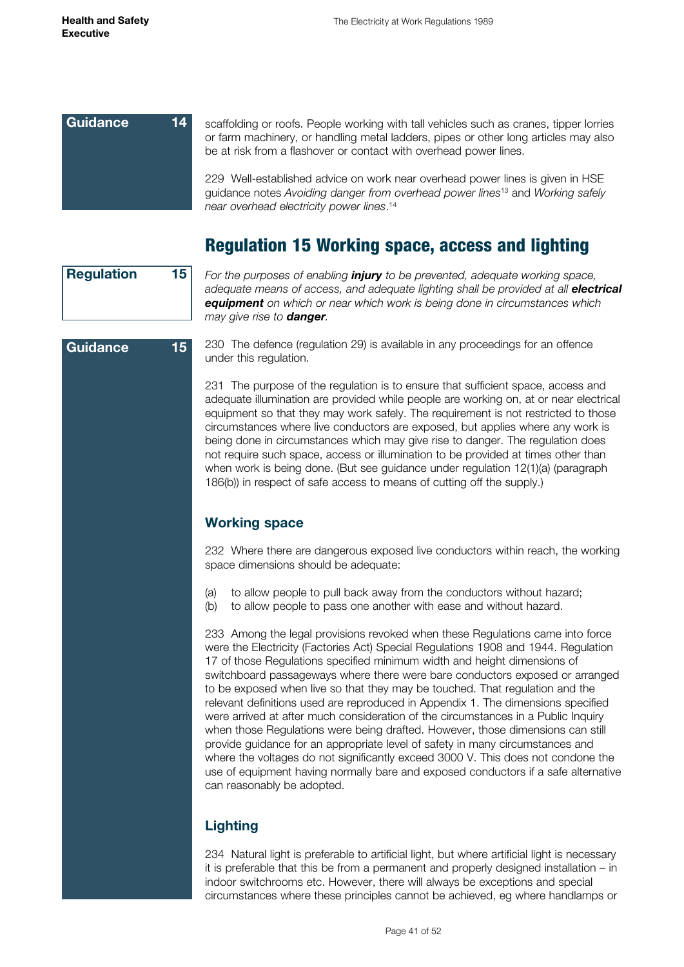<span id="page-40-0"></span>

| <b>Guidance</b><br>14. | scaffolding or roofs. People working with tall vehicles such as cranes, tipper lorries<br>or farm machinery, or handling metal ladders, pipes or other long articles may also<br>be at risk from a flashover or contact with overhead power lines. |
|------------------------|----------------------------------------------------------------------------------------------------------------------------------------------------------------------------------------------------------------------------------------------------|
|                        | 229 Well-established advice on work near overhead power lines is given in HSE<br>guidance notes Avoiding danger from overhead power lines <sup>13</sup> and Working safely<br>near overhead electricity power lines. <sup>14</sup>                 |

# Regulation 15 Working space, access and lighting

| <b>Regulation</b> | 15 |
|-------------------|----|
|                   |    |
|                   |    |

**Guidance 15**

*For the purposes of enabling injury to be prevented, adequate working space, adequate means of access, and adequate lighting shall be provided at all electrical equipment on which or near which work is being done in circumstances which may give rise to danger.*

230 The defence (regulation 29) is available in any proceedings for an offence under this regulation.

231 The purpose of the regulation is to ensure that sufficient space, access and adequate illumination are provided while people are working on, at or near electrical equipment so that they may work safely. The requirement is not restricted to those circumstances where live conductors are exposed, but applies where any work is being done in circumstances which may give rise to danger. The regulation does not require such space, access or illumination to be provided at times other than when work is being done. (But see guidance under regulation 12(1)(a) (paragraph 186(b)) in respect of safe access to means of cutting off the supply.)

#### **Working space**

232 Where there are dangerous exposed live conductors within reach, the working space dimensions should be adequate:

- (a) to allow people to pull back away from the conductors without hazard;
- (b) to allow people to pass one another with ease and without hazard.

233 Among the legal provisions revoked when these Regulations came into force were the Electricity (Factories Act) Special Regulations 1908 and 1944. Regulation 17 of those Regulations specified minimum width and height dimensions of switchboard passageways where there were bare conductors exposed or arranged to be exposed when live so that they may be touched. That regulation and the relevant definitions used are reproduced in Appendix 1. The dimensions specified were arrived at after much consideration of the circumstances in a Public Inquiry when those Regulations were being drafted. However, those dimensions can still provide guidance for an appropriate level of safety in many circumstances and where the voltages do not significantly exceed 3000 V. This does not condone the use of equipment having normally bare and exposed conductors if a safe alternative can reasonably be adopted.

#### **Lighting**

234 Natural light is preferable to artificial light, but where artificial light is necessary it is preferable that this be from a permanent and properly designed installation – in indoor switchrooms etc. However, there will always be exceptions and special circumstances where these principles cannot be achieved, eg where handlamps or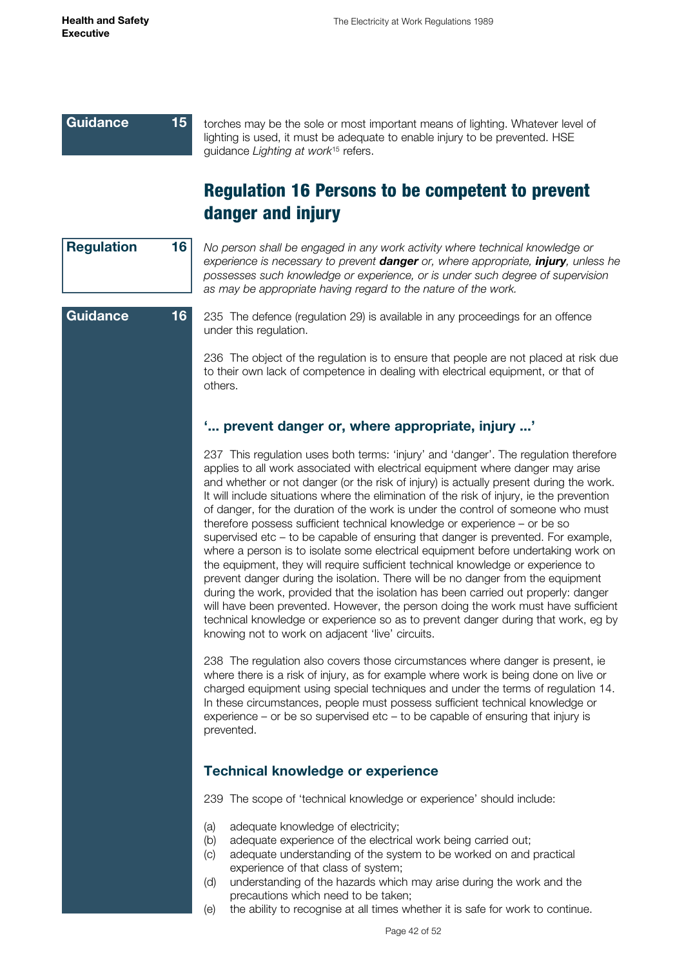#### <span id="page-41-0"></span>torches may be the sole or most important means of lighting. Whatever level of lighting is used, it must be adequate to enable injury to be prevented. HSE guidance *Lighting at work*15 refers. **Guidance 15**

# Regulation 16 Persons to be competent to prevent danger and injury

*No person shall be engaged in any work activity where technical knowledge or experience is necessary to prevent danger or, where appropriate, injury, unless he possesses such knowledge or experience, or is under such degree of supervision as may be appropriate having regard to the nature of the work.* **Regulation 16**

#### **Guidance 16**

235 The defence (regulation 29) is available in any proceedings for an offence under this regulation.

236 The object of the regulation is to ensure that people are not placed at risk due to their own lack of competence in dealing with electrical equipment, or that of others.

#### **'... prevent danger or, where appropriate, injury ...'**

237 This regulation uses both terms: 'injury' and 'danger'. The regulation therefore applies to all work associated with electrical equipment where danger may arise and whether or not danger (or the risk of injury) is actually present during the work. It will include situations where the elimination of the risk of injury, ie the prevention of danger, for the duration of the work is under the control of someone who must therefore possess sufficient technical knowledge or experience – or be so supervised etc – to be capable of ensuring that danger is prevented. For example, where a person is to isolate some electrical equipment before undertaking work on the equipment, they will require sufficient technical knowledge or experience to prevent danger during the isolation. There will be no danger from the equipment during the work, provided that the isolation has been carried out properly: danger will have been prevented. However, the person doing the work must have sufficient technical knowledge or experience so as to prevent danger during that work, eg by knowing not to work on adjacent 'live' circuits.

238 The regulation also covers those circumstances where danger is present, ie where there is a risk of injury, as for example where work is being done on live or charged equipment using special techniques and under the terms of regulation 14. In these circumstances, people must possess sufficient technical knowledge or experience – or be so supervised etc – to be capable of ensuring that injury is prevented.

#### **Technical knowledge or experience**

239 The scope of 'technical knowledge or experience' should include:

- (a) adequate knowledge of electricity;
- (b) adequate experience of the electrical work being carried out;
- (c) adequate understanding of the system to be worked on and practical experience of that class of system;
- (d) understanding of the hazards which may arise during the work and the precautions which need to be taken;
- (e) the ability to recognise at all times whether it is safe for work to continue.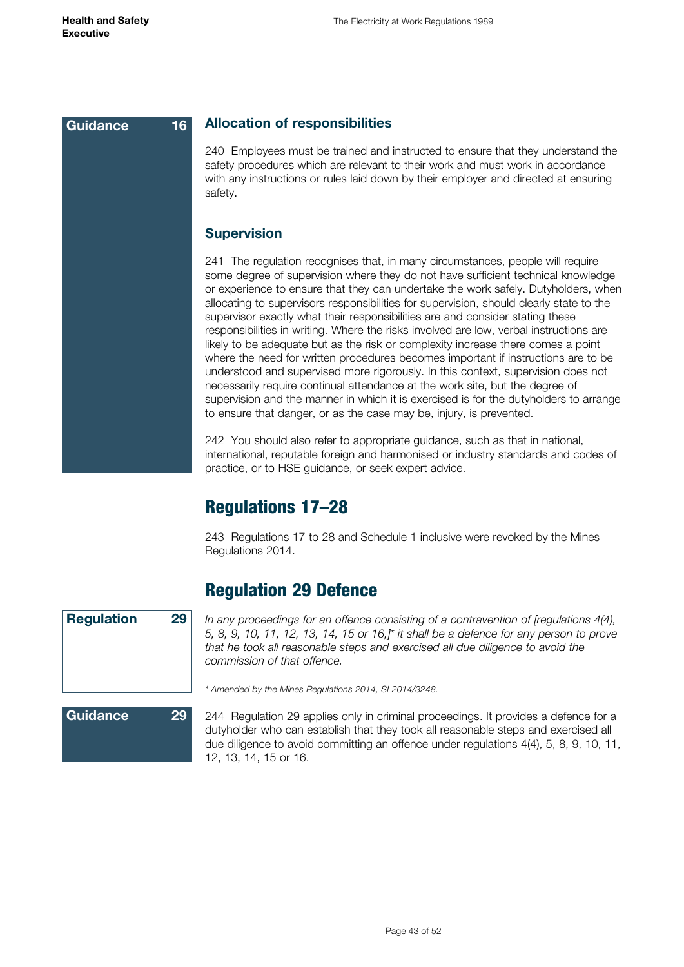<span id="page-42-0"></span>

| <b>Guidance</b> | 16 | <b>Allocation of responsibilities</b>                                                                                                                                                                                                                                                                                                                                                                                                                                                                                                                                                                                                                                                                                                                                                                                                                                                                                                                                                                                                       |
|-----------------|----|---------------------------------------------------------------------------------------------------------------------------------------------------------------------------------------------------------------------------------------------------------------------------------------------------------------------------------------------------------------------------------------------------------------------------------------------------------------------------------------------------------------------------------------------------------------------------------------------------------------------------------------------------------------------------------------------------------------------------------------------------------------------------------------------------------------------------------------------------------------------------------------------------------------------------------------------------------------------------------------------------------------------------------------------|
|                 |    | 240 Employees must be trained and instructed to ensure that they understand the<br>safety procedures which are relevant to their work and must work in accordance<br>with any instructions or rules laid down by their employer and directed at ensuring<br>safety.                                                                                                                                                                                                                                                                                                                                                                                                                                                                                                                                                                                                                                                                                                                                                                         |
|                 |    | <b>Supervision</b>                                                                                                                                                                                                                                                                                                                                                                                                                                                                                                                                                                                                                                                                                                                                                                                                                                                                                                                                                                                                                          |
|                 |    | 241 The regulation recognises that, in many circumstances, people will require<br>some degree of supervision where they do not have sufficient technical knowledge<br>or experience to ensure that they can undertake the work safely. Dutyholders, when<br>allocating to supervisors responsibilities for supervision, should clearly state to the<br>supervisor exactly what their responsibilities are and consider stating these<br>responsibilities in writing. Where the risks involved are low, verbal instructions are<br>likely to be adequate but as the risk or complexity increase there comes a point<br>where the need for written procedures becomes important if instructions are to be<br>understood and supervised more rigorously. In this context, supervision does not<br>necessarily require continual attendance at the work site, but the degree of<br>supervision and the manner in which it is exercised is for the dutyholders to arrange<br>to ensure that danger, or as the case may be, injury, is prevented. |
|                 |    | 242 You should also refer to appropriate guidance, such as that in national,<br>international, reputable foreign and harmonised or industry standards and codes of<br>practice, or to HSE guidance, or seek expert advice.                                                                                                                                                                                                                                                                                                                                                                                                                                                                                                                                                                                                                                                                                                                                                                                                                  |

# Regulations 17–28

243 Regulations 17 to 28 and Schedule 1 inclusive were revoked by the Mines Regulations 2014.

# Regulation 29 Defence

*In any proceedings for an offence consisting of a contravention of [regulations 4(4), 5, 8, 9, 10, 11, 12, 13, 14, 15 or 16,]\* it shall be a defence for any person to prove that he took all reasonable steps and exercised all due diligence to avoid the commission of that offence.*

*\* Amended by the Mines Regulations 2014, SI 2014/3248.*

244 Regulation 29 applies only in criminal proceedings. It provides a defence for a dutyholder who can establish that they took all reasonable steps and exercised all due diligence to avoid committing an offence under regulations 4(4), 5, 8, 9, 10, 11, 12, 13, 14, 15 or 16.

| Regulation |  |
|------------|--|
|            |  |
|            |  |
|            |  |

**Guidance 29**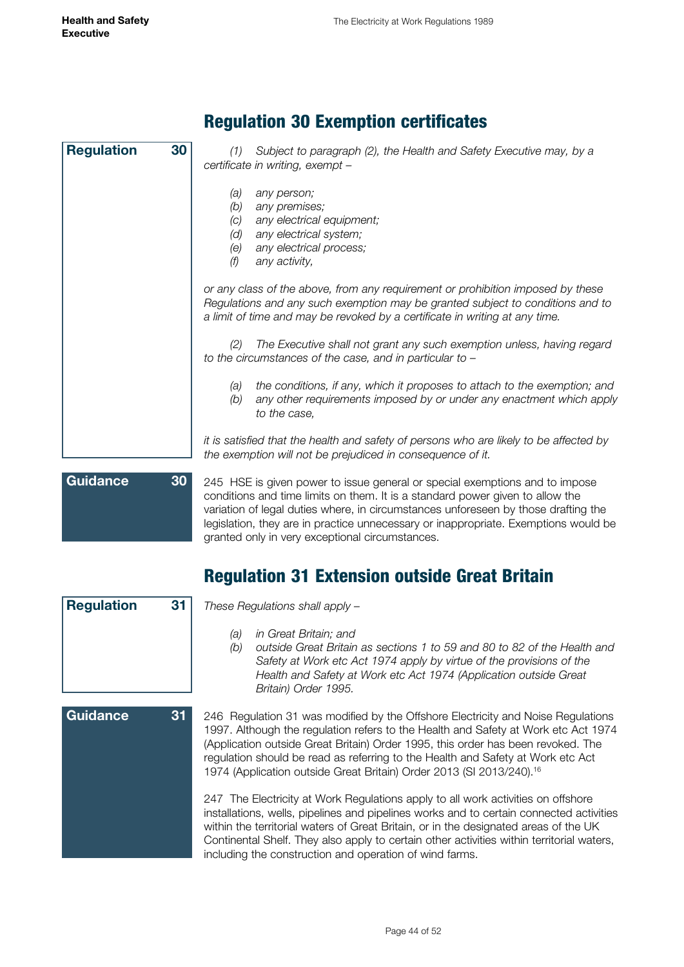# Regulation 30 Exemption certificates

<span id="page-43-0"></span>

| <b>Regulation</b> | 30 | Subject to paragraph (2), the Health and Safety Executive may, by a<br>certificate in writing, exempt -                                                                                                                                          |
|-------------------|----|--------------------------------------------------------------------------------------------------------------------------------------------------------------------------------------------------------------------------------------------------|
|                   |    | (a)<br>any person;<br>(b)<br>any premises;<br>(C)<br>any electrical equipment;<br>(d)<br>any electrical system;<br>any electrical process;<br>(e)<br>(f)<br>any activity,                                                                        |
|                   |    | or any class of the above, from any requirement or prohibition imposed by these<br>Regulations and any such exemption may be granted subject to conditions and to<br>a limit of time and may be revoked by a certificate in writing at any time. |
|                   |    | The Executive shall not grant any such exemption unless, having regard<br>(2)<br>to the circumstances of the case, and in particular to $-$                                                                                                      |
|                   |    | the conditions, if any, which it proposes to attach to the exemption; and<br>(a)<br>(b)<br>any other requirements imposed by or under any enactment which apply<br>to the case,                                                                  |
|                   |    | it is satisfied that the health and safety of persons who are likely to be affected by<br>the exemption will not be prejudiced in consequence of it.                                                                                             |

# **Guidance 30**

245 HSE is given power to issue general or special exemptions and to impose conditions and time limits on them. It is a standard power given to allow the variation of legal duties where, in circumstances unforeseen by those drafting the legislation, they are in practice unnecessary or inappropriate. Exemptions would be granted only in very exceptional circumstances.

# Regulation 31 Extension outside Great Britain

| <b>Regulation</b> | 31 | These Regulations shall apply -                                                                                                                                                                                                                                                                                                                                                                                                   |
|-------------------|----|-----------------------------------------------------------------------------------------------------------------------------------------------------------------------------------------------------------------------------------------------------------------------------------------------------------------------------------------------------------------------------------------------------------------------------------|
|                   |    | in Great Britain; and<br>(a)<br>outside Great Britain as sections 1 to 59 and 80 to 82 of the Health and<br>(b)<br>Safety at Work etc Act 1974 apply by virtue of the provisions of the<br>Health and Safety at Work etc Act 1974 (Application outside Great<br>Britain) Order 1995.                                                                                                                                              |
| <b>Guidance</b>   | 31 | 246 Regulation 31 was modified by the Offshore Electricity and Noise Regulations<br>1997. Although the regulation refers to the Health and Safety at Work etc Act 1974<br>(Application outside Great Britain) Order 1995, this order has been revoked. The<br>regulation should be read as referring to the Health and Safety at Work etc Act<br>1974 (Application outside Great Britain) Order 2013 (SI 2013/240). <sup>16</sup> |
|                   |    | 247 The Electricity at Work Regulations apply to all work activities on offshore<br>installations, wells, pipelines and pipelines works and to certain connected activities                                                                                                                                                                                                                                                       |

within the territorial waters of Great Britain, or in the designated areas of the UK Continental Shelf. They also apply to certain other activities within territorial waters, including the construction and operation of wind farms.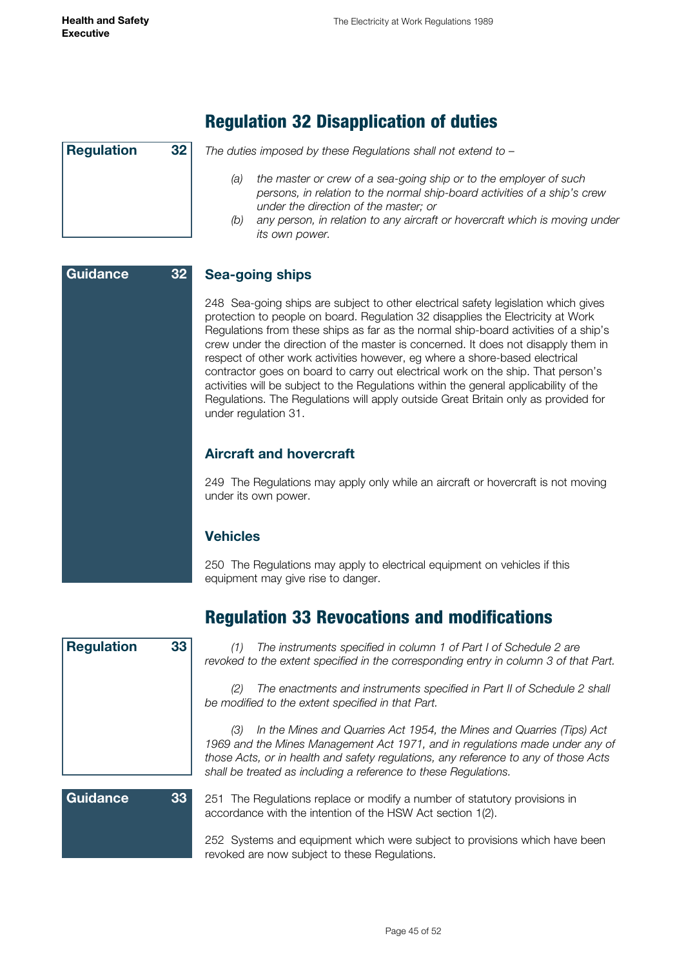# <span id="page-44-0"></span>**Regulation 32**

Regulation 32 Disapplication of duties

*The duties imposed by these Regulations shall not extend to –*

- *(a) the master or crew of a sea-going ship or to the employer of such persons, in relation to the normal ship-board activities of a ship's crew under the direction of the master; or*
- *(b) any person, in relation to any aircraft or hovercraft which is moving under its own power.*

#### **Sea-going ships Guidance 32**

248 Sea-going ships are subject to other electrical safety legislation which gives protection to people on board. Regulation 32 disapplies the Electricity at Work Regulations from these ships as far as the normal ship-board activities of a ship's crew under the direction of the master is concerned. It does not disapply them in respect of other work activities however, eg where a shore-based electrical contractor goes on board to carry out electrical work on the ship. That person's activities will be subject to the Regulations within the general applicability of the Regulations. The Regulations will apply outside Great Britain only as provided for under regulation 31.

#### **Aircraft and hovercraft**

249 The Regulations may apply only while an aircraft or hovercraft is not moving under its own power.

#### **Vehicles**

250 The Regulations may apply to electrical equipment on vehicles if this equipment may give rise to danger.

# Regulation 33 Revocations and modifications



*(1) The instruments specified in column 1 of Part I of Schedule 2 are revoked to the extent specified in the corresponding entry in column 3 of that Part.*

*(2) The enactments and instruments specified in Part II of Schedule 2 shall be modified to the extent specified in that Part.*

*(3) In the Mines and Quarries Act 1954, the Mines and Quarries (Tips) Act*  1969 and the Mines Management Act 1971, and in regulations made under any of *those Acts, or in health and safety regulations, any reference to any of those Acts shall be treated as including a reference to these Regulations.*

#### **Guidance 33**

251 The Regulations replace or modify a number of statutory provisions in accordance with the intention of the HSW Act section 1(2).

252 Systems and equipment which were subject to provisions which have been revoked are now subject to these Regulations.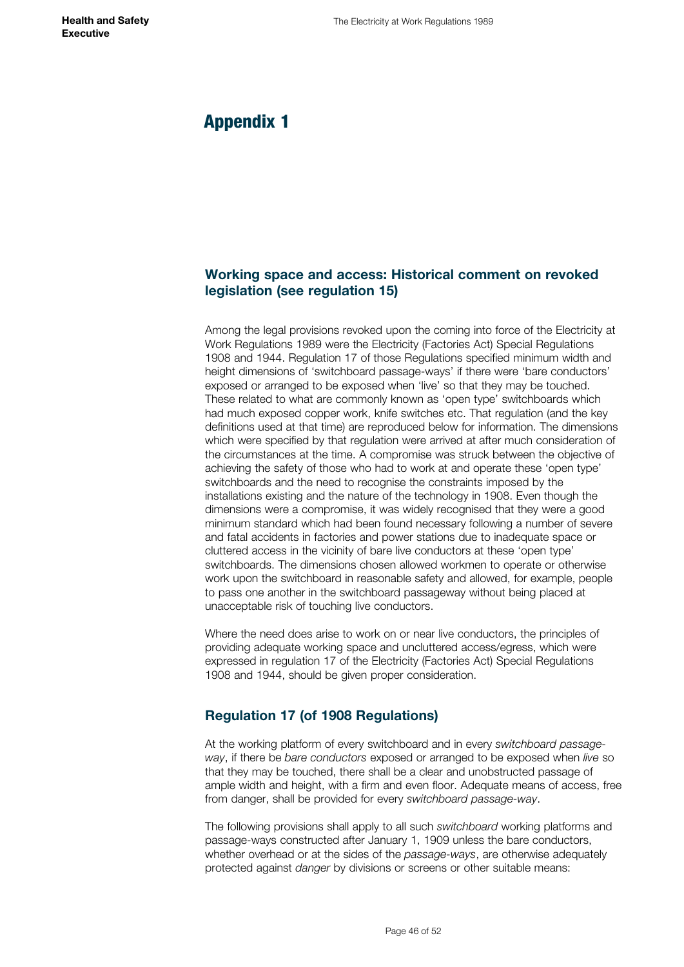# <span id="page-45-0"></span>Appendix 1

#### **Working space and access: Historical comment on revoked legislation (see regulation 15)**

Among the legal provisions revoked upon the coming into force of the Electricity at Work Regulations 1989 were the Electricity (Factories Act) Special Regulations 1908 and 1944. Regulation 17 of those Regulations specified minimum width and height dimensions of 'switchboard passage-ways' if there were 'bare conductors' exposed or arranged to be exposed when 'live' so that they may be touched. These related to what are commonly known as 'open type' switchboards which had much exposed copper work, knife switches etc. That regulation (and the key definitions used at that time) are reproduced below for information. The dimensions which were specified by that regulation were arrived at after much consideration of the circumstances at the time. A compromise was struck between the objective of achieving the safety of those who had to work at and operate these 'open type' switchboards and the need to recognise the constraints imposed by the installations existing and the nature of the technology in 1908. Even though the dimensions were a compromise, it was widely recognised that they were a good minimum standard which had been found necessary following a number of severe and fatal accidents in factories and power stations due to inadequate space or cluttered access in the vicinity of bare live conductors at these 'open type' switchboards. The dimensions chosen allowed workmen to operate or otherwise work upon the switchboard in reasonable safety and allowed, for example, people to pass one another in the switchboard passageway without being placed at unacceptable risk of touching live conductors.

Where the need does arise to work on or near live conductors, the principles of providing adequate working space and uncluttered access/egress, which were expressed in regulation 17 of the Electricity (Factories Act) Special Regulations 1908 and 1944, should be given proper consideration.

#### **Regulation 17 (of 1908 Regulations)**

At the working platform of every switchboard and in every *switchboard passageway*, if there be *bare conductors* exposed or arranged to be exposed when *live* so that they may be touched, there shall be a clear and unobstructed passage of ample width and height, with a firm and even floor. Adequate means of access, free from danger, shall be provided for every *switchboard passage-way*.

The following provisions shall apply to all such *switchboard* working platforms and passage-ways constructed after January 1, 1909 unless the bare conductors, whether overhead or at the sides of the *passage-ways*, are otherwise adequately protected against *danger* by divisions or screens or other suitable means: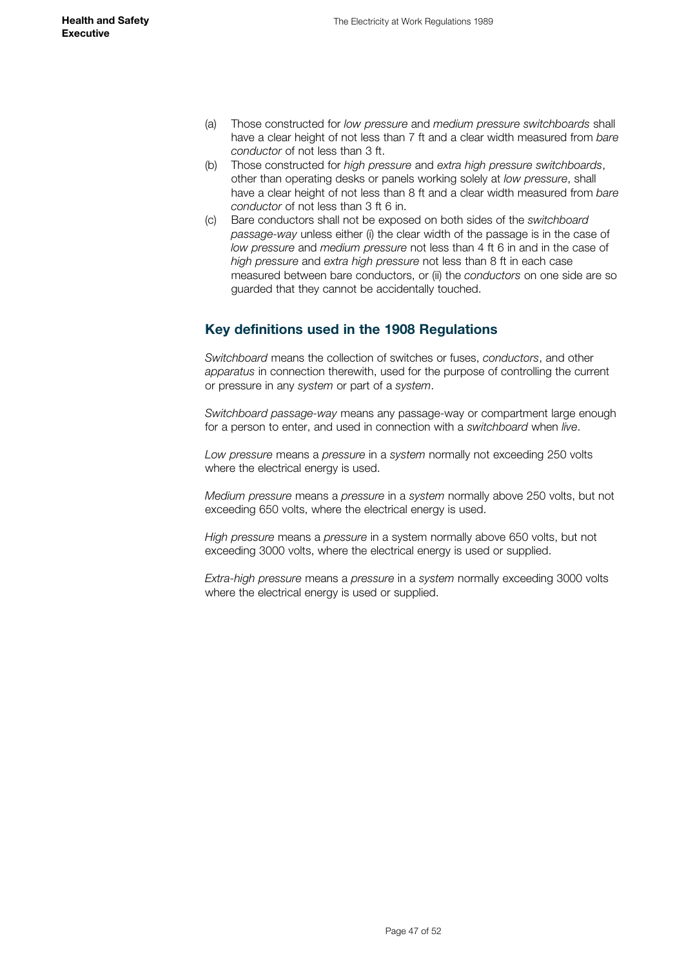- (a) Those constructed for *low pressure* and *medium pressure switchboards* shall have a clear height of not less than 7 ft and a clear width measured from *bare conductor* of not less than 3 ft.
- (b) Those constructed for *high pressure* and *extra high pressure switchboards*, other than operating desks or panels working solely at *low pressure*, shall have a clear height of not less than 8 ft and a clear width measured from *bare conductor* of not less than 3 ft 6 in.
- (c) Bare conductors shall not be exposed on both sides of the *switchboard passage-way* unless either (i) the clear width of the passage is in the case of *low pressure* and *medium pressure* not less than 4 ft 6 in and in the case of *high pressure* and *extra high pressure* not less than 8 ft in each case measured between bare conductors, or (ii) the *conductors* on one side are so guarded that they cannot be accidentally touched.

#### **Key definitions used in the 1908 Regulations**

*Switchboard* means the collection of switches or fuses, *conductors*, and other *apparatus* in connection therewith, used for the purpose of controlling the current or pressure in any *system* or part of a *system*.

*Switchboard passage-way* means any passage-way or compartment large enough for a person to enter, and used in connection with a *switchboard* when *live*.

*Low pressure* means a *pressure* in a *system* normally not exceeding 250 volts where the electrical energy is used.

*Medium pressure* means a *pressure* in a *system* normally above 250 volts, but not exceeding 650 volts, where the electrical energy is used.

*High pressure* means a *pressure* in a system normally above 650 volts, but not exceeding 3000 volts, where the electrical energy is used or supplied.

*Extra-high pressure* means a *pressure* in a *system* normally exceeding 3000 volts where the electrical energy is used or supplied.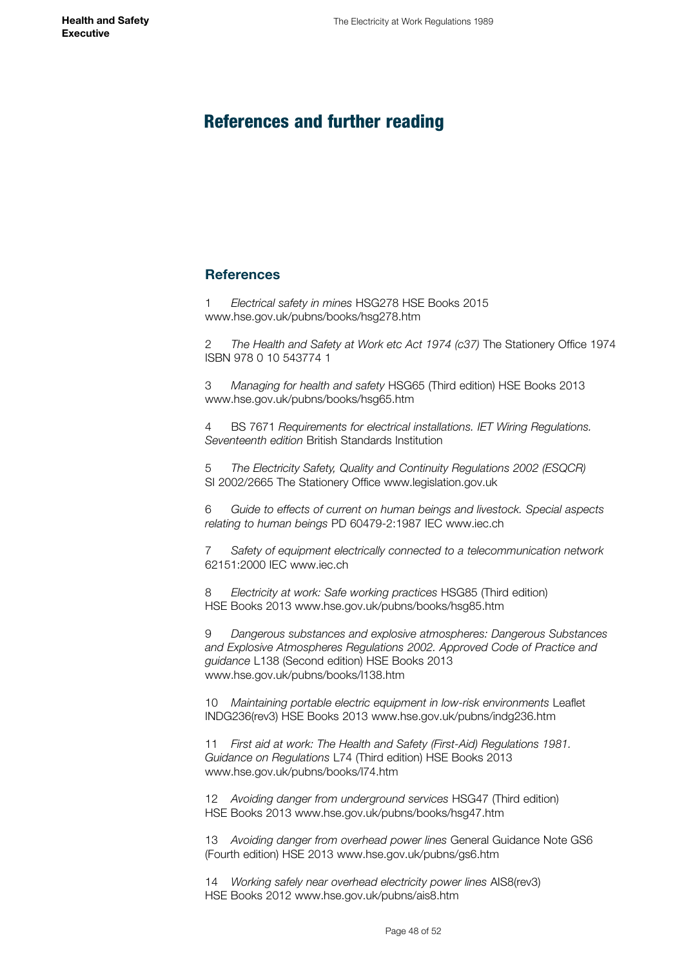# <span id="page-47-0"></span>References and further reading

#### **References**

1 *Electrical safety in mines* HSG278 HSE Books 2015 [www.hse.gov.uk/pubns/books/hsg278.htm](http://www.hse.gov.uk/pubns/books/hsg278.htm)

2 *The Health and Safety at Work etc Act 1974 (c37)* The Stationery Office 1974 ISBN 978 0 10 543774 1

3 *Managing for health and safety* HSG65 (Third edition) HSE Books 2013 [www.hse.gov.uk/pubns/books/hsg65.htm](http://www.hse.gov.uk/pubns/books/hsg65.htm)

4 BS 7671 *Requirements for electrical installations. IET Wiring Regulations. Seventeenth edition* British Standards Institution

5 *The Electricity Safety, Quality and Continuity Regulations 2002 (ESQCR)*  SI 2002/2665 The Stationery Office [www.legislation.gov.uk](http://www.legislation.gov.uk)

6 *Guide to effects of current on human beings and livestock. Special aspects relating to human beings* PD 60479-2:1987 IEC www.iec.ch

7 *Safety of equipment electrically connected to a telecommunication network* 62151:2000 IEC [www.iec.ch](http://www.iec.ch)

8 *Electricity at work: Safe working practices* HSG85 (Third edition) HSE Books 2013 [www.hse.gov.uk/pubns/books/hsg85.htm](http://www.hse.gov.uk/pubns/books/hsg85.htm)

9 *Dangerous substances and explosive atmospheres: Dangerous Substances and Explosive Atmospheres Regulations 2002. Approved Code of Practice and guidance* L138 (Second edition) HSE Books 2013 [www.hse.gov.uk/pubns/books/l138.htm](http://www.hse.gov.uk/pubns/books/l138.htm)

10 *Maintaining portable electric equipment in low-risk environments* Leaflet INDG236(rev3) HSE Books 2013 www.hse.gov.uk/pubns/indg236.htm

11 *First aid at work: The Health and Safety (First-Aid) Regulations 1981. Guidance on Regulations* L74 (Third edition) HSE Books 2013 [www.hse.gov.uk/pubns/books/l74.htm](http://www.hse.gov.uk/pubns/books/l74.htm)

12 *Avoiding danger from underground services* HSG47 (Third edition) HSE Books 2013 [www.hse.gov.uk/pubns/books/hsg47.htm](http://www.hse.gov.uk/pubns/books/hsg47.htm)

13 *Avoiding danger from overhead power lines* General Guidance Note GS6 (Fourth edition) HSE 2013 www.hse.gov.uk/pubns/gs6.htm

14 *Working safely near overhead electricity power lines* AIS8(rev3) HSE Books 2012 [www.hse.gov.uk/pubns/ais8.htm](http://www.hse.gov.uk/pubns/ais8.htm)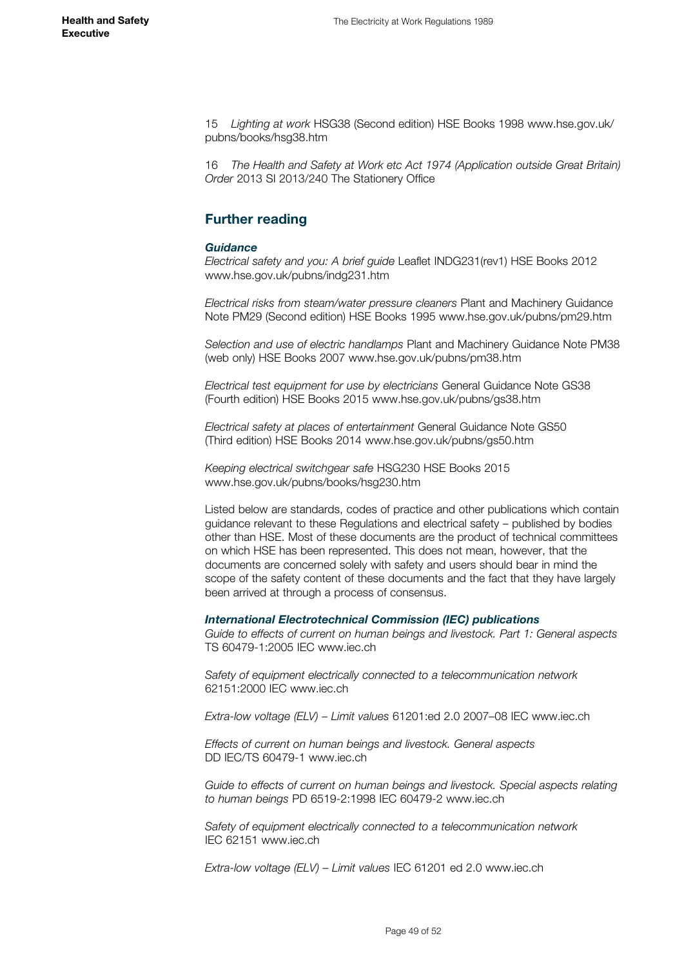15 *Lighting at work* HSG38 (Second edition) HSE Books 1998 www.hse.gov.uk/ pubns/books/hsg38.htm

16 *The Health and Safety at Work etc Act 1974 (Application outside Great Britain) Order* 2013 SI 2013/240 The Stationery Office

#### **Further reading**

#### *Guidance*

*Electrical safety and you: A brief guide* Leaflet INDG231(rev1) HSE Books 2012 [www.hse.gov.uk/pubns/indg231.htm](http://www.hse.gov.uk/pubns/indg231.htm)

*Electrical risks from steam/water pressure cleaners* Plant and Machinery Guidance Note PM29 (Second edition) HSE Books 1995 www.hse.gov.uk/pubns/pm29.htm

*Selection and use of electric handlamps* Plant and Machinery Guidance Note PM38 (web only) HSE Books 2007 www.hse.gov.uk/pubns/pm38.htm

*Electrical test equipment for use by electricians* General Guidance Note GS38 (Fourth edition) HSE Books 2015 [www.hse.gov.uk/pubns/gs38.htm](http://www.hse.gov.uk/pubns/gs38.htm)

*Electrical safety at places of entertainment* General Guidance Note GS50 (Third edition) HSE Books 2014 [www.hse.gov.uk/pubns/gs50.htm](http://www.hse.gov.uk/pubns/gs50.htm)

*Keeping electrical switchgear safe* HSG230 HSE Books 2015 [www.hse.gov.uk/pubns/books/hsg230.htm](http://www.hse.gov.uk/pubns/books/hsg230.htm)

Listed below are standards, codes of practice and other publications which contain guidance relevant to these Regulations and electrical safety – published by bodies other than HSE. Most of these documents are the product of technical committees on which HSE has been represented. This does not mean, however, that the documents are concerned solely with safety and users should bear in mind the scope of the safety content of these documents and the fact that they have largely been arrived at through a process of consensus.

#### *International Electrotechnical Commission (IEC) publications*

*Guide to effects of current on human beings and livestock. Part 1: General aspects*  TS 60479-1:2005 IEC [www.iec.ch](http://www.iec.ch)

*Safety of equipment electrically connected to a telecommunication network* 62151:2000 IEC [www.iec.ch](http://www.iec.ch)

*Extra-low voltage (ELV) – Limit values* 61201:ed 2.0 2007–08 IEC www.iec.ch

*Effects of current on human beings and livestock. General aspects*  DD IEC/TS 60479-1 [www.iec.ch](http://www.iec.ch)

*Guide to effects of current on human beings and livestock. Special aspects relating to human beings* PD 6519-2:1998 IEC 60479-2 [www.iec.ch](http://www.iec.ch)

*Safety of equipment electrically connected to a telecommunication network*  IEC 62151 [www.iec.ch](http://www.iec.ch)

*Extra-low voltage (ELV) – Limit values* IEC 61201 ed 2.0 [www.iec.ch](http://www.iec.ch)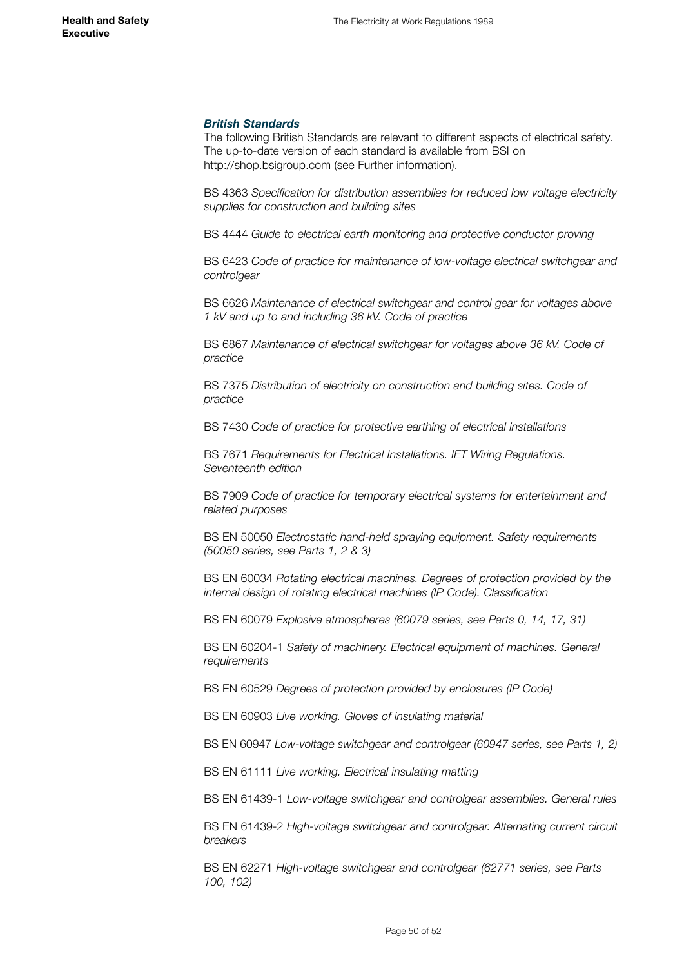#### *British Standards*

The following British Standards are relevant to different aspects of electrical safety. The up-to-date version of each standard is available from BSI on <http://shop.bsigroup.com> (see Further information).

BS 4363 *Specification for distribution assemblies for reduced low voltage electricity supplies for construction and building sites*

BS 4444 *Guide to electrical earth monitoring and protective conductor proving*

BS 6423 *Code of practice for maintenance of low-voltage electrical switchgear and controlgear*

BS 6626 *Maintenance of electrical switchgear and control gear for voltages above 1 kV and up to and including 36 kV. Code of practice*

BS 6867 *Maintenance of electrical switchgear for voltages above 36 kV. Code of practice*

BS 7375 *Distribution of electricity on construction and building sites. Code of practice*

BS 7430 *Code of practice for protective earthing of electrical installations*

BS 7671 *Requirements for Electrical Installations. IET Wiring Regulations. Seventeenth edition*

BS 7909 *Code of practice for temporary electrical systems for entertainment and related purposes*

BS EN 50050 *Electrostatic hand-held spraying equipment. Safety requirements (50050 series, see Parts 1, 2 & 3)*

BS EN 60034 *Rotating electrical machines. Degrees of protection provided by the internal design of rotating electrical machines (IP Code). Classification*

BS EN 60079 *Explosive atmospheres (60079 series, see Parts 0, 14, 17, 31)*

BS EN 60204-1 *Safety of machinery. Electrical equipment of machines. General requirements*

BS EN 60529 *Degrees of protection provided by enclosures (IP Code)*

BS EN 60903 *Live working. Gloves of insulating material*

BS EN 60947 *Low-voltage switchgear and controlgear (60947 series, see Parts 1, 2)*

BS EN 61111 *Live working. Electrical insulating matting*

BS EN 61439-1 *Low-voltage switchgear and controlgear assemblies. General rules*

BS EN 61439-2 *High-voltage switchgear and controlgear. Alternating current circuit breakers*

BS EN 62271 *High-voltage switchgear and controlgear (62771 series, see Parts 100, 102)*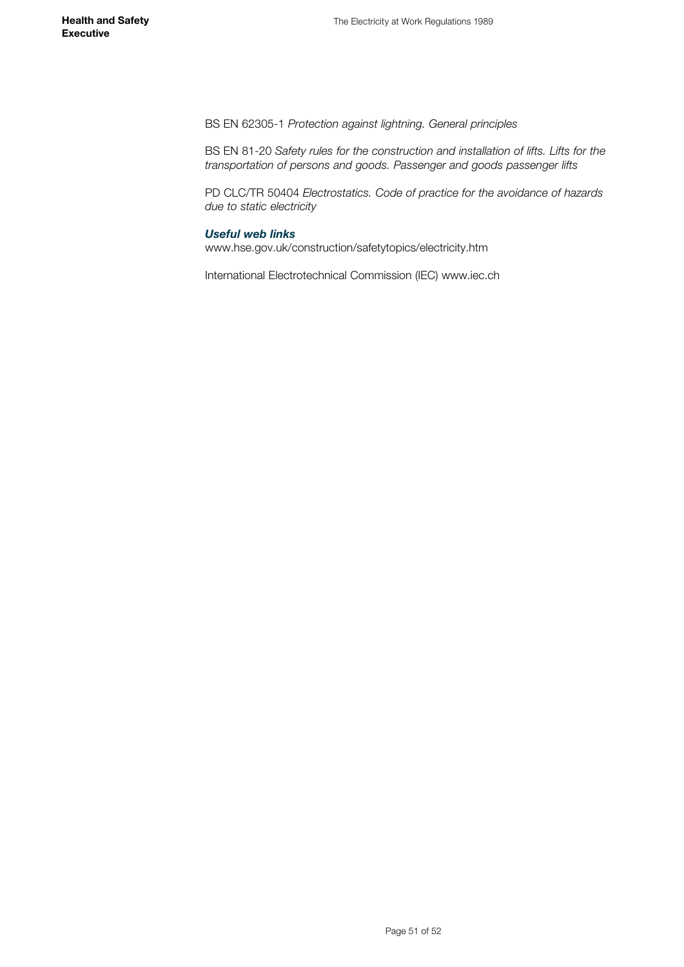BS EN 62305-1 *Protection against lightning. General principles*

BS EN 81-20 *Safety rules for the construction and installation of lifts. Lifts for the transportation of persons and goods. Passenger and goods passenger lifts* 

PD CLC/TR 50404 *Electrostatics. Code of practice for the avoidance of hazards due to static electricity*

#### *Useful web links*

[www.hse.gov.uk/construction/safetytopics/electricity.htm](http://www.hse.gov.uk/construction/safetytopics/electricity.htm)

International Electrotechnical Commission (IEC) www.iec.ch